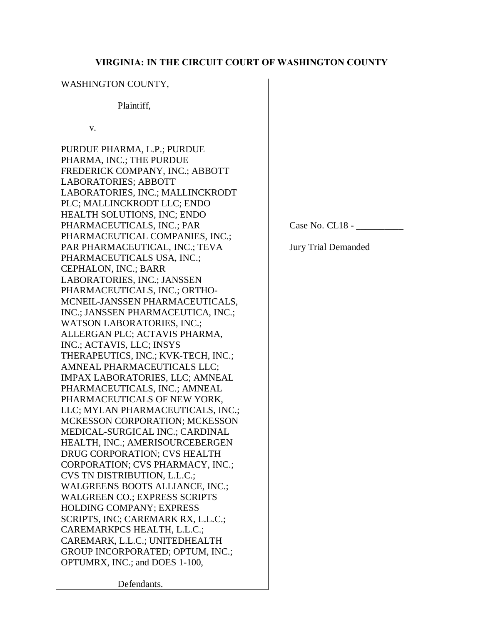# **VIRGINIA: IN THE CIRCUIT COURT OF WASHINGTON COUNTY**

# WASHINGTON COUNTY,

# Plaintiff,

v.

PURDUE PHARMA, L.P.; PURDUE PHARMA, INC.; THE PURDUE FREDERICK COMPANY, INC.; ABBOTT LABORATORIES; ABBOTT LABORATORIES, INC.; MALLINCKRODT PLC; MALLINCKRODT LLC; ENDO HEALTH SOLUTIONS, INC; ENDO PHARMACEUTICALS, INC.; PAR PHARMACEUTICAL COMPANIES, INC.; PAR PHARMACEUTICAL, INC.; TEVA PHARMACEUTICALS USA, INC.; CEPHALON, INC.; BARR LABORATORIES, INC.; JANSSEN PHARMACEUTICALS, INC.; ORTHO-MCNEIL-JANSSEN PHARMACEUTICALS, INC.; JANSSEN PHARMACEUTICA, INC.; WATSON LABORATORIES, INC.; ALLERGAN PLC; ACTAVIS PHARMA, INC.; ACTAVIS, LLC; INSYS THERAPEUTICS, INC.; KVK-TECH, INC.; AMNEAL PHARMACEUTICALS LLC; IMPAX LABORATORIES, LLC; AMNEAL PHARMACEUTICALS, INC.; AMNEAL PHARMACEUTICALS OF NEW YORK, LLC; MYLAN PHARMACEUTICALS, INC.; MCKESSON CORPORATION; MCKESSON MEDICAL-SURGICAL INC.; CARDINAL HEALTH, INC.; AMERISOURCEBERGEN DRUG CORPORATION; CVS HEALTH CORPORATION; CVS PHARMACY, INC.; CVS TN DISTRIBUTION, L.L.C.; WALGREENS BOOTS ALLIANCE, INC.; WALGREEN CO.; EXPRESS SCRIPTS HOLDING COMPANY; EXPRESS SCRIPTS, INC; CAREMARK RX, L.L.C.; CAREMARKPCS HEALTH, L.L.C.; CAREMARK, L.L.C.; UNITEDHEALTH GROUP INCORPORATED; OPTUM, INC.; OPTUMRX, INC.; and DOES 1-100,

Case No. CL18 - \_\_\_\_\_\_\_\_\_\_

Jury Trial Demanded

Defendants.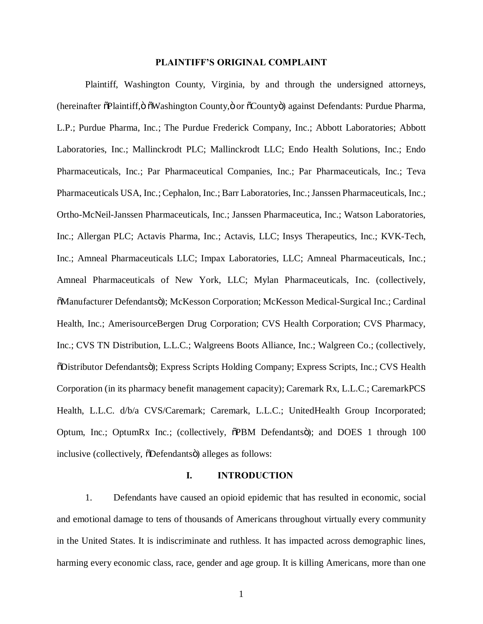## **PLAINTIFF'S ORIGINAL COMPLAINT**

Plaintiff, Washington County, Virginia, by and through the undersigned attorneys, (hereinafter  $\delta$ Plaintiff, $\ddot{o}$   $\ddot{o}$ Washington County, $\ddot{o}$  or  $\ddot{o}$ County $\ddot{o}$ ) against Defendants: Purdue Pharma, L.P.; Purdue Pharma, Inc.; The Purdue Frederick Company, Inc.; Abbott Laboratories; Abbott Laboratories, Inc.; Mallinckrodt PLC; Mallinckrodt LLC; Endo Health Solutions, Inc.; Endo Pharmaceuticals, Inc.; Par Pharmaceutical Companies, Inc.; Par Pharmaceuticals, Inc.; Teva Pharmaceuticals USA, Inc.; Cephalon, Inc.; Barr Laboratories, Inc.; Janssen Pharmaceuticals, Inc.; Ortho-McNeil-Janssen Pharmaceuticals, Inc.; Janssen Pharmaceutica, Inc.; Watson Laboratories, Inc.; Allergan PLC; Actavis Pharma, Inc.; Actavis, LLC; Insys Therapeutics, Inc.; KVK-Tech, Inc.; Amneal Pharmaceuticals LLC; Impax Laboratories, LLC; Amneal Pharmaceuticals, Inc.; Amneal Pharmaceuticals of New York, LLC; Mylan Pharmaceuticals, Inc. (collectively, "Manufacturer Defendants"); McKesson Corporation; McKesson Medical-Surgical Inc.; Cardinal Health, Inc.; AmerisourceBergen Drug Corporation; CVS Health Corporation; CVS Pharmacy, Inc.; CVS TN Distribution, L.L.C.; Walgreens Boots Alliance, Inc.; Walgreen Co.; (collectively, "Distributor Defendants"); Express Scripts Holding Company; Express Scripts, Inc.; CVS Health Corporation (in its pharmacy benefit management capacity); Caremark Rx, L.L.C.; CaremarkPCS Health, L.L.C. d/b/a CVS/Caremark; Caremark, L.L.C.; UnitedHealth Group Incorporated; Optum, Inc.; OptumRx Inc.; (collectively,  $\delta$ PBM Defendantsö); and DOES 1 through 100 inclusive (collectively,  $\delta$ Defendants $\ddot{\text{o}}$ ) alleges as follows:

#### **I. INTRODUCTION**

1. Defendants have caused an opioid epidemic that has resulted in economic, social and emotional damage to tens of thousands of Americans throughout virtually every community in the United States. It is indiscriminate and ruthless. It has impacted across demographic lines, harming every economic class, race, gender and age group. It is killing Americans, more than one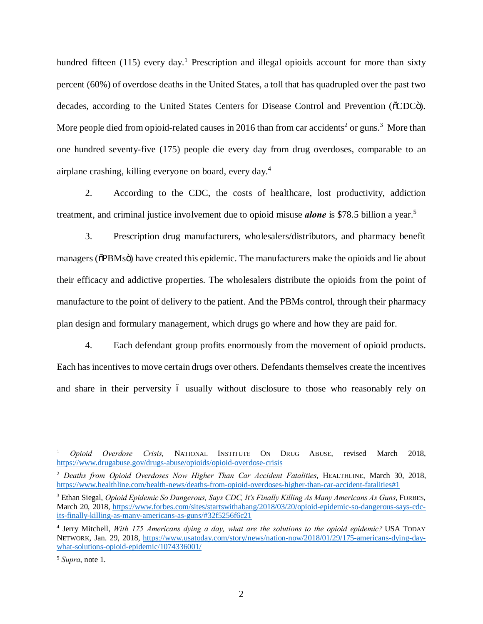hundred fifteen (115) every day.<sup>1</sup> Prescription and illegal opioids account for more than sixty percent (60%) of overdose deaths in the United States, a toll that has quadrupled over the past two decades, according to the United States Centers for Disease Control and Prevention ( $\delta$ CDC $\ddot{\rm o}$ ). More people died from opioid-related causes in 2016 than from car accidents<sup>2</sup> or guns.<sup>3</sup> More than one hundred seventy-five (175) people die every day from drug overdoses, comparable to an airplane crashing, killing everyone on board, every day.<sup>4</sup>

2. According to the CDC, the costs of healthcare, lost productivity, addiction treatment, and criminal justice involvement due to opioid misuse *alone* is \$78.5 billion a year.<sup>5</sup>

3. Prescription drug manufacturers, wholesalers/distributors, and pharmacy benefit managers ( $\delta$ PBMs $\ddot{o}$ ) have created this epidemic. The manufacturers make the opioids and lie about their efficacy and addictive properties. The wholesalers distribute the opioids from the point of manufacture to the point of delivery to the patient. And the PBMs control, through their pharmacy plan design and formulary management, which drugs go where and how they are paid for.

4. Each defendant group profits enormously from the movement of opioid products. Each has incentives to move certain drugs over others. Defendants themselves create the incentives and share in their perversity 6 usually without disclosure to those who reasonably rely on

 <sup>1</sup> *Opioid Overdose Crisis*, NATIONAL INSTITUTE ON DRUG ABUSE, revised March 2018, https://www.drugabuse.gov/drugs-abuse/opioids/opioid-overdose-crisis

<sup>2</sup> *Deaths from Opioid Overdoses Now Higher Than Car Accident Fatalities*, HEALTHLINE, March 30, 2018, https://www.healthline.com/health-news/deaths-from-opioid-overdoses-higher-than-car-accident-fatalities#1

<sup>3</sup> Ethan Siegal, *Opioid Epidemic So Dangerous, Says CDC, It's Finally Killing As Many Americans As Guns*, FORBES, March 20, 2018, https://www.forbes.com/sites/startswithabang/2018/03/20/opioid-epidemic-so-dangerous-says-cdcits-finally-killing-as-many-americans-as-guns/#32f5256f6c21

<sup>4</sup> Jerry Mitchell, *With 175 Americans dying a day, what are the solutions to the opioid epidemic?* USA TODAY NETWORK, Jan. 29, 2018, https://www.usatoday.com/story/news/nation-now/2018/01/29/175-americans-dying-daywhat-solutions-opioid-epidemic/1074336001/

<sup>5</sup> *Supra*, note 1.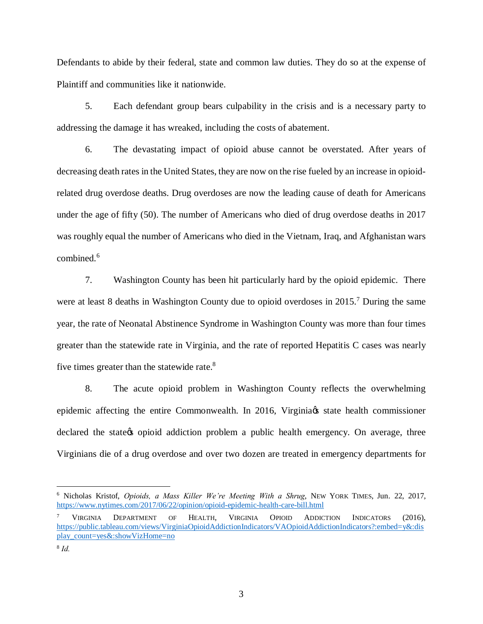Defendants to abide by their federal, state and common law duties. They do so at the expense of Plaintiff and communities like it nationwide.

5. Each defendant group bears culpability in the crisis and is a necessary party to addressing the damage it has wreaked, including the costs of abatement.

6. The devastating impact of opioid abuse cannot be overstated. After years of decreasing death rates in the United States, they are now on the rise fueled by an increase in opioidrelated drug overdose deaths. Drug overdoses are now the leading cause of death for Americans under the age of fifty (50). The number of Americans who died of drug overdose deaths in 2017 was roughly equal the number of Americans who died in the Vietnam, Iraq, and Afghanistan wars combined.<sup>6</sup>

7. Washington County has been hit particularly hard by the opioid epidemic. There were at least 8 deaths in Washington County due to opioid overdoses in 2015.<sup>7</sup> During the same year, the rate of Neonatal Abstinence Syndrome in Washington County was more than four times greater than the statewide rate in Virginia, and the rate of reported Hepatitis C cases was nearly five times greater than the statewide rate.<sup>8</sup>

8. The acute opioid problem in Washington County reflects the overwhelming epidemic affecting the entire Commonwealth. In 2016, Virginia tstate health commissioner declared the state opioid addiction problem a public health emergency. On average, three Virginians die of a drug overdose and over two dozen are treated in emergency departments for

 <sup>6</sup> Nicholas Kristof, *Opioids, a Mass Killer We're Meeting With a Shrug*, NEW YORK TIMES, Jun. 22, 2017, https://www.nytimes.com/2017/06/22/opinion/opioid-epidemic-health-care-bill.html

<sup>&</sup>lt;sup>7</sup> VIRGINIA DEPARTMENT OF HEALTH, VIRGINIA OPIOID ADDICTION INDICATORS (2016), https://public.tableau.com/views/VirginiaOpioidAddictionIndicators/VAOpioidAddictionIndicators?:embed=y&:dis play\_count=yes&:showVizHome=no

<sup>8</sup> *Id.*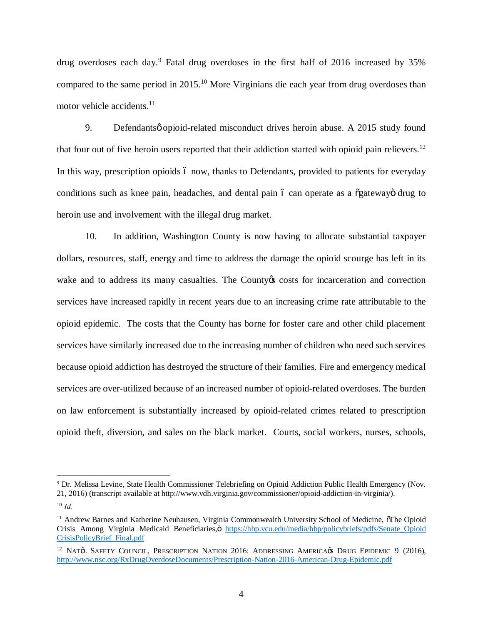drug overdoses each day.<sup>9</sup> Fatal drug overdoses in the first half of 2016 increased by 35% compared to the same period in 2015.<sup>10</sup> More Virginians die each year from drug overdoses than motor vehicle accidents.<sup>11</sup>

9. Defendantsø opioid-related misconduct drives heroin abuse. A 2015 study found that four out of five heroin users reported that their addiction started with opioid pain relievers.<sup>12</sup> In this way, prescription opioids 6 now, thanks to Defendants, provided to patients for everyday conditions such as knee pain, headaches, and dental pain 6 can operate as a  $\delta$ gatewayo drug to heroin use and involvement with the illegal drug market.

10. In addition, Washington County is now having to allocate substantial taxpayer dollars, resources, staff, energy and time to address the damage the opioid scourge has left in its wake and to address its many casualties. The County to costs for incarceration and correction services have increased rapidly in recent years due to an increasing crime rate attributable to the opioid epidemic. The costs that the County has borne for foster care and other child placement services have similarly increased due to the increasing number of children who need such services because opioid addiction has destroyed the structure of their families. Fire and emergency medical services are over-utilized because of an increased number of opioid-related overdoses. The burden on law enforcement is substantially increased by opioid-related crimes related to prescription opioid theft, diversion, and sales on the black market. Courts, social workers, nurses, schools,

 <sup>9</sup> Dr. Melissa Levine, State Health Commissioner Telebriefing on Opioid Addiction Public Health Emergency (Nov. 21, 2016) (transcript available at http://www.vdh.virginia.gov/commissioner/opioid-addiction-in-virginia/). <sup>10</sup> *Id.*

<sup>&</sup>lt;sup>11</sup> Andrew Barnes and Katherine Neuhausen, Virginia Commonwealth University School of Medicine,  $\delta$ The Opioid Crisis Among Virginia Medicaid Beneficiaries, ö https://hbp.vcu.edu/media/hbp/policybriefs/pdfs/Senate\_Opioid CrisisPolicyBrief\_Final.pdf

<sup>&</sup>lt;sup>12</sup> NAT¢L SAFETY COUNCIL, PRESCRIPTION NATION 2016: ADDRESSING AMERICA¢S DRUG EPIDEMIC 9 (2016), http://www.nsc.org/RxDrugOverdoseDocuments/Prescription-Nation-2016-American-Drug-Epidemic.pdf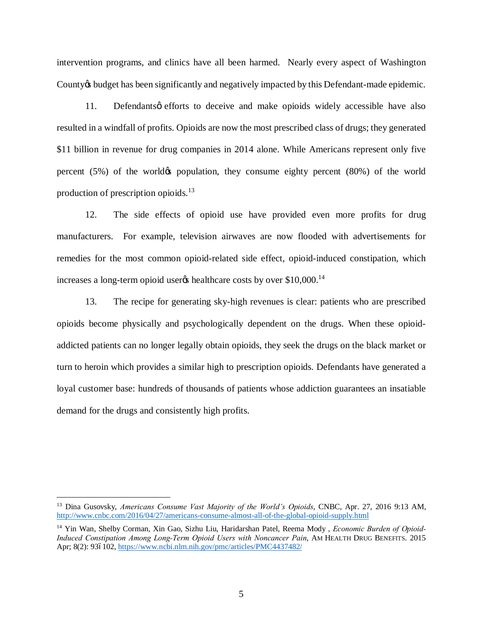intervention programs, and clinics have all been harmed. Nearly every aspect of Washington County to budget has been significantly and negatively impacted by this Defendant-made epidemic.

11. Defendants q efforts to deceive and make opioids widely accessible have also resulted in a windfall of profits. Opioids are now the most prescribed class of drugs; they generated \$11 billion in revenue for drug companies in 2014 alone. While Americans represent only five percent  $(5\%)$  of the world of population, they consume eighty percent  $(80\%)$  of the world production of prescription opioids.<sup>13</sup>

12. The side effects of opioid use have provided even more profits for drug manufacturers. For example, television airwaves are now flooded with advertisements for remedies for the most common opioid-related side effect, opioid-induced constipation, which increases a long-term opioid user $\alpha$  healthcare costs by over \$10,000.<sup>14</sup>

13. The recipe for generating sky-high revenues is clear: patients who are prescribed opioids become physically and psychologically dependent on the drugs. When these opioidaddicted patients can no longer legally obtain opioids, they seek the drugs on the black market or turn to heroin which provides a similar high to prescription opioids. Defendants have generated a loyal customer base: hundreds of thousands of patients whose addiction guarantees an insatiable demand for the drugs and consistently high profits.

 <sup>13</sup> Dina Gusovsky, *Americans Consume Vast Majority of the World's Opioids*, CNBC, Apr. 27, 2016 9:13 AM, http://www.cnbc.com/2016/04/27/americans-consume-almost-all-of-the-global-opioid-supply.html

<sup>14</sup> Yin Wan, Shelby Corman, Xin Gao, Sizhu Liu, Haridarshan Patel, Reema Mody , *Economic Burden of Opioid-Induced Constipation Among Long-Term Opioid Users with Noncancer Pain*, AM HEALTH DRUG BENEFITS. 2015 Apr; 8(2): 936102, https://www.ncbi.nlm.nih.gov/pmc/articles/PMC4437482/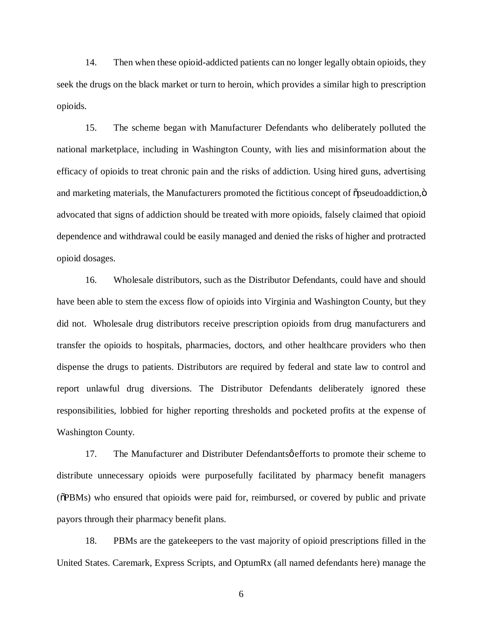14. Then when these opioid-addicted patients can no longer legally obtain opioids, they seek the drugs on the black market or turn to heroin, which provides a similar high to prescription opioids.

15. The scheme began with Manufacturer Defendants who deliberately polluted the national marketplace, including in Washington County, with lies and misinformation about the efficacy of opioids to treat chronic pain and the risks of addiction. Using hired guns, advertising and marketing materials, the Manufacturers promoted the fictitious concept of  $\delta$  pseudoaddiction, $\delta$ advocated that signs of addiction should be treated with more opioids, falsely claimed that opioid dependence and withdrawal could be easily managed and denied the risks of higher and protracted opioid dosages.

16. Wholesale distributors, such as the Distributor Defendants, could have and should have been able to stem the excess flow of opioids into Virginia and Washington County, but they did not. Wholesale drug distributors receive prescription opioids from drug manufacturers and transfer the opioids to hospitals, pharmacies, doctors, and other healthcare providers who then dispense the drugs to patients. Distributors are required by federal and state law to control and report unlawful drug diversions. The Distributor Defendants deliberately ignored these responsibilities, lobbied for higher reporting thresholds and pocketed profits at the expense of Washington County.

17. The Manufacturer and Distributer Defendants of efforts to promote their scheme to distribute unnecessary opioids were purposefully facilitated by pharmacy benefit managers ( $\delta$ PBMs) who ensured that opioids were paid for, reimbursed, or covered by public and private payors through their pharmacy benefit plans.

18. PBMs are the gatekeepers to the vast majority of opioid prescriptions filled in the United States. Caremark, Express Scripts, and OptumRx (all named defendants here) manage the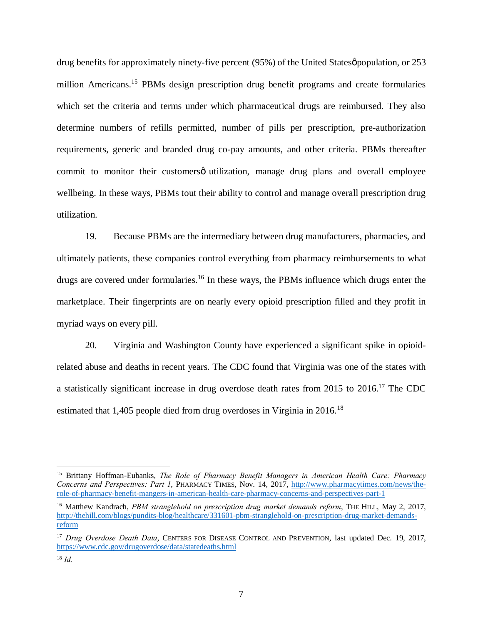drug benefits for approximately ninety-five percent (95%) of the United States *population*, or 253 million Americans.<sup>15</sup> PBMs design prescription drug benefit programs and create formularies which set the criteria and terms under which pharmaceutical drugs are reimbursed. They also determine numbers of refills permitted, number of pills per prescription, pre-authorization requirements, generic and branded drug co-pay amounts, and other criteria. PBMs thereafter commit to monitor their customersø utilization, manage drug plans and overall employee wellbeing. In these ways, PBMs tout their ability to control and manage overall prescription drug utilization.

19. Because PBMs are the intermediary between drug manufacturers, pharmacies, and ultimately patients, these companies control everything from pharmacy reimbursements to what drugs are covered under formularies.<sup>16</sup> In these ways, the PBMs influence which drugs enter the marketplace. Their fingerprints are on nearly every opioid prescription filled and they profit in myriad ways on every pill.

20. Virginia and Washington County have experienced a significant spike in opioidrelated abuse and deaths in recent years. The CDC found that Virginia was one of the states with a statistically significant increase in drug overdose death rates from 2015 to 2016.17 The CDC estimated that 1,405 people died from drug overdoses in Virginia in 2016.<sup>18</sup>

 <sup>15</sup> Brittany Hoffman-Eubanks, *The Role of Pharmacy Benefit Managers in American Health Care: Pharmacy Concerns and Perspectives: Part 1*, PHARMACY TIMES, Nov. 14, 2017, http://www.pharmacytimes.com/news/therole-of-pharmacy-benefit-mangers-in-american-health-care-pharmacy-concerns-and-perspectives-part-1

<sup>&</sup>lt;sup>16</sup> Matthew Kandrach, *PBM stranglehold on prescription drug market demands reform*, THE HILL, May 2, 2017, http://thehill.com/blogs/pundits-blog/healthcare/331601-pbm-stranglehold-on-prescription-drug-market-demandsreform

<sup>&</sup>lt;sup>17</sup> *Drug Overdose Death Data*, CENTERS FOR DISEASE CONTROL AND PREVENTION, last updated Dec. 19, 2017, https://www.cdc.gov/drugoverdose/data/statedeaths.html

<sup>18</sup> *Id.*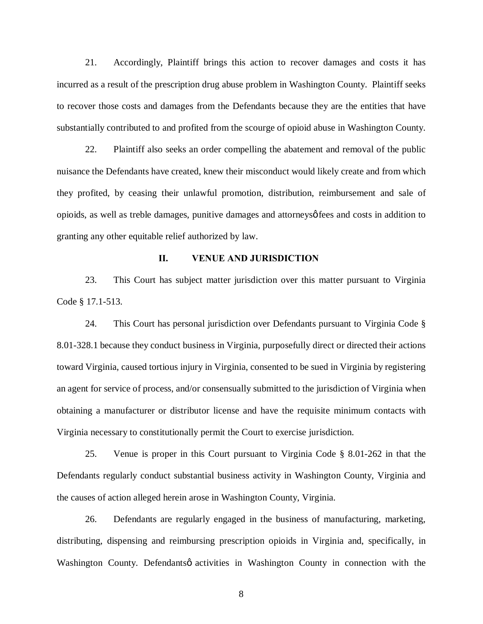21. Accordingly, Plaintiff brings this action to recover damages and costs it has incurred as a result of the prescription drug abuse problem in Washington County. Plaintiff seeks to recover those costs and damages from the Defendants because they are the entities that have substantially contributed to and profited from the scourge of opioid abuse in Washington County.

22. Plaintiff also seeks an order compelling the abatement and removal of the public nuisance the Defendants have created, knew their misconduct would likely create and from which they profited, by ceasing their unlawful promotion, distribution, reimbursement and sale of opioids, as well as treble damages, punitive damages and attorneys' fees and costs in addition to granting any other equitable relief authorized by law.

### **II. VENUE AND JURISDICTION**

23. This Court has subject matter jurisdiction over this matter pursuant to Virginia Code § 17.1-513.

24. This Court has personal jurisdiction over Defendants pursuant to Virginia Code § 8.01-328.1 because they conduct business in Virginia, purposefully direct or directed their actions toward Virginia, caused tortious injury in Virginia, consented to be sued in Virginia by registering an agent for service of process, and/or consensually submitted to the jurisdiction of Virginia when obtaining a manufacturer or distributor license and have the requisite minimum contacts with Virginia necessary to constitutionally permit the Court to exercise jurisdiction.

25. Venue is proper in this Court pursuant to Virginia Code § 8.01-262 in that the Defendants regularly conduct substantial business activity in Washington County, Virginia and the causes of action alleged herein arose in Washington County, Virginia.

26. Defendants are regularly engaged in the business of manufacturing, marketing, distributing, dispensing and reimbursing prescription opioids in Virginia and, specifically, in Washington County. Defendantsø activities in Washington County in connection with the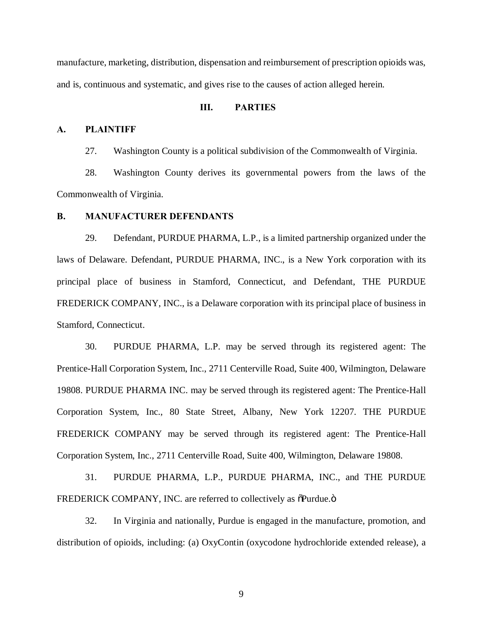manufacture, marketing, distribution, dispensation and reimbursement of prescription opioids was, and is, continuous and systematic, and gives rise to the causes of action alleged herein.

### **III. PARTIES**

## **A. PLAINTIFF**

27. Washington County is a political subdivision of the Commonwealth of Virginia.

28. Washington County derives its governmental powers from the laws of the Commonwealth of Virginia.

#### **B. MANUFACTURER DEFENDANTS**

29. Defendant, PURDUE PHARMA, L.P., is a limited partnership organized under the laws of Delaware. Defendant, PURDUE PHARMA, INC., is a New York corporation with its principal place of business in Stamford, Connecticut, and Defendant, THE PURDUE FREDERICK COMPANY, INC., is a Delaware corporation with its principal place of business in Stamford, Connecticut.

30. PURDUE PHARMA, L.P. may be served through its registered agent: The Prentice-Hall Corporation System, Inc., 2711 Centerville Road, Suite 400, Wilmington, Delaware 19808. PURDUE PHARMA INC. may be served through its registered agent: The Prentice-Hall Corporation System, Inc., 80 State Street, Albany, New York 12207. THE PURDUE FREDERICK COMPANY may be served through its registered agent: The Prentice-Hall Corporation System, Inc., 2711 Centerville Road, Suite 400, Wilmington, Delaware 19808.

31. PURDUE PHARMA, L.P., PURDUE PHARMA, INC., and THE PURDUE FREDERICK COMPANY, INC. are referred to collectively as  $\delta$ Purdue. $\delta$ 

32. In Virginia and nationally, Purdue is engaged in the manufacture, promotion, and distribution of opioids, including: (a) OxyContin (oxycodone hydrochloride extended release), a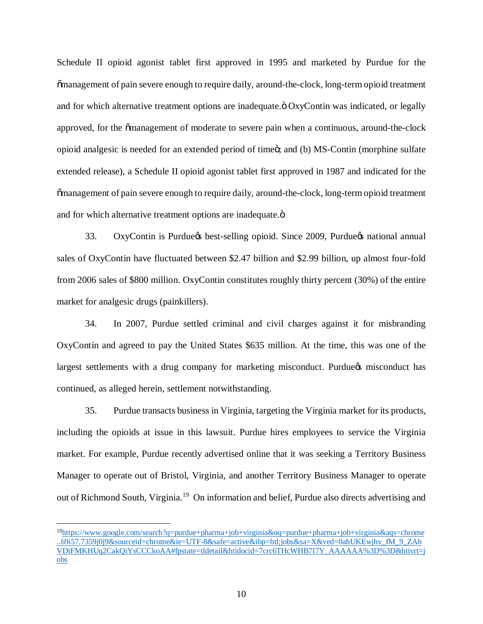Schedule II opioid agonist tablet first approved in 1995 and marketed by Purdue for the "management of pain severe enough to require daily, around-the-clock, long-term opioid treatment and for which alternative treatment options are inadequate. $\ddot{o}$  OxyContin was indicated, or legally approved, for the  $\tilde{\text{om}}$  management of moderate to severe pain when a continuous, around-the-clock opioid analgesic is needed for an extended period of time $\ddot{\text{o}}$ ; and (b) MS-Contin (morphine sulfate extended release), a Schedule II opioid agonist tablet first approved in 1987 and indicated for the "management of pain severe enough to require daily, around-the-clock, long-term opioid treatment and for which alternative treatment options are inadequate. $\ddot{o}$ 

33. OxyContin is Purdue & best-selling opioid. Since 2009, Purdue & national annual sales of OxyContin have fluctuated between \$2.47 billion and \$2.99 billion, up almost four-fold from 2006 sales of \$800 million. OxyContin constitutes roughly thirty percent (30%) of the entire market for analgesic drugs (painkillers).

34. In 2007, Purdue settled criminal and civil charges against it for misbranding OxyContin and agreed to pay the United States \$635 million. At the time, this was one of the largest settlements with a drug company for marketing misconduct. Purdue & misconduct has continued, as alleged herein, settlement notwithstanding.

35. Purdue transacts business in Virginia, targeting the Virginia market for its products, including the opioids at issue in this lawsuit. Purdue hires employees to service the Virginia market. For example, Purdue recently advertised online that it was seeking a Territory Business Manager to operate out of Bristol, Virginia, and another Territory Business Manager to operate out of Richmond South, Virginia.<sup>19</sup> On information and belief, Purdue also directs advertising and

 <sup>19</sup>https://www.google.com/search?q=purdue+pharma+job+virginia&oq=purdue+pharma+job+virginia&aqs=chrome ..69i57.7359j0j9&sourceid=chrome&ie=UTF-8&safe=active&ibp=htl;jobs&sa=X&ved=0ahUKEwjhv\_fM\_9\_ZAh VDtFMKHUq2CakQiYsCCCkoAA#fpstate=tldetail&htidocid=7crc6THcWHB7I7Y\_AAAAAA%3D%3D&htivrt=j obs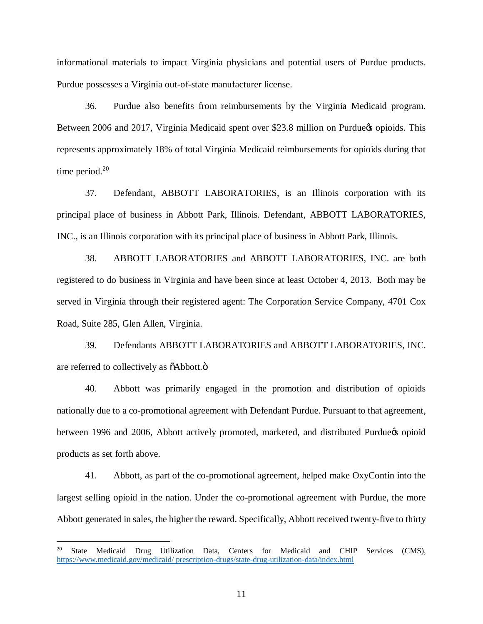informational materials to impact Virginia physicians and potential users of Purdue products. Purdue possesses a Virginia out-of-state manufacturer license.

36. Purdue also benefits from reimbursements by the Virginia Medicaid program. Between 2006 and 2017, Virginia Medicaid spent over \$23.8 million on Purdue to opioids. This represents approximately 18% of total Virginia Medicaid reimbursements for opioids during that time period. $20$ 

37. Defendant, ABBOTT LABORATORIES, is an Illinois corporation with its principal place of business in Abbott Park, Illinois. Defendant, ABBOTT LABORATORIES, INC., is an Illinois corporation with its principal place of business in Abbott Park, Illinois.

38. ABBOTT LABORATORIES and ABBOTT LABORATORIES, INC. are both registered to do business in Virginia and have been since at least October 4, 2013. Both may be served in Virginia through their registered agent: The Corporation Service Company, 4701 Cox Road, Suite 285, Glen Allen, Virginia.

39. Defendants ABBOTT LABORATORIES and ABBOTT LABORATORIES, INC. are referred to collectively as  $\tilde{o}$ Abbott. $\ddot{o}$ 

40. Abbott was primarily engaged in the promotion and distribution of opioids nationally due to a co-promotional agreement with Defendant Purdue. Pursuant to that agreement, between 1996 and 2006, Abbott actively promoted, marketed, and distributed Purdue opioid products as set forth above.

41. Abbott, as part of the co-promotional agreement, helped make OxyContin into the largest selling opioid in the nation. Under the co-promotional agreement with Purdue, the more Abbott generated in sales, the higher the reward. Specifically, Abbott received twenty-five to thirty

 <sup>20</sup> State Medicaid Drug Utilization Data, Centers for Medicaid and CHIP Services (CMS), https://www.medicaid.gov/medicaid/ prescription-drugs/state-drug-utilization-data/index.html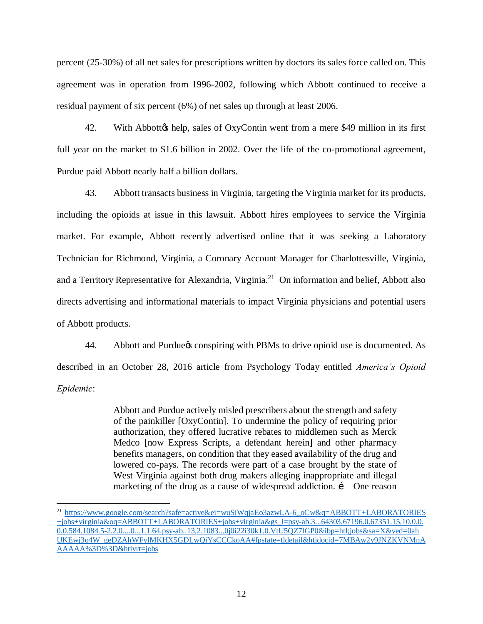percent (25-30%) of all net sales for prescriptions written by doctors its sales force called on. This agreement was in operation from 1996-2002, following which Abbott continued to receive a residual payment of six percent (6%) of net sales up through at least 2006.

42. With Abbott & help, sales of OxyContin went from a mere \$49 million in its first full year on the market to \$1.6 billion in 2002. Over the life of the co-promotional agreement, Purdue paid Abbott nearly half a billion dollars.

43. Abbott transacts business in Virginia, targeting the Virginia market for its products, including the opioids at issue in this lawsuit. Abbott hires employees to service the Virginia market. For example, Abbott recently advertised online that it was seeking a Laboratory Technician for Richmond, Virginia, a Coronary Account Manager for Charlottesville, Virginia, and a Territory Representative for Alexandria, Virginia.<sup>21</sup> On information and belief, Abbott also directs advertising and informational materials to impact Virginia physicians and potential users of Abbott products.

44. Abbott and Purdue *s* conspiring with PBMs to drive opioid use is documented. As described in an October 28, 2016 article from Psychology Today entitled *America's Opioid Epidemic*:

> Abbott and Purdue actively misled prescribers about the strength and safety of the painkiller [OxyContin]. To undermine the policy of requiring prior authorization, they offered lucrative rebates to middlemen such as Merck Medco [now Express Scripts, a defendant herein] and other pharmacy benefits managers, on condition that they eased availability of the drug and lowered co-pays. The records were part of a case brought by the state of West Virginia against both drug makers alleging inappropriate and illegal marketing of the drug as a cause of widespread addiction. i One reason

<sup>&</sup>lt;sup>21</sup> https://www.google.com/search?safe=active&ei=wuSiWqjaEo3azwLA-6\_oCw&q=ABBOTT+LABORATORIES +jobs+virginia&oq=ABBOTT+LABORATORIES+jobs+virginia&gs\_l=psy-ab.3...64303.67196.0.67351.15.10.0.0. 0.0.584.1084.5-2.2.0....0...1.1.64.psy-ab..13.2.1083...0j0i22i30k1.0.VtU5QZ7lGP0&ibp=htl;jobs&sa=X&ved=0ah UKEwj3o4W\_geDZAhWFvlMKHX5GDLwQiYsCCCkoAA#fpstate=tldetail&htidocid=7MBAw2y9JNZKVNMnA AAAAA%3D%3D&htivrt=jobs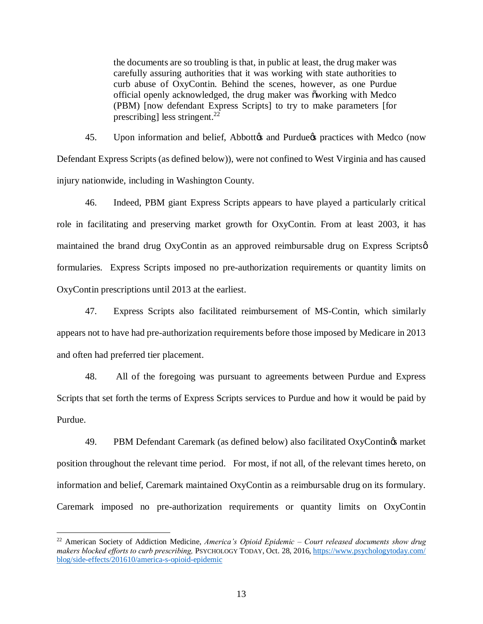the documents are so troubling is that, in public at least, the drug maker was carefully assuring authorities that it was working with state authorities to curb abuse of OxyContin. Behind the scenes, however, as one Purdue official openly acknowledged, the drug maker was õworking with Medco (PBM) [now defendant Express Scripts] to try to make parameters [for prescribing] less stringent.<sup>22</sup>

45. Upon information and belief, Abbott & and Purdue & practices with Medco (now Defendant Express Scripts (as defined below)), were not confined to West Virginia and has caused injury nationwide, including in Washington County.

46. Indeed, PBM giant Express Scripts appears to have played a particularly critical role in facilitating and preserving market growth for OxyContin. From at least 2003, it has maintained the brand drug OxyContin as an approved reimbursable drug on Express Scriptson formularies. Express Scripts imposed no pre-authorization requirements or quantity limits on OxyContin prescriptions until 2013 at the earliest.

47. Express Scripts also facilitated reimbursement of MS-Contin, which similarly appears not to have had pre-authorization requirements before those imposed by Medicare in 2013 and often had preferred tier placement.

48. All of the foregoing was pursuant to agreements between Purdue and Express Scripts that set forth the terms of Express Scripts services to Purdue and how it would be paid by Purdue.

49. PBM Defendant Caremark (as defined below) also facilitated OxyContings market position throughout the relevant time period. For most, if not all, of the relevant times hereto, on information and belief, Caremark maintained OxyContin as a reimbursable drug on its formulary. Caremark imposed no pre-authorization requirements or quantity limits on OxyContin

 <sup>22</sup> American Society of Addiction Medicine, *America's Opioid Epidemic – Court released documents show drug makers blocked efforts to curb prescribing,* PSYCHOLOGY TODAY, Oct. 28, 2016, https://www.psychologytoday.com/ blog/side-effects/201610/america-s-opioid-epidemic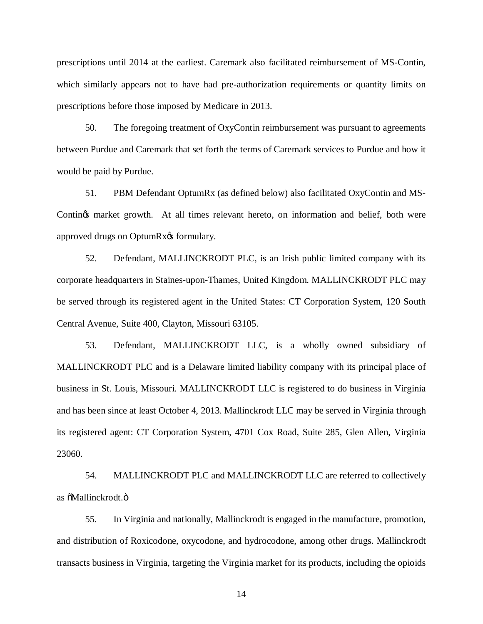prescriptions until 2014 at the earliest. Caremark also facilitated reimbursement of MS-Contin, which similarly appears not to have had pre-authorization requirements or quantity limits on prescriptions before those imposed by Medicare in 2013.

50. The foregoing treatment of OxyContin reimbursement was pursuant to agreements between Purdue and Caremark that set forth the terms of Caremark services to Purdue and how it would be paid by Purdue.

51. PBM Defendant OptumRx (as defined below) also facilitated OxyContin and MS-Contings market growth. At all times relevant hereto, on information and belief, both were approved drugs on OptumRx $\alpha$ s formulary.

52. Defendant, MALLINCKRODT PLC, is an Irish public limited company with its corporate headquarters in Staines-upon-Thames, United Kingdom. MALLINCKRODT PLC may be served through its registered agent in the United States: CT Corporation System, 120 South Central Avenue, Suite 400, Clayton, Missouri 63105.

53. Defendant, MALLINCKRODT LLC, is a wholly owned subsidiary of MALLINCKRODT PLC and is a Delaware limited liability company with its principal place of business in St. Louis, Missouri. MALLINCKRODT LLC is registered to do business in Virginia and has been since at least October 4, 2013. Mallinckrodt LLC may be served in Virginia through its registered agent: CT Corporation System, 4701 Cox Road, Suite 285, Glen Allen, Virginia 23060.

54. MALLINCKRODT PLC and MALLINCKRODT LLC are referred to collectively as  $\delta$ Mallinckrodt. $\ddot{\mathrm{o}}$ 

55. In Virginia and nationally, Mallinckrodt is engaged in the manufacture, promotion, and distribution of Roxicodone, oxycodone, and hydrocodone, among other drugs. Mallinckrodt transacts business in Virginia, targeting the Virginia market for its products, including the opioids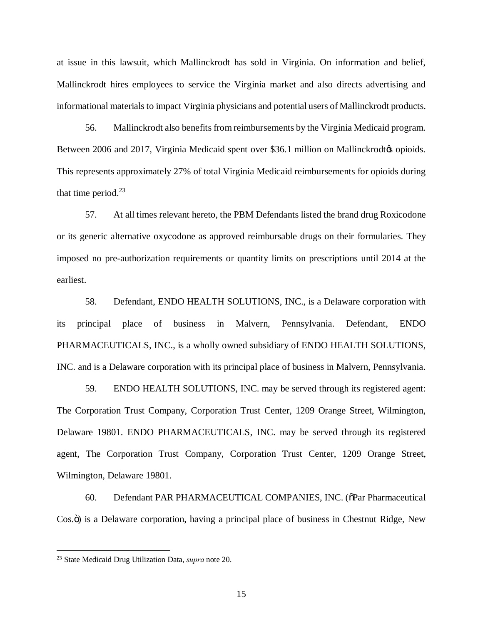at issue in this lawsuit, which Mallinckrodt has sold in Virginia. On information and belief, Mallinckrodt hires employees to service the Virginia market and also directs advertising and informational materials to impact Virginia physicians and potential users of Mallinckrodt products.

56. Mallinckrodt also benefits from reimbursements by the Virginia Medicaid program. Between 2006 and 2017, Virginia Medicaid spent over \$36.1 million on Mallinckrodtos opioids. This represents approximately 27% of total Virginia Medicaid reimbursements for opioids during that time period. $23$ 

57. At all times relevant hereto, the PBM Defendants listed the brand drug Roxicodone or its generic alternative oxycodone as approved reimbursable drugs on their formularies. They imposed no pre-authorization requirements or quantity limits on prescriptions until 2014 at the earliest.

58. Defendant, ENDO HEALTH SOLUTIONS, INC., is a Delaware corporation with its principal place of business in Malvern, Pennsylvania. Defendant, ENDO PHARMACEUTICALS, INC., is a wholly owned subsidiary of ENDO HEALTH SOLUTIONS, INC. and is a Delaware corporation with its principal place of business in Malvern, Pennsylvania.

59. ENDO HEALTH SOLUTIONS, INC. may be served through its registered agent: The Corporation Trust Company, Corporation Trust Center, 1209 Orange Street, Wilmington, Delaware 19801. ENDO PHARMACEUTICALS, INC. may be served through its registered agent, The Corporation Trust Company, Corporation Trust Center, 1209 Orange Street, Wilmington, Delaware 19801.

60. Defendant PAR PHARMACEUTICAL COMPANIES, INC. ( $\delta$ Par Pharmaceutical Cos. $\ddot{\text{o}}$ ) is a Delaware corporation, having a principal place of business in Chestnut Ridge, New

 <sup>23</sup> State Medicaid Drug Utilization Data, *supra* note 20.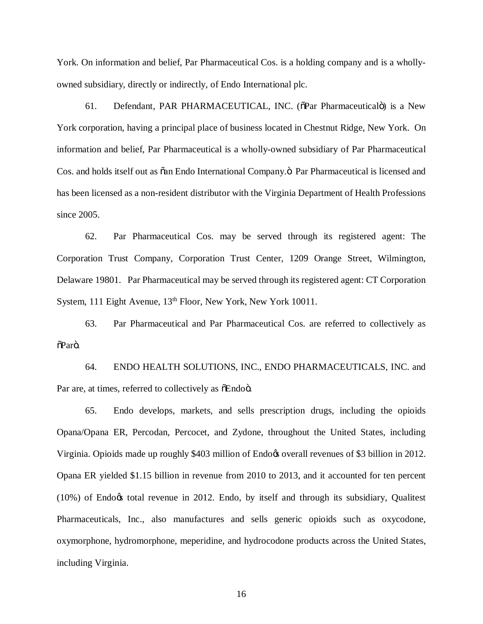York. On information and belief, Par Pharmaceutical Cos. is a holding company and is a whollyowned subsidiary, directly or indirectly, of Endo International plc.

61. Defendant, PAR PHARMACEUTICAL, INC. ( $\delta$ Par Pharmaceuticalo) is a New York corporation, having a principal place of business located in Chestnut Ridge, New York. On information and belief, Par Pharmaceutical is a wholly-owned subsidiary of Par Pharmaceutical Cos. and holds itself out as  $\tilde{o}$  an Endo International Company. $\ddot{o}$  Par Pharmaceutical is licensed and has been licensed as a non-resident distributor with the Virginia Department of Health Professions since 2005.

62. Par Pharmaceutical Cos. may be served through its registered agent: The Corporation Trust Company, Corporation Trust Center, 1209 Orange Street, Wilmington, Delaware 19801. Par Pharmaceutical may be served through its registered agent: CT Corporation System, 111 Eight Avenue, 13<sup>th</sup> Floor, New York, New York 10011.

63. Par Pharmaceutical and Par Pharmaceutical Cos. are referred to collectively as  $\tilde{\Omega}$ Parö.

64. ENDO HEALTH SOLUTIONS, INC., ENDO PHARMACEUTICALS, INC. and Par are, at times, referred to collectively as  $\delta$ Endo $\ddot{o}$ .

65. Endo develops, markets, and sells prescription drugs, including the opioids Opana/Opana ER, Percodan, Percocet, and Zydone, throughout the United States, including Virginia. Opioids made up roughly \$403 million of Endoos overall revenues of \$3 billion in 2012. Opana ER yielded \$1.15 billion in revenue from 2010 to 2013, and it accounted for ten percent  $(10\%)$  of Endo $\alpha$  total revenue in 2012. Endo, by itself and through its subsidiary, Qualitest Pharmaceuticals, Inc., also manufactures and sells generic opioids such as oxycodone, oxymorphone, hydromorphone, meperidine, and hydrocodone products across the United States, including Virginia.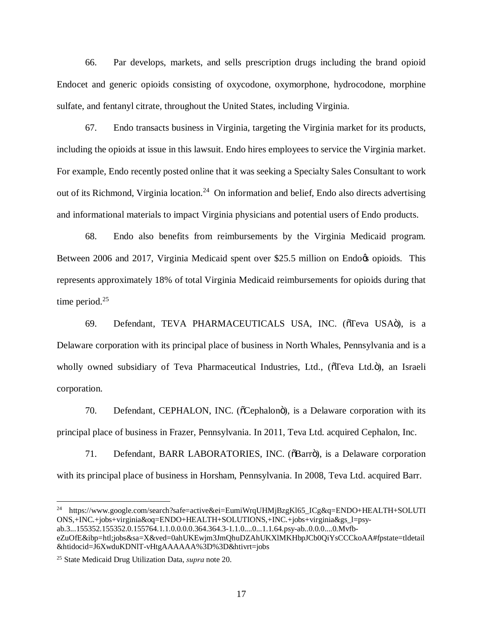66. Par develops, markets, and sells prescription drugs including the brand opioid Endocet and generic opioids consisting of oxycodone, oxymorphone, hydrocodone, morphine sulfate, and fentanyl citrate, throughout the United States, including Virginia.

67. Endo transacts business in Virginia, targeting the Virginia market for its products, including the opioids at issue in this lawsuit. Endo hires employees to service the Virginia market. For example, Endo recently posted online that it was seeking a Specialty Sales Consultant to work out of its Richmond, Virginia location.<sup>24</sup> On information and belief, Endo also directs advertising and informational materials to impact Virginia physicians and potential users of Endo products.

68. Endo also benefits from reimbursements by the Virginia Medicaid program. Between 2006 and 2017, Virginia Medicaid spent over \$25.5 million on Endo $\alpha$  opioids. This represents approximately 18% of total Virginia Medicaid reimbursements for opioids during that time period.<sup>25</sup>

69. Defendant, TEVA PHARMACEUTICALS USA, INC. (õTeva USAö), is a Delaware corporation with its principal place of business in North Whales, Pennsylvania and is a wholly owned subsidiary of Teva Pharmaceutical Industries, Ltd., (oTeva Ltd.o), an Israeli corporation.

70. Defendant, CEPHALON, INC. (õCephalonö), is a Delaware corporation with its principal place of business in Frazer, Pennsylvania. In 2011, Teva Ltd. acquired Cephalon, Inc.

71. Defendant, BARR LABORATORIES, INC. ( $\delta$ Barrö), is a Delaware corporation with its principal place of business in Horsham, Pennsylvania. In 2008, Teva Ltd. acquired Barr.

 <sup>24</sup> https://www.google.com/search?safe=active&ei=EumiWrqUHMjBzgKl65\_ICg&q=ENDO+HEALTH+SOLUTI ONS,+INC.+jobs+virginia&oq=ENDO+HEALTH+SOLUTIONS,+INC.+jobs+virginia&gs\_l=psyab.3...155352.155352.0.155764.1.1.0.0.0.0.364.364.3-1.1.0....0...1.1.64.psy-ab..0.0.0....0.Mvfb-

eZuOfE&ibp=htl;jobs&sa=X&ved=0ahUKEwjm3JmQhuDZAhUKXlMKHbpJCb0QiYsCCCkoAA#fpstate=tldetail &htidocid=J6XwduKDNlT-vHtgAAAAAA%3D%3D&htivrt=jobs

<sup>25</sup> State Medicaid Drug Utilization Data, *supra* note 20.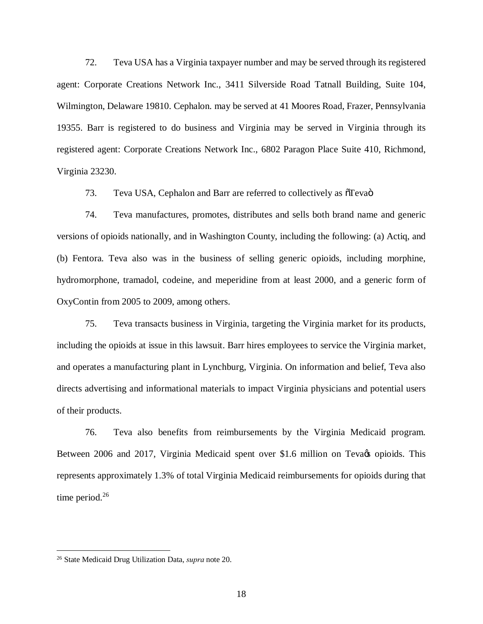72. Teva USA has a Virginia taxpayer number and may be served through its registered agent: Corporate Creations Network Inc., 3411 Silverside Road Tatnall Building, Suite 104, Wilmington, Delaware 19810. Cephalon. may be served at 41 Moores Road, Frazer, Pennsylvania 19355. Barr is registered to do business and Virginia may be served in Virginia through its registered agent: Corporate Creations Network Inc., 6802 Paragon Place Suite 410, Richmond, Virginia 23230.

73. Teva USA, Cephalon and Barr are referred to collectively as  $\sigma$ Teva $\ddot{o}$ 

74. Teva manufactures, promotes, distributes and sells both brand name and generic versions of opioids nationally, and in Washington County, including the following: (a) Actiq, and (b) Fentora. Teva also was in the business of selling generic opioids, including morphine, hydromorphone, tramadol, codeine, and meperidine from at least 2000, and a generic form of OxyContin from 2005 to 2009, among others.

75. Teva transacts business in Virginia, targeting the Virginia market for its products, including the opioids at issue in this lawsuit. Barr hires employees to service the Virginia market, and operates a manufacturing plant in Lynchburg, Virginia. On information and belief, Teva also directs advertising and informational materials to impact Virginia physicians and potential users of their products.

76. Teva also benefits from reimbursements by the Virginia Medicaid program. Between 2006 and 2017, Virginia Medicaid spent over \$1.6 million on Teva & opioids. This represents approximately 1.3% of total Virginia Medicaid reimbursements for opioids during that time period. $26$ 

 <sup>26</sup> State Medicaid Drug Utilization Data, *supra* note 20.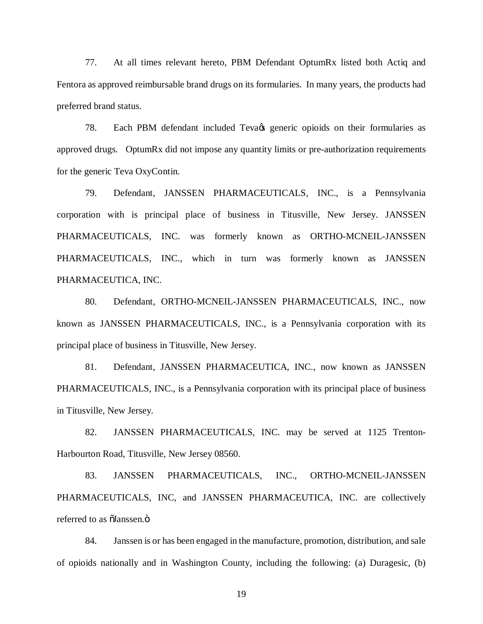77. At all times relevant hereto, PBM Defendant OptumRx listed both Actiq and Fentora as approved reimbursable brand drugs on its formularies. In many years, the products had preferred brand status.

78. Each PBM defendant included Teva & generic opioids on their formularies as approved drugs. OptumRx did not impose any quantity limits or pre-authorization requirements for the generic Teva OxyContin.

79. Defendant, JANSSEN PHARMACEUTICALS, INC., is a Pennsylvania corporation with is principal place of business in Titusville, New Jersey. JANSSEN PHARMACEUTICALS, INC. was formerly known as ORTHO-MCNEIL-JANSSEN PHARMACEUTICALS, INC., which in turn was formerly known as JANSSEN PHARMACEUTICA, INC.

80. Defendant, ORTHO-MCNEIL-JANSSEN PHARMACEUTICALS, INC., now known as JANSSEN PHARMACEUTICALS, INC., is a Pennsylvania corporation with its principal place of business in Titusville, New Jersey.

81. Defendant, JANSSEN PHARMACEUTICA, INC., now known as JANSSEN PHARMACEUTICALS, INC., is a Pennsylvania corporation with its principal place of business in Titusville, New Jersey.

82. JANSSEN PHARMACEUTICALS, INC. may be served at 1125 Trenton-Harbourton Road, Titusville, New Jersey 08560.

83. JANSSEN PHARMACEUTICALS, INC., ORTHO-MCNEIL-JANSSEN PHARMACEUTICALS, INC, and JANSSEN PHARMACEUTICA, INC. are collectively referred to as  $\tilde{\text{a}}$ Janssen. $\ddot{\text{o}}$ 

84. Janssen is or has been engaged in the manufacture, promotion, distribution, and sale of opioids nationally and in Washington County, including the following: (a) Duragesic, (b)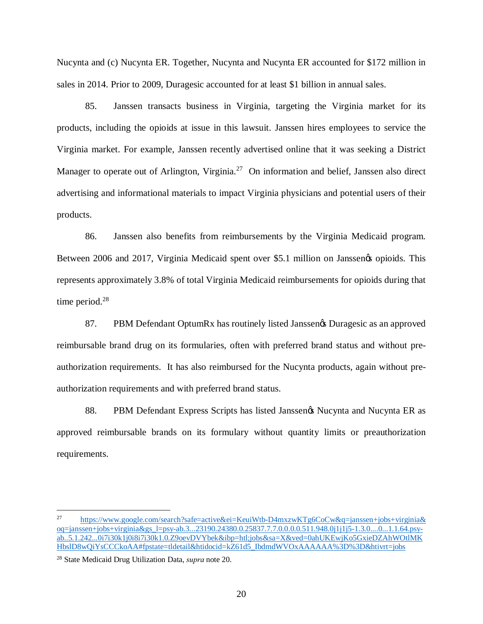Nucynta and (c) Nucynta ER. Together, Nucynta and Nucynta ER accounted for \$172 million in sales in 2014. Prior to 2009, Duragesic accounted for at least \$1 billion in annual sales.

85. Janssen transacts business in Virginia, targeting the Virginia market for its products, including the opioids at issue in this lawsuit. Janssen hires employees to service the Virginia market. For example, Janssen recently advertised online that it was seeking a District Manager to operate out of Arlington, Virginia.<sup>27</sup> On information and belief, Janssen also direct advertising and informational materials to impact Virginia physicians and potential users of their products.

86. Janssen also benefits from reimbursements by the Virginia Medicaid program. Between 2006 and 2017, Virginia Medicaid spent over \$5.1 million on Janssen & opioids. This represents approximately 3.8% of total Virginia Medicaid reimbursements for opioids during that time period.<sup>28</sup>

87. PBM Defendant OptumRx has routinely listed Janssen's Duragesic as an approved reimbursable brand drug on its formularies, often with preferred brand status and without preauthorization requirements. It has also reimbursed for the Nucynta products, again without preauthorization requirements and with preferred brand status.

88. PBM Defendant Express Scripts has listed Janssenøs Nucynta and Nucynta ER as approved reimbursable brands on its formulary without quantity limits or preauthorization requirements.

<sup>&</sup>lt;sup>27</sup> https://www.google.com/search?safe=active&ei=KeuiWtb-D4mxzwKTg6CoCw&q=janssen+jobs+virginia& oq=janssen+jobs+virginia&gs\_l=psy-ab.3...23190.24380.0.25837.7.7.0.0.0.0.511.948.0j1j1j5-1.3.0....0...1.1.64.psyab..5.1.242...0i7i30k1j0i8i7i30k1.0.Z9oevDVYbek&ibp=htl;jobs&sa=X&ved=0ahUKEwjKo5GxieDZAhWOtlMK HbslD8wQiYsCCCkoAA#fpstate=tldetail&htidocid=kZ61d5\_IbdmdWVOxAAAAAA%3D%3D&htivrt=jobs

<sup>28</sup> State Medicaid Drug Utilization Data, *supra* note 20.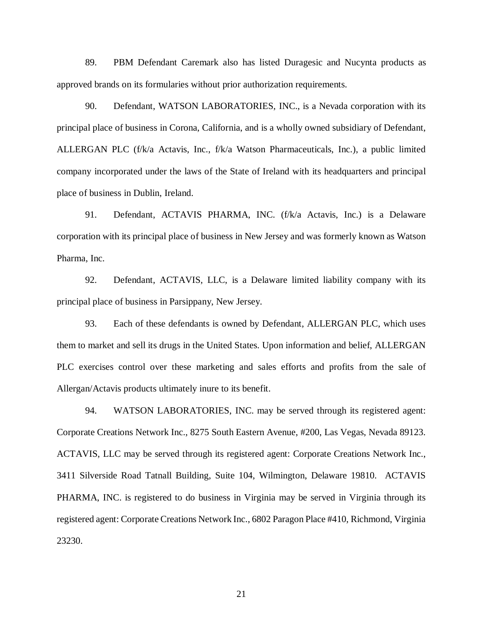89. PBM Defendant Caremark also has listed Duragesic and Nucynta products as approved brands on its formularies without prior authorization requirements.

90. Defendant, WATSON LABORATORIES, INC., is a Nevada corporation with its principal place of business in Corona, California, and is a wholly owned subsidiary of Defendant, ALLERGAN PLC (f/k/a Actavis, Inc., f/k/a Watson Pharmaceuticals, Inc.), a public limited company incorporated under the laws of the State of Ireland with its headquarters and principal place of business in Dublin, Ireland.

91. Defendant, ACTAVIS PHARMA, INC. (f/k/a Actavis, Inc.) is a Delaware corporation with its principal place of business in New Jersey and was formerly known as Watson Pharma, Inc.

92. Defendant, ACTAVIS, LLC, is a Delaware limited liability company with its principal place of business in Parsippany, New Jersey.

93. Each of these defendants is owned by Defendant, ALLERGAN PLC, which uses them to market and sell its drugs in the United States. Upon information and belief, ALLERGAN PLC exercises control over these marketing and sales efforts and profits from the sale of Allergan/Actavis products ultimately inure to its benefit.

94. WATSON LABORATORIES, INC. may be served through its registered agent: Corporate Creations Network Inc., 8275 South Eastern Avenue, #200, Las Vegas, Nevada 89123. ACTAVIS, LLC may be served through its registered agent: Corporate Creations Network Inc., 3411 Silverside Road Tatnall Building, Suite 104, Wilmington, Delaware 19810. ACTAVIS PHARMA, INC. is registered to do business in Virginia may be served in Virginia through its registered agent: Corporate Creations Network Inc., 6802 Paragon Place #410, Richmond, Virginia 23230.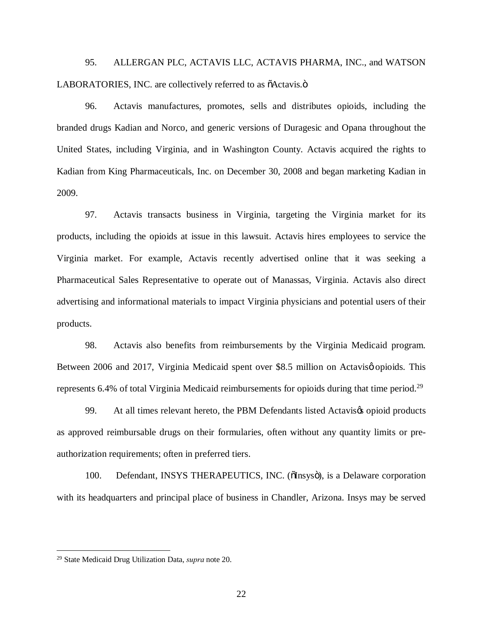95. ALLERGAN PLC, ACTAVIS LLC, ACTAVIS PHARMA, INC., and WATSON LABORATORIES, INC. are collectively referred to as  $\tilde{o}$ Actavis. $\tilde{o}$ 

96. Actavis manufactures, promotes, sells and distributes opioids, including the branded drugs Kadian and Norco, and generic versions of Duragesic and Opana throughout the United States, including Virginia, and in Washington County. Actavis acquired the rights to Kadian from King Pharmaceuticals, Inc. on December 30, 2008 and began marketing Kadian in 2009.

97. Actavis transacts business in Virginia, targeting the Virginia market for its products, including the opioids at issue in this lawsuit. Actavis hires employees to service the Virginia market. For example, Actavis recently advertised online that it was seeking a Pharmaceutical Sales Representative to operate out of Manassas, Virginia. Actavis also direct advertising and informational materials to impact Virginia physicians and potential users of their products.

98. Actavis also benefits from reimbursements by the Virginia Medicaid program. Between 2006 and 2017, Virginia Medicaid spent over \$8.5 million on Actavisø opioids. This represents 6.4% of total Virginia Medicaid reimbursements for opioids during that time period.<sup>29</sup>

99. At all times relevant hereto, the PBM Defendants listed Actavis opioid products as approved reimbursable drugs on their formularies, often without any quantity limits or preauthorization requirements; often in preferred tiers.

100. Defendant, INSYS THERAPEUTICS, INC. (õInsysö), is a Delaware corporation with its headquarters and principal place of business in Chandler, Arizona. Insys may be served

 <sup>29</sup> State Medicaid Drug Utilization Data, *supra* note 20.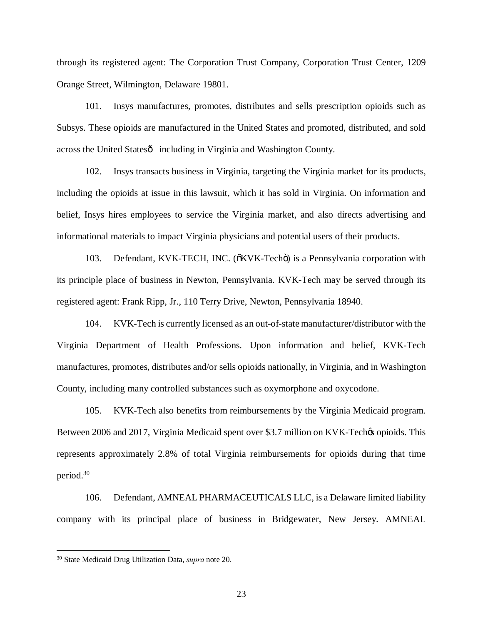through its registered agent: The Corporation Trust Company, Corporation Trust Center, 1209 Orange Street, Wilmington, Delaware 19801.

101. Insys manufactures, promotes, distributes and sells prescription opioids such as Subsys. These opioids are manufactured in the United States and promoted, distributed, and sold across the United Statesô including in Virginia and Washington County.

102. Insys transacts business in Virginia, targeting the Virginia market for its products, including the opioids at issue in this lawsuit, which it has sold in Virginia. On information and belief, Insys hires employees to service the Virginia market, and also directs advertising and informational materials to impact Virginia physicians and potential users of their products.

103. Defendant, KVK-TECH, INC. ( $\delta$ KVK-Tech $\ddot{o}$ ) is a Pennsylvania corporation with its principle place of business in Newton, Pennsylvania. KVK-Tech may be served through its registered agent: Frank Ripp, Jr., 110 Terry Drive, Newton, Pennsylvania 18940.

104. KVK-Tech is currently licensed as an out-of-state manufacturer/distributor with the Virginia Department of Health Professions. Upon information and belief, KVK-Tech manufactures, promotes, distributes and/or sells opioids nationally, in Virginia, and in Washington County, including many controlled substances such as oxymorphone and oxycodone.

105. KVK-Tech also benefits from reimbursements by the Virginia Medicaid program. Between 2006 and 2017, Virginia Medicaid spent over \$3.7 million on KVK-Tech $\alpha$  opioids. This represents approximately 2.8% of total Virginia reimbursements for opioids during that time period.30

106. Defendant, AMNEAL PHARMACEUTICALS LLC, is a Delaware limited liability company with its principal place of business in Bridgewater, New Jersey. AMNEAL

 <sup>30</sup> State Medicaid Drug Utilization Data, *supra* note 20.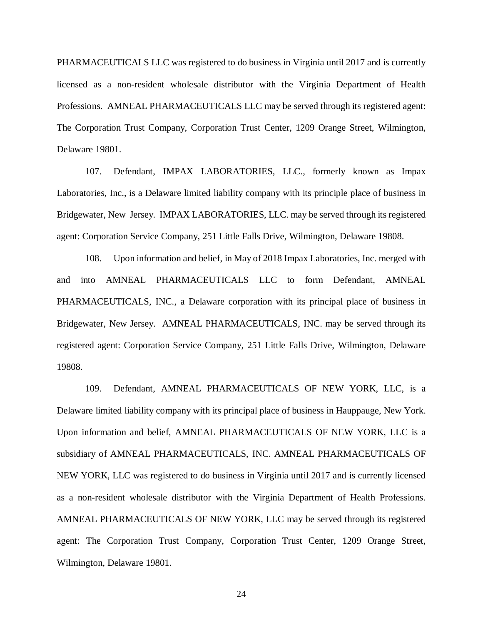PHARMACEUTICALS LLC was registered to do business in Virginia until 2017 and is currently licensed as a non-resident wholesale distributor with the Virginia Department of Health Professions. AMNEAL PHARMACEUTICALS LLC may be served through its registered agent: The Corporation Trust Company, Corporation Trust Center, 1209 Orange Street, Wilmington, Delaware 19801.

107. Defendant, IMPAX LABORATORIES, LLC., formerly known as Impax Laboratories, Inc., is a Delaware limited liability company with its principle place of business in Bridgewater, New Jersey. IMPAX LABORATORIES, LLC. may be served through its registered agent: Corporation Service Company, 251 Little Falls Drive, Wilmington, Delaware 19808.

108. Upon information and belief, in May of 2018 Impax Laboratories, Inc. merged with and into AMNEAL PHARMACEUTICALS LLC to form Defendant, AMNEAL PHARMACEUTICALS, INC., a Delaware corporation with its principal place of business in Bridgewater, New Jersey. AMNEAL PHARMACEUTICALS, INC. may be served through its registered agent: Corporation Service Company, 251 Little Falls Drive, Wilmington, Delaware 19808.

109. Defendant, AMNEAL PHARMACEUTICALS OF NEW YORK, LLC, is a Delaware limited liability company with its principal place of business in Hauppauge, New York. Upon information and belief, AMNEAL PHARMACEUTICALS OF NEW YORK, LLC is a subsidiary of AMNEAL PHARMACEUTICALS, INC. AMNEAL PHARMACEUTICALS OF NEW YORK, LLC was registered to do business in Virginia until 2017 and is currently licensed as a non-resident wholesale distributor with the Virginia Department of Health Professions. AMNEAL PHARMACEUTICALS OF NEW YORK, LLC may be served through its registered agent: The Corporation Trust Company, Corporation Trust Center, 1209 Orange Street, Wilmington, Delaware 19801.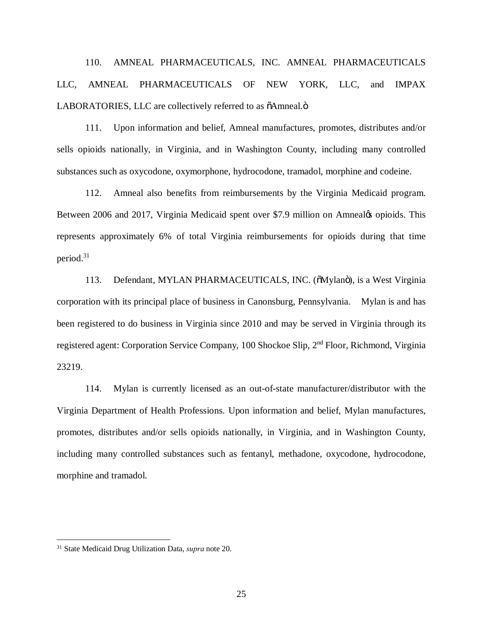110. AMNEAL PHARMACEUTICALS, INC. AMNEAL PHARMACEUTICALS LLC, AMNEAL PHARMACEUTICALS OF NEW YORK, LLC, and IMPAX LABORATORIES, LLC are collectively referred to as  $\tilde{o}$ Amneal. $\tilde{o}$ 

111. Upon information and belief, Amneal manufactures, promotes, distributes and/or sells opioids nationally, in Virginia, and in Washington County, including many controlled substances such as oxycodone, oxymorphone, hydrocodone, tramadol, morphine and codeine.

112. Amneal also benefits from reimbursements by the Virginia Medicaid program. Between 2006 and 2017, Virginia Medicaid spent over \$7.9 million on Amneal¢ opioids. This represents approximately 6% of total Virginia reimbursements for opioids during that time period.31

113. Defendant, MYLAN PHARMACEUTICALS, INC. ( $\delta$ Mylanö), is a West Virginia corporation with its principal place of business in Canonsburg, Pennsylvania. Mylan is and has been registered to do business in Virginia since 2010 and may be served in Virginia through its registered agent: Corporation Service Company, 100 Shockoe Slip, 2nd Floor, Richmond, Virginia 23219.

114. Mylan is currently licensed as an out-of-state manufacturer/distributor with the Virginia Department of Health Professions. Upon information and belief, Mylan manufactures, promotes, distributes and/or sells opioids nationally, in Virginia, and in Washington County, including many controlled substances such as fentanyl, methadone, oxycodone, hydrocodone, morphine and tramadol.

 <sup>31</sup> State Medicaid Drug Utilization Data, *supra* note 20.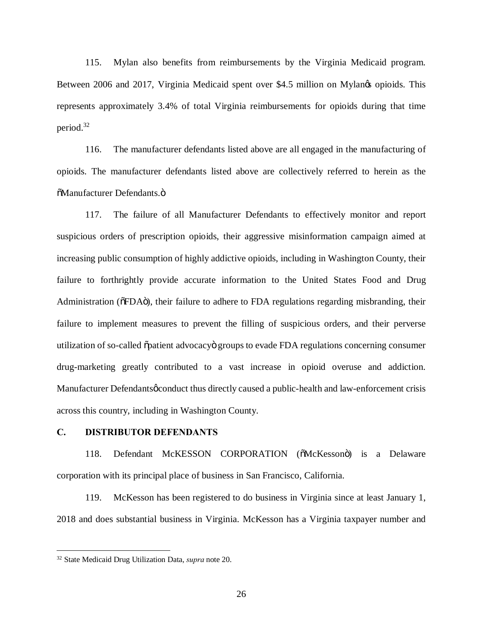115. Mylan also benefits from reimbursements by the Virginia Medicaid program. Between 2006 and 2017, Virginia Medicaid spent over \$4.5 million on Mylangs opioids. This represents approximately 3.4% of total Virginia reimbursements for opioids during that time period.32

116. The manufacturer defendants listed above are all engaged in the manufacturing of opioids. The manufacturer defendants listed above are collectively referred to herein as the  $\tilde{\text{o}}$ Manufacturer Defendants.ö

117. The failure of all Manufacturer Defendants to effectively monitor and report suspicious orders of prescription opioids, their aggressive misinformation campaign aimed at increasing public consumption of highly addictive opioids, including in Washington County, their failure to forthrightly provide accurate information to the United States Food and Drug Administration ( $\delta$ FDA $\delta$ ), their failure to adhere to FDA regulations regarding misbranding, their failure to implement measures to prevent the filling of suspicious orders, and their perverse utilization of so-called  $\ddot{\phi}$  patient advocacy groups to evade FDA regulations concerning consumer drug-marketing greatly contributed to a vast increase in opioid overuse and addiction. Manufacturer Defendants *o*conduct thus directly caused a public-health and law-enforcement crisis across this country, including in Washington County.

# **C. DISTRIBUTOR DEFENDANTS**

118. Defendant McKESSON CORPORATION ( $\delta$ McKesson $\ddot{o}$ ) is a Delaware corporation with its principal place of business in San Francisco, California.

119. McKesson has been registered to do business in Virginia since at least January 1, 2018 and does substantial business in Virginia. McKesson has a Virginia taxpayer number and

 <sup>32</sup> State Medicaid Drug Utilization Data, *supra* note 20.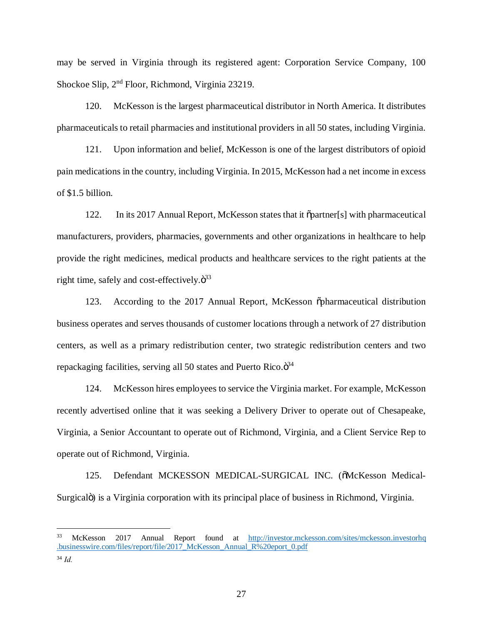may be served in Virginia through its registered agent: Corporation Service Company, 100 Shockoe Slip, 2nd Floor, Richmond, Virginia 23219.

120. McKesson is the largest pharmaceutical distributor in North America. It distributes pharmaceuticals to retail pharmacies and institutional providers in all 50 states, including Virginia.

121. Upon information and belief, McKesson is one of the largest distributors of opioid pain medications in the country, including Virginia. In 2015, McKesson had a net income in excess of \$1.5 billion.

122. In its 2017 Annual Report, McKesson states that it "partner[s] with pharmaceutical manufacturers, providers, pharmacies, governments and other organizations in healthcare to help provide the right medicines, medical products and healthcare services to the right patients at the right time, safely and cost-effectively. $\ddot{\mathrm{o}}^{33}$ 

123. According to the 2017 Annual Report, McKesson õpharmaceutical distribution business operates and serves thousands of customer locations through a network of 27 distribution centers, as well as a primary redistribution center, two strategic redistribution centers and two repackaging facilities, serving all 50 states and Puerto Rico. $\ddot{\sigma}^{34}$ 

124. McKesson hires employees to service the Virginia market. For example, McKesson recently advertised online that it was seeking a Delivery Driver to operate out of Chesapeake, Virginia, a Senior Accountant to operate out of Richmond, Virginia, and a Client Service Rep to operate out of Richmond, Virginia.

125. Defendant MCKESSON MEDICAL-SURGICAL INC. (õMcKesson Medical-Surgicalo is a Virginia corporation with its principal place of business in Richmond, Virginia.

 <sup>33</sup> McKesson 2017 Annual Report found at http://investor.mckesson.com/sites/mckesson.investorhq .businesswire.com/files/report/file/2017\_McKesson\_Annual\_R%20eport\_0.pdf

<sup>34</sup> *Id.*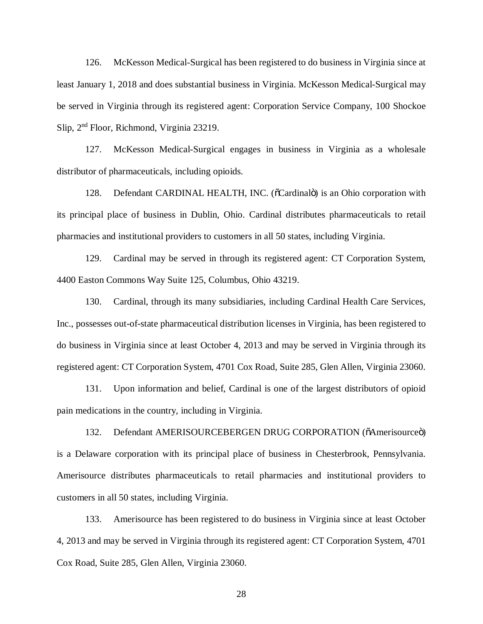126. McKesson Medical-Surgical has been registered to do business in Virginia since at least January 1, 2018 and does substantial business in Virginia. McKesson Medical-Surgical may be served in Virginia through its registered agent: Corporation Service Company, 100 Shockoe Slip, 2nd Floor, Richmond, Virginia 23219.

127. McKesson Medical-Surgical engages in business in Virginia as a wholesale distributor of pharmaceuticals, including opioids.

128. Defendant CARDINAL HEALTH, INC. ( $\tilde{C}$ Cardinalogorial) is an Ohio corporation with its principal place of business in Dublin, Ohio. Cardinal distributes pharmaceuticals to retail pharmacies and institutional providers to customers in all 50 states, including Virginia.

129. Cardinal may be served in through its registered agent: CT Corporation System, 4400 Easton Commons Way Suite 125, Columbus, Ohio 43219.

130. Cardinal, through its many subsidiaries, including Cardinal Health Care Services, Inc., possesses out-of-state pharmaceutical distribution licenses in Virginia, has been registered to do business in Virginia since at least October 4, 2013 and may be served in Virginia through its registered agent: CT Corporation System, 4701 Cox Road, Suite 285, Glen Allen, Virginia 23060.

131. Upon information and belief, Cardinal is one of the largest distributors of opioid pain medications in the country, including in Virginia.

132. Defendant AMERISOURCEBERGEN DRUG CORPORATION (õAmerisourceö) is a Delaware corporation with its principal place of business in Chesterbrook, Pennsylvania. Amerisource distributes pharmaceuticals to retail pharmacies and institutional providers to customers in all 50 states, including Virginia.

133. Amerisource has been registered to do business in Virginia since at least October 4, 2013 and may be served in Virginia through its registered agent: CT Corporation System, 4701 Cox Road, Suite 285, Glen Allen, Virginia 23060.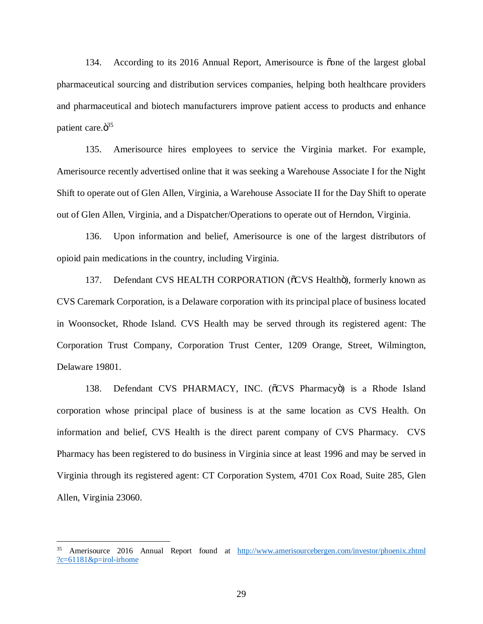134. According to its 2016 Annual Report, Amerisource is one of the largest global pharmaceutical sourcing and distribution services companies, helping both healthcare providers and pharmaceutical and biotech manufacturers improve patient access to products and enhance patient care. $\ddot{\mathrm{o}}^{35}$ 

135. Amerisource hires employees to service the Virginia market. For example, Amerisource recently advertised online that it was seeking a Warehouse Associate I for the Night Shift to operate out of Glen Allen, Virginia, a Warehouse Associate II for the Day Shift to operate out of Glen Allen, Virginia, and a Dispatcher/Operations to operate out of Herndon, Virginia.

136. Upon information and belief, Amerisource is one of the largest distributors of opioid pain medications in the country, including Virginia.

137. Defendant CVS HEALTH CORPORATION (õCVS Healthö), formerly known as CVS Caremark Corporation, is a Delaware corporation with its principal place of business located in Woonsocket, Rhode Island. CVS Health may be served through its registered agent: The Corporation Trust Company, Corporation Trust Center, 1209 Orange, Street, Wilmington, Delaware 19801.

138. Defendant CVS PHARMACY, INC. ( $\sigma$ CVS Pharmacyo is a Rhode Island corporation whose principal place of business is at the same location as CVS Health. On information and belief, CVS Health is the direct parent company of CVS Pharmacy. CVS Pharmacy has been registered to do business in Virginia since at least 1996 and may be served in Virginia through its registered agent: CT Corporation System, 4701 Cox Road, Suite 285, Glen Allen, Virginia 23060.

<sup>&</sup>lt;sup>35</sup> Amerisource 2016 Annual Report found at http://www.amerisourcebergen.com/investor/phoenix.zhtml ?c= $61181$ &p=irol-irhome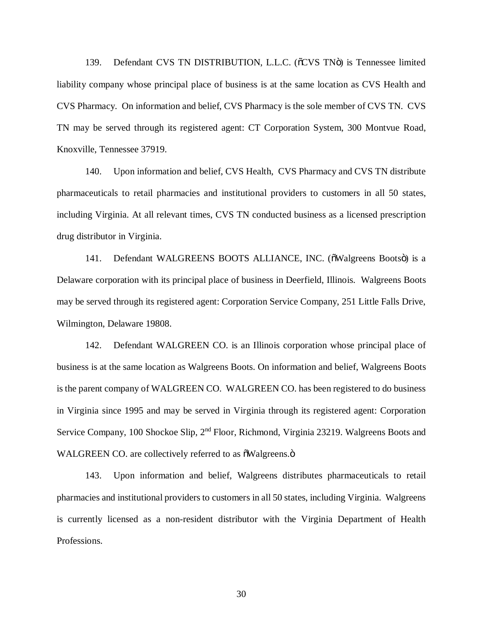139. Defendant CVS TN DISTRIBUTION, L.L.C. (õCVS TNö) is Tennessee limited liability company whose principal place of business is at the same location as CVS Health and CVS Pharmacy. On information and belief, CVS Pharmacy is the sole member of CVS TN. CVS TN may be served through its registered agent: CT Corporation System, 300 Montvue Road, Knoxville, Tennessee 37919.

140. Upon information and belief, CVS Health, CVS Pharmacy and CVS TN distribute pharmaceuticals to retail pharmacies and institutional providers to customers in all 50 states, including Virginia. At all relevant times, CVS TN conducted business as a licensed prescription drug distributor in Virginia.

141. Defendant WALGREENS BOOTS ALLIANCE, INC. ( $\delta$ Walgreens Boots $\ddot{o}$ ) is a Delaware corporation with its principal place of business in Deerfield, Illinois. Walgreens Boots may be served through its registered agent: Corporation Service Company, 251 Little Falls Drive, Wilmington, Delaware 19808.

142. Defendant WALGREEN CO. is an Illinois corporation whose principal place of business is at the same location as Walgreens Boots. On information and belief, Walgreens Boots is the parent company of WALGREEN CO. WALGREEN CO. has been registered to do business in Virginia since 1995 and may be served in Virginia through its registered agent: Corporation Service Company, 100 Shockoe Slip, 2<sup>nd</sup> Floor, Richmond, Virginia 23219. Walgreens Boots and WALGREEN CO. are collectively referred to as  $\delta$ Walgreens. $\ddot{\text{o}}$ 

143. Upon information and belief, Walgreens distributes pharmaceuticals to retail pharmacies and institutional providers to customers in all 50 states, including Virginia. Walgreens is currently licensed as a non-resident distributor with the Virginia Department of Health Professions.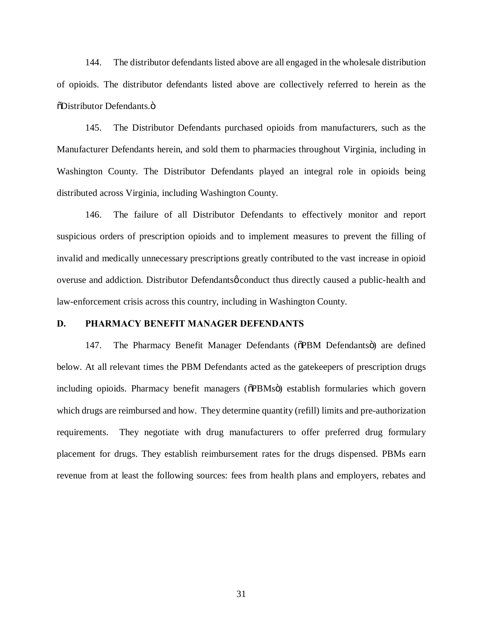144. The distributor defendants listed above are all engaged in the wholesale distribution of opioids. The distributor defendants listed above are collectively referred to herein as the  $\delta$ Distributor Defendants. $\ddot{\mathrm{o}}$ 

145. The Distributor Defendants purchased opioids from manufacturers, such as the Manufacturer Defendants herein, and sold them to pharmacies throughout Virginia, including in Washington County. The Distributor Defendants played an integral role in opioids being distributed across Virginia, including Washington County.

146. The failure of all Distributor Defendants to effectively monitor and report suspicious orders of prescription opioids and to implement measures to prevent the filling of invalid and medically unnecessary prescriptions greatly contributed to the vast increase in opioid overuse and addiction. Distributor Defendantsø conduct thus directly caused a public-health and law-enforcement crisis across this country, including in Washington County.

### **D. PHARMACY BENEFIT MANAGER DEFENDANTS**

147. The Pharmacy Benefit Manager Defendants ( $\delta$ PBM Defendants $\delta$ ) are defined below. At all relevant times the PBM Defendants acted as the gatekeepers of prescription drugs including opioids. Pharmacy benefit managers ( $\delta$ PBMs $\ddot{o}$ ) establish formularies which govern which drugs are reimbursed and how. They determine quantity (refill) limits and pre-authorization requirements. They negotiate with drug manufacturers to offer preferred drug formulary placement for drugs. They establish reimbursement rates for the drugs dispensed. PBMs earn revenue from at least the following sources: fees from health plans and employers, rebates and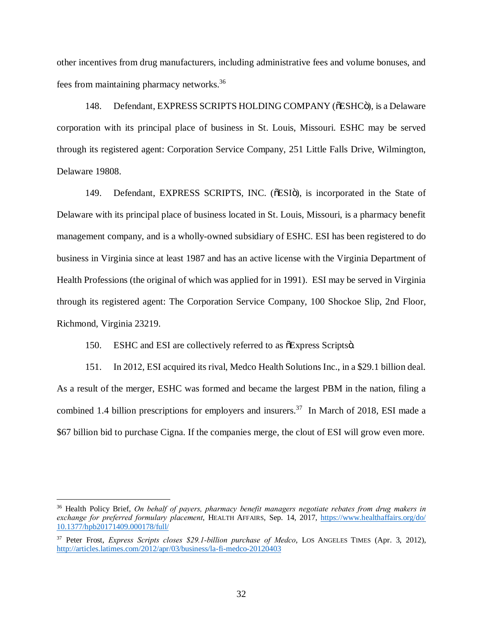other incentives from drug manufacturers, including administrative fees and volume bonuses, and fees from maintaining pharmacy networks.36

148. Defendant, EXPRESS SCRIPTS HOLDING COMPANY ( $\delta$ ESHC $\ddot{o}$ ), is a Delaware corporation with its principal place of business in St. Louis, Missouri. ESHC may be served through its registered agent: Corporation Service Company, 251 Little Falls Drive, Wilmington, Delaware 19808.

149. Defendant, EXPRESS SCRIPTS, INC. ( $\delta$ ESI $\ddot{o}$ ), is incorporated in the State of Delaware with its principal place of business located in St. Louis, Missouri, is a pharmacy benefit management company, and is a wholly-owned subsidiary of ESHC. ESI has been registered to do business in Virginia since at least 1987 and has an active license with the Virginia Department of Health Professions (the original of which was applied for in 1991). ESI may be served in Virginia through its registered agent: The Corporation Service Company, 100 Shockoe Slip, 2nd Floor, Richmond, Virginia 23219.

150. ESHC and ESI are collectively referred to as  $\delta$ Express Scripts $\ddot{o}$ .

151. In 2012, ESI acquired its rival, Medco Health Solutions Inc., in a \$29.1 billion deal. As a result of the merger, ESHC was formed and became the largest PBM in the nation, filing a combined 1.4 billion prescriptions for employers and insurers.<sup>37</sup> In March of 2018, ESI made a \$67 billion bid to purchase Cigna. If the companies merge, the clout of ESI will grow even more.

 <sup>36</sup> Health Policy Brief, *On behalf of payers, pharmacy benefit managers negotiate rebates from drug makers in exchange for preferred formulary placement*, HEALTH AFFAIRS, Sep. 14, 2017, https://www.healthaffairs.org/do/ 10.1377/hpb20171409.000178/full/

<sup>37</sup> Peter Frost, *Express Scripts closes \$29.1-billion purchase of Medco*, LOS ANGELES TIMES (Apr. 3, 2012), http://articles.latimes.com/2012/apr/03/business/la-fi-medco-20120403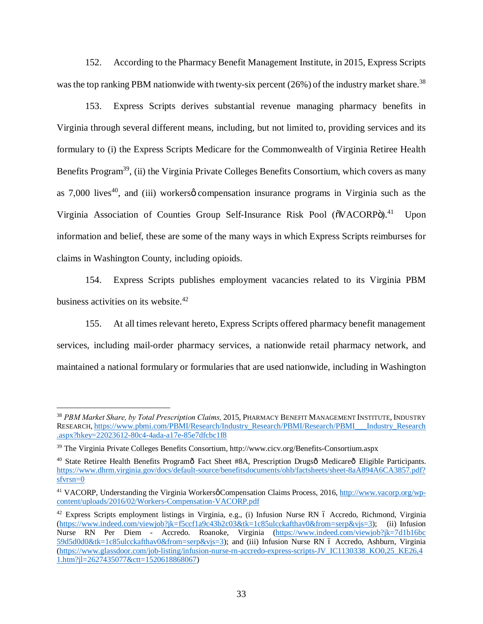152. According to the Pharmacy Benefit Management Institute, in 2015, Express Scripts was the top ranking PBM nationwide with twenty-six percent  $(26%)$  of the industry market share.<sup>38</sup>

153. Express Scripts derives substantial revenue managing pharmacy benefits in Virginia through several different means, including, but not limited to, providing services and its formulary to (i) the Express Scripts Medicare for the Commonwealth of Virginia Retiree Health Benefits Program<sup>39</sup>, (ii) the Virginia Private Colleges Benefits Consortium, which covers as many as  $7,000$  lives<sup>40</sup>, and (iii) workers  $\phi$  compensation insurance programs in Virginia such as the Virginia Association of Counties Group Self-Insurance Risk Pool ( $\delta$ VACORP $\ddot{o}$ ).<sup>41</sup> Upon information and belief, these are some of the many ways in which Express Scripts reimburses for claims in Washington County, including opioids.

154. Express Scripts publishes employment vacancies related to its Virginia PBM business activities on its website. $42$ 

155. At all times relevant hereto, Express Scripts offered pharmacy benefit management services, including mail-order pharmacy services, a nationwide retail pharmacy network, and maintained a national formulary or formularies that are used nationwide, including in Washington

 <sup>38</sup> *PBM Market Share, by Total Prescription Claims,* 2015, PHARMACY BENEFIT MANAGEMENT INSTITUTE, INDUSTRY RESEARCH, https://www.pbmi.com/PBMI/Research/Industry\_Research/PBMI/Research/PBMI\_\_\_Industry\_Research .aspx?hkey=22023612-80c4-4ada-a17e-85e7dfcbc1f8

<sup>39</sup> The Virginia Private Colleges Benefits Consortium, http://www.cicv.org/Benefits-Consortium.aspx

<sup>&</sup>lt;sup>40</sup> State Retiree Health Benefits Programô Fact Sheet #8A, Prescription Drugsô Medicareô Eligible Participants. https://www.dhrm.virginia.gov/docs/default-source/benefitsdocuments/ohb/factsheets/sheet-8aA894A6CA3857.pdf? sfvrsn=0

<sup>&</sup>lt;sup>41</sup> VACORP, Understanding the Virginia Workersø Compensation Claims Process, 2016, http://www.vacorp.org/wpcontent/uploads/2016/02/Workers-Compensation-VACORP.pdf

<sup>&</sup>lt;sup>42</sup> Express Scripts employment listings in Virginia, e.g., (i) Infusion Nurse RN 6 Accredo, Richmond, Virginia (https://www.indeed.com/viewjob?jk=f5ccf1a9c43b2c03&tk=1c85ulcckafthav0&from=serp&vjs=3); (ii) Infusion Nurse RN Per Diem - Accredo. Roanoke, Virginia (https://www.indeed.com/viewjob?jk=7d1b16bc 59d5d0d0&tk=1c85ulcckafthav0&from=serp&vjs=3); and (iii) Infusion Nurse RN 6 Accredo, Ashburn, Virginia (https://www.glassdoor.com/job-listing/infusion-nurse-rn-accredo-express-scripts-JV\_IC1130338\_KO0,25\_KE26,4 1.htm?jl=2627435077&ctt=1520618868067)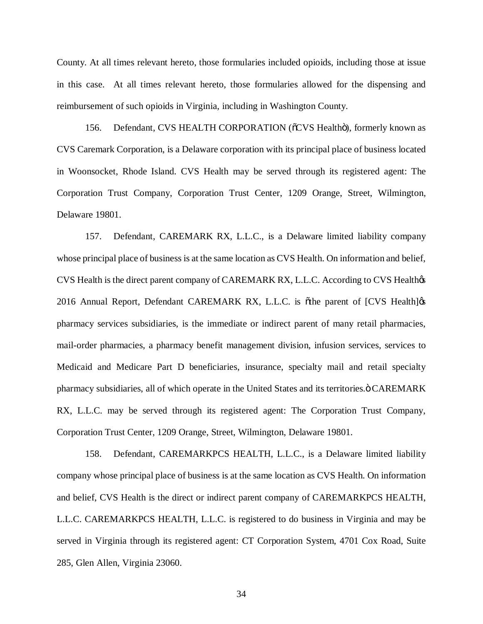County. At all times relevant hereto, those formularies included opioids, including those at issue in this case. At all times relevant hereto, those formularies allowed for the dispensing and reimbursement of such opioids in Virginia, including in Washington County.

156. Defendant, CVS HEALTH CORPORATION ( $\delta$ CVS Healthö), formerly known as CVS Caremark Corporation, is a Delaware corporation with its principal place of business located in Woonsocket, Rhode Island. CVS Health may be served through its registered agent: The Corporation Trust Company, Corporation Trust Center, 1209 Orange, Street, Wilmington, Delaware 19801.

157. Defendant, CAREMARK RX, L.L.C., is a Delaware limited liability company whose principal place of business is at the same location as CVS Health. On information and belief, CVS Health is the direct parent company of CAREMARK RX, L.L.C. According to CVS Healthos 2016 Annual Report, Defendant CAREMARK RX, L.L.C. is othe parent of [CVS Health]  $\alpha$ pharmacy services subsidiaries, is the immediate or indirect parent of many retail pharmacies, mail-order pharmacies, a pharmacy benefit management division, infusion services, services to Medicaid and Medicare Part D beneficiaries, insurance, specialty mail and retail specialty pharmacy subsidiaries, all of which operate in the United States and its territories.ö CAREMARK RX, L.L.C. may be served through its registered agent: The Corporation Trust Company, Corporation Trust Center, 1209 Orange, Street, Wilmington, Delaware 19801.

158. Defendant, CAREMARKPCS HEALTH, L.L.C., is a Delaware limited liability company whose principal place of business is at the same location as CVS Health. On information and belief, CVS Health is the direct or indirect parent company of CAREMARKPCS HEALTH, L.L.C. CAREMARKPCS HEALTH, L.L.C. is registered to do business in Virginia and may be served in Virginia through its registered agent: CT Corporation System, 4701 Cox Road, Suite 285, Glen Allen, Virginia 23060.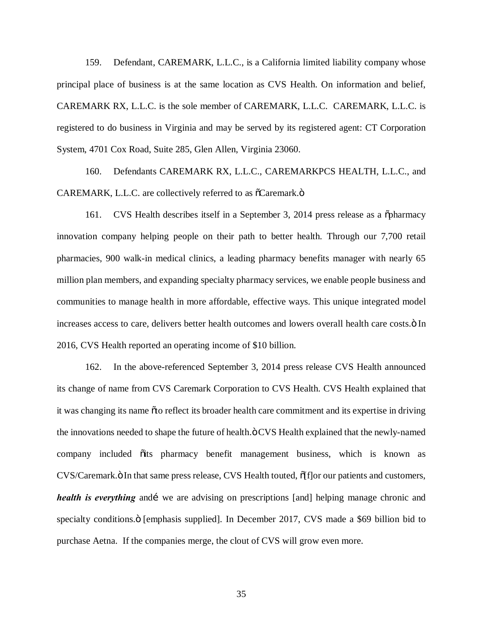159. Defendant, CAREMARK, L.L.C., is a California limited liability company whose principal place of business is at the same location as CVS Health. On information and belief, CAREMARK RX, L.L.C. is the sole member of CAREMARK, L.L.C. CAREMARK, L.L.C. is registered to do business in Virginia and may be served by its registered agent: CT Corporation System, 4701 Cox Road, Suite 285, Glen Allen, Virginia 23060.

160. Defendants CAREMARK RX, L.L.C., CAREMARKPCS HEALTH, L.L.C., and  $CARENT, L.L.C.$  are collectively referred to as  $\tilde{C}C$  are a complex number of elements.

161. CVS Health describes itself in a September 3, 2014 press release as a  $\ddot{\text{opharmacy}}$ innovation company helping people on their path to better health. Through our 7,700 retail pharmacies, 900 walk-in medical clinics, a leading pharmacy benefits manager with nearly 65 million plan members, and expanding specialty pharmacy services, we enable people business and communities to manage health in more affordable, effective ways. This unique integrated model increases access to care, delivers better health outcomes and lowers overall health care costs. $\ddot{o}$  In 2016, CVS Health reported an operating income of \$10 billion.

162. In the above-referenced September 3, 2014 press release CVS Health announced its change of name from CVS Caremark Corporation to CVS Health. CVS Health explained that it was changing its name  $\tilde{o}$  to reflect its broader health care commitment and its expertise in driving the innovations needed to shape the future of health. $\ddot{o}$  CVS Health explained that the newly-named company included  $\tilde{o}$  its pharmacy benefit management business, which is known as CVS/Caremark. $\ddot{o}$  In that same press release, CVS Health touted,  $\ddot{o}$  (f]or our patients and customers, *health is everything* and *i* we are advising on prescriptions [and] helping manage chronic and specialty conditions. $\ddot{o}$  [emphasis supplied]. In December 2017, CVS made a \$69 billion bid to purchase Aetna. If the companies merge, the clout of CVS will grow even more.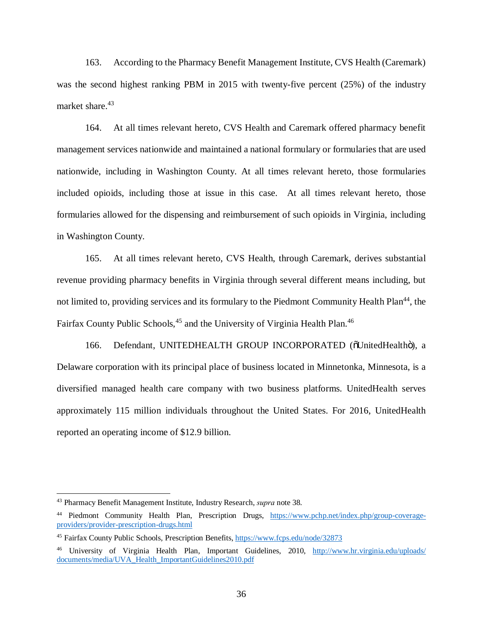163. According to the Pharmacy Benefit Management Institute, CVS Health (Caremark) was the second highest ranking PBM in 2015 with twenty-five percent (25%) of the industry market share.<sup>43</sup>

164. At all times relevant hereto, CVS Health and Caremark offered pharmacy benefit management services nationwide and maintained a national formulary or formularies that are used nationwide, including in Washington County. At all times relevant hereto, those formularies included opioids, including those at issue in this case. At all times relevant hereto, those formularies allowed for the dispensing and reimbursement of such opioids in Virginia, including in Washington County.

165. At all times relevant hereto, CVS Health, through Caremark, derives substantial revenue providing pharmacy benefits in Virginia through several different means including, but not limited to, providing services and its formulary to the Piedmont Community Health Plan<sup>44</sup>, the Fairfax County Public Schools,<sup>45</sup> and the University of Virginia Health Plan.<sup>46</sup>

166. Defendant, UNITEDHEALTH GROUP INCORPORATED (õUnitedHealthö), a Delaware corporation with its principal place of business located in Minnetonka, Minnesota, is a diversified managed health care company with two business platforms. UnitedHealth serves approximately 115 million individuals throughout the United States. For 2016, UnitedHealth reported an operating income of \$12.9 billion.

 <sup>43</sup> Pharmacy Benefit Management Institute, Industry Research, *supra* note 38.

<sup>44</sup> Piedmont Community Health Plan, Prescription Drugs, https://www.pchp.net/index.php/group-coverageproviders/provider-prescription-drugs.html

<sup>45</sup> Fairfax County Public Schools, Prescription Benefits, https://www.fcps.edu/node/32873

<sup>46</sup> University of Virginia Health Plan, Important Guidelines, 2010, http://www.hr.virginia.edu/uploads/ documents/media/UVA\_Health\_ImportantGuidelines2010.pdf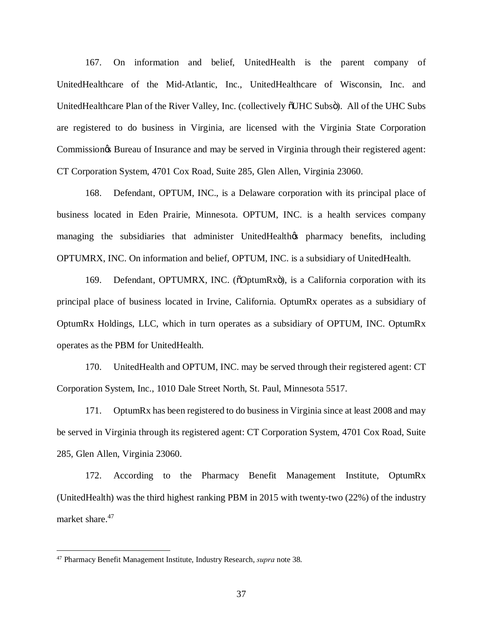167. On information and belief, UnitedHealth is the parent company of UnitedHealthcare of the Mid-Atlantic, Inc., UnitedHealthcare of Wisconsin, Inc. and UnitedHealthcare Plan of the River Valley, Inc. (collectively  $\delta$ UHC Subs $\delta$ ). All of the UHC Subs are registered to do business in Virginia, are licensed with the Virginia State Corporation Commission & Bureau of Insurance and may be served in Virginia through their registered agent: CT Corporation System, 4701 Cox Road, Suite 285, Glen Allen, Virginia 23060.

168. Defendant, OPTUM, INC., is a Delaware corporation with its principal place of business located in Eden Prairie, Minnesota. OPTUM, INC. is a health services company managing the subsidiaries that administer UnitedHealthos pharmacy benefits, including OPTUMRX, INC. On information and belief, OPTUM, INC. is a subsidiary of UnitedHealth.

169. Defendant, OPTUMRX, INC. (õOptumRxö), is a California corporation with its principal place of business located in Irvine, California. OptumRx operates as a subsidiary of OptumRx Holdings, LLC, which in turn operates as a subsidiary of OPTUM, INC. OptumRx operates as the PBM for UnitedHealth.

170. UnitedHealth and OPTUM, INC. may be served through their registered agent: CT Corporation System, Inc., 1010 Dale Street North, St. Paul, Minnesota 5517.

171. OptumRx has been registered to do business in Virginia since at least 2008 and may be served in Virginia through its registered agent: CT Corporation System, 4701 Cox Road, Suite 285, Glen Allen, Virginia 23060.

172. According to the Pharmacy Benefit Management Institute, OptumRx (UnitedHealth) was the third highest ranking PBM in 2015 with twenty-two (22%) of the industry market share.<sup>47</sup>

 <sup>47</sup> Pharmacy Benefit Management Institute, Industry Research, *supra* note 38.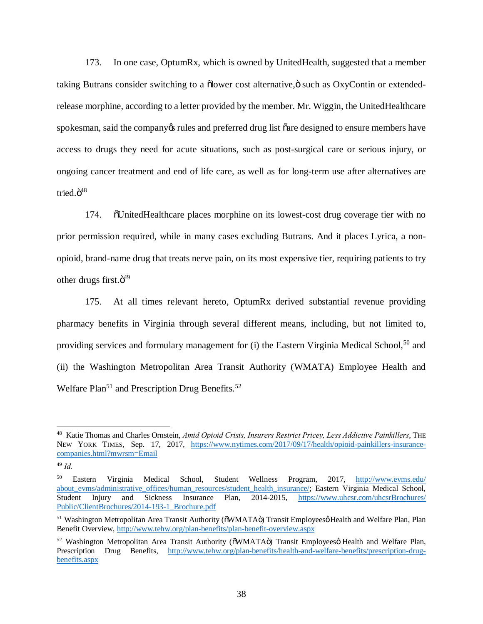173. In one case, OptumRx, which is owned by UnitedHealth, suggested that a member taking Butrans consider switching to a  $\delta$  ower cost alternative, $\delta$  such as OxyContin or extendedrelease morphine, according to a letter provided by the member. Mr. Wiggin, the UnitedHealthcare spokesman, said the company os rules and preferred drug list oare designed to ensure members have access to drugs they need for acute situations, such as post-surgical care or serious injury, or ongoing cancer treatment and end of life care, as well as for long-term use after alternatives are tried. $\ddot{\mathrm{o}}^{48}$ 

174. "UnitedHealthcare places morphine on its lowest-cost drug coverage tier with no prior permission required, while in many cases excluding Butrans. And it places Lyrica, a nonopioid, brand-name drug that treats nerve pain, on its most expensive tier, requiring patients to try other drugs first. $\ddot{\mathrm{o}}^{49}$ 

175. At all times relevant hereto, OptumRx derived substantial revenue providing pharmacy benefits in Virginia through several different means, including, but not limited to, providing services and formulary management for (i) the Eastern Virginia Medical School,<sup>50</sup> and (ii) the Washington Metropolitan Area Transit Authority (WMATA) Employee Health and Welfare Plan<sup>51</sup> and Prescription Drug Benefits.<sup>52</sup>

 <sup>48</sup> Katie Thomas and Charles Ornstein, *Amid Opioid Crisis, Insurers Restrict Pricey, Less Addictive Painkillers*, THE NEW YORK TIMES, Sep. 17, 2017, https://www.nytimes.com/2017/09/17/health/opioid-painkillers-insurancecompanies.html?mwrsm=Email

<sup>49</sup> *Id.*

<sup>50</sup> Eastern Virginia Medical School, Student Wellness Program, 2017, http://www.evms.edu/ about\_evms/administrative\_offices/human\_resources/student\_health\_insurance/; Eastern Virginia Medical School, Student Injury and Sickness Insurance Plan, 2014-2015, https://www.uhcsr.com/uhcsrBrochures/ Public/ClientBrochures/2014-193-1\_Brochure.pdf

<sup>&</sup>lt;sup>51</sup> Washington Metropolitan Area Transit Authority ( $\delta$ WMATA $\ddot{o}$ ) Transit Employees $\ddot{o}$  Health and Welfare Plan, Plan Benefit Overview, http://www.tehw.org/plan-benefits/plan-benefit-overview.aspx

<sup>&</sup>lt;sup>52</sup> Washington Metropolitan Area Transit Authority ( $\delta$ WMATA $\ddot{o}$ ) Transit Employeesø Health and Welfare Plan, Prescription Drug Benefits, http://www.tehw.org/plan-benefits/health-and-welfare-benefits/prescription-drugbenefits.aspx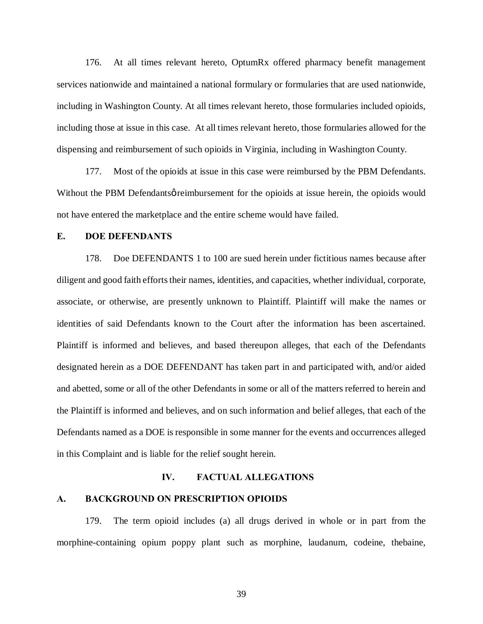176. At all times relevant hereto, OptumRx offered pharmacy benefit management services nationwide and maintained a national formulary or formularies that are used nationwide, including in Washington County. At all times relevant hereto, those formularies included opioids, including those at issue in this case. At all times relevant hereto, those formularies allowed for the dispensing and reimbursement of such opioids in Virginia, including in Washington County.

177. Most of the opioids at issue in this case were reimbursed by the PBM Defendants. Without the PBM Defendants o reimbursement for the opioids at issue herein, the opioids would not have entered the marketplace and the entire scheme would have failed.

### **E. DOE DEFENDANTS**

178. Doe DEFENDANTS 1 to 100 are sued herein under fictitious names because after diligent and good faith efforts their names, identities, and capacities, whether individual, corporate, associate, or otherwise, are presently unknown to Plaintiff. Plaintiff will make the names or identities of said Defendants known to the Court after the information has been ascertained. Plaintiff is informed and believes, and based thereupon alleges, that each of the Defendants designated herein as a DOE DEFENDANT has taken part in and participated with, and/or aided and abetted, some or all of the other Defendants in some or all of the matters referred to herein and the Plaintiff is informed and believes, and on such information and belief alleges, that each of the Defendants named as a DOE is responsible in some manner for the events and occurrences alleged in this Complaint and is liable for the relief sought herein.

## **IV. FACTUAL ALLEGATIONS**

## **A. BACKGROUND ON PRESCRIPTION OPIOIDS**

179. The term opioid includes (a) all drugs derived in whole or in part from the morphine-containing opium poppy plant such as morphine, laudanum, codeine, thebaine,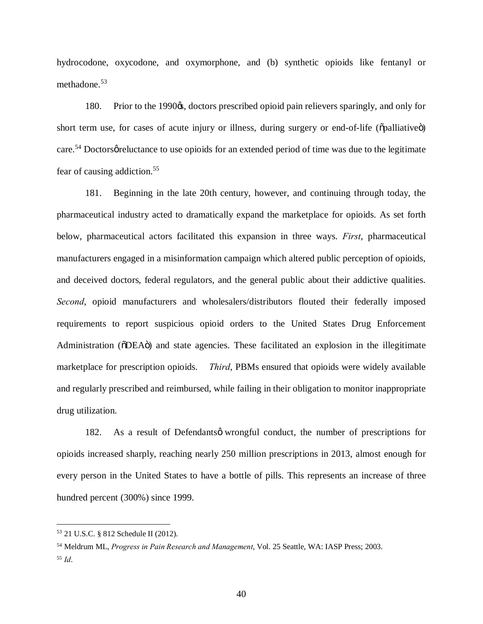hydrocodone, oxycodone, and oxymorphone, and (b) synthetic opioids like fentanyl or methadone.<sup>53</sup>

180. Prior to the 1990<sub> $\&$ </sub>, doctors prescribed opioid pain relievers sparingly, and only for short term use, for cases of acute injury or illness, during surgery or end-of-life ( $\ddot{\text{op}}$ alliative $\ddot{\text{o}}$ ) care.<sup>54</sup> Doctors or eluctance to use opioids for an extended period of time was due to the legitimate fear of causing addiction.<sup>55</sup>

181. Beginning in the late 20th century, however, and continuing through today, the pharmaceutical industry acted to dramatically expand the marketplace for opioids. As set forth below, pharmaceutical actors facilitated this expansion in three ways. *First*, pharmaceutical manufacturers engaged in a misinformation campaign which altered public perception of opioids, and deceived doctors, federal regulators, and the general public about their addictive qualities. *Second*, opioid manufacturers and wholesalers/distributors flouted their federally imposed requirements to report suspicious opioid orders to the United States Drug Enforcement Administration ( $\delta$ DEA $\ddot{o}$ ) and state agencies. These facilitated an explosion in the illegitimate marketplace for prescription opioids. *Third*, PBMs ensured that opioids were widely available and regularly prescribed and reimbursed, while failing in their obligation to monitor inappropriate drug utilization.

182. As a result of Defendants of wrongful conduct, the number of prescriptions for opioids increased sharply, reaching nearly 250 million prescriptions in 2013, almost enough for every person in the United States to have a bottle of pills. This represents an increase of three hundred percent (300%) since 1999.

 <sup>53</sup> 21 U.S.C. § 812 Schedule II (2012).

<sup>54</sup> Meldrum ML, *Progress in Pain Research and Management*, Vol. 25 Seattle, WA: IASP Press; 2003. <sup>55</sup> *Id*.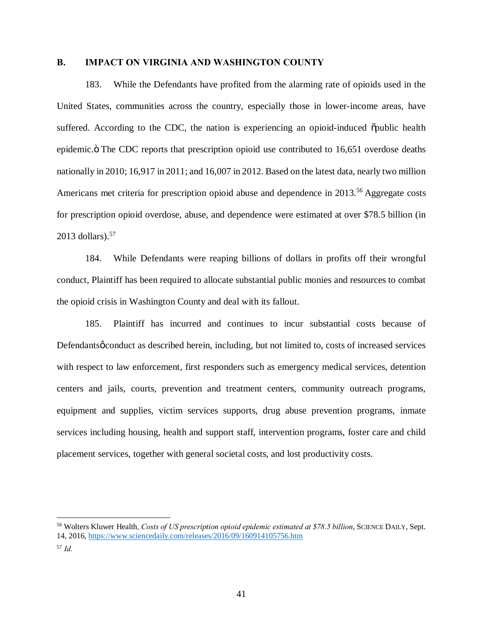## **B. IMPACT ON VIRGINIA AND WASHINGTON COUNTY**

183. While the Defendants have profited from the alarming rate of opioids used in the United States, communities across the country, especially those in lower-income areas, have suffered. According to the CDC, the nation is experiencing an opioid-induced  $\ddot{\text{op}}$  opublic health epidemic. The CDC reports that prescription opioid use contributed to 16,651 overdose deaths nationally in 2010; 16,917 in 2011; and 16,007 in 2012. Based on the latest data, nearly two million Americans met criteria for prescription opioid abuse and dependence in 2013.<sup>56</sup> Aggregate costs for prescription opioid overdose, abuse, and dependence were estimated at over \$78.5 billion (in 2013 dollars). $57$ 

184. While Defendants were reaping billions of dollars in profits off their wrongful conduct, Plaintiff has been required to allocate substantial public monies and resources to combat the opioid crisis in Washington County and deal with its fallout.

185. Plaintiff has incurred and continues to incur substantial costs because of Defendants *g* conduct as described herein, including, but not limited to, costs of increased services with respect to law enforcement, first responders such as emergency medical services, detention centers and jails, courts, prevention and treatment centers, community outreach programs, equipment and supplies, victim services supports, drug abuse prevention programs, inmate services including housing, health and support staff, intervention programs, foster care and child placement services, together with general societal costs, and lost productivity costs.

 <sup>56</sup> Wolters Kluwer Health*, Costs of US prescription opioid epidemic estimated at \$78.5 billion*, SCIENCE DAILY, Sept. 14, 2016, https://www.sciencedaily.com/releases/2016/09/160914105756.htm

<sup>57</sup> *Id.*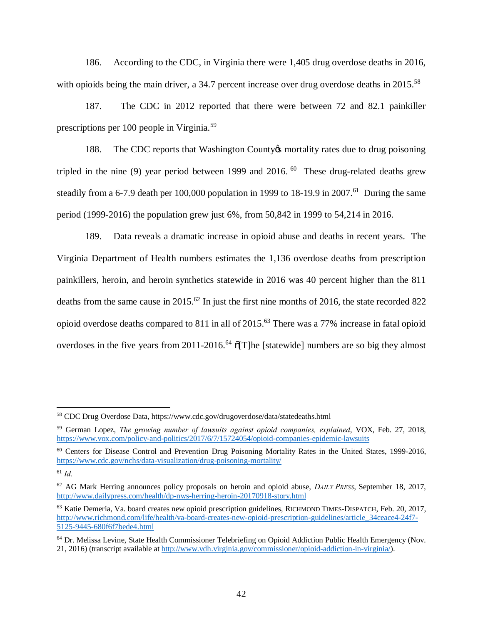186. According to the CDC, in Virginia there were 1,405 drug overdose deaths in 2016, with opioids being the main driver, a 34.7 percent increase over drug overdose deaths in 2015.<sup>58</sup>

187. The CDC in 2012 reported that there were between 72 and 82.1 painkiller prescriptions per 100 people in Virginia.<sup>59</sup>

188. The CDC reports that Washington County the mortality rates due to drug poisoning tripled in the nine (9) year period between 1999 and 2016.  $^{60}$  These drug-related deaths grew steadily from a 6-7.9 death per 100,000 population in 1999 to 18-19.9 in 2007.<sup>61</sup> During the same period (1999-2016) the population grew just 6%, from 50,842 in 1999 to 54,214 in 2016.

189. Data reveals a dramatic increase in opioid abuse and deaths in recent years. The Virginia Department of Health numbers estimates the 1,136 overdose deaths from prescription painkillers, heroin, and heroin synthetics statewide in 2016 was 40 percent higher than the 811 deaths from the same cause in 2015.<sup>62</sup> In just the first nine months of 2016, the state recorded 822 opioid overdose deaths compared to 811 in all of 2015.63 There was a 77% increase in fatal opioid overdoses in the five years from 2011-2016.<sup>64</sup>  $\sigma$ [T]he [statewide] numbers are so big they almost

 <sup>58</sup> CDC Drug Overdose Data, https://www.cdc.gov/drugoverdose/data/statedeaths.html

<sup>59</sup> German Lopez, *The growing number of lawsuits against opioid companies, explained*, VOX, Feb. 27, 2018, https://www.vox.com/policy-and-politics/2017/6/7/15724054/opioid-companies-epidemic-lawsuits

<sup>60</sup> Centers for Disease Control and Prevention Drug Poisoning Mortality Rates in the United States, 1999-2016, https://www.cdc.gov/nchs/data-visualization/drug-poisoning-mortality/

<sup>61</sup> *Id.*

<sup>62</sup> AG Mark Herring announces policy proposals on heroin and opioid abuse, *DAILY PRESS*, September 18, 2017, http://www.dailypress.com/health/dp-nws-herring-heroin-20170918-story.html

<sup>63</sup> Katie Demeria, Va. board creates new opioid prescription guidelines, RICHMOND TIMES-DISPATCH, Feb. 20, 2017, http://www.richmond.com/life/health/va-board-creates-new-opioid-prescription-guidelines/article\_34ceace4-24f7- 5125-9445-680f6f7bede4.html

<sup>64</sup> Dr. Melissa Levine, State Health Commissioner Telebriefing on Opioid Addiction Public Health Emergency (Nov. 21, 2016) (transcript available at http://www.vdh.virginia.gov/commissioner/opioid-addiction-in-virginia/).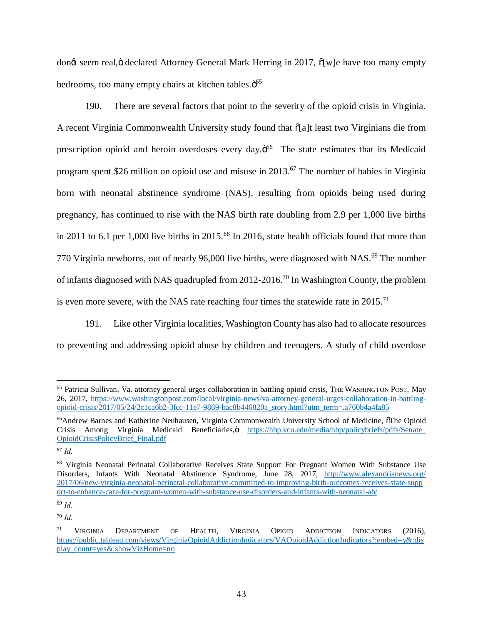dong seem real,  $\ddot{\text{o}}$  declared Attorney General Mark Herring in 2017,  $\ddot{\text{o}}$  [w]e have too many empty bedrooms, too many empty chairs at kitchen tables. $\ddot{\mathrm{o}}^{65}$ 

190. There are several factors that point to the severity of the opioid crisis in Virginia. A recent Virginia Commonwealth University study found that  $\delta$ [a]t least two Virginians die from prescription opioid and heroin overdoses every day.<sup>566</sup> The state estimates that its Medicaid program spent \$26 million on opioid use and misuse in 2013.67 The number of babies in Virginia born with neonatal abstinence syndrome (NAS), resulting from opioids being used during pregnancy, has continued to rise with the NAS birth rate doubling from 2.9 per 1,000 live births in 2011 to 6.1 per 1,000 live births in 2015.<sup>68</sup> In 2016, state health officials found that more than 770 Virginia newborns, out of nearly 96,000 live births, were diagnosed with NAS.<sup>69</sup> The number of infants diagnosed with NAS quadrupled from 2012-2016.70 In Washington County, the problem is even more severe, with the NAS rate reaching four times the statewide rate in  $2015$ .<sup>71</sup>

191. Like other Virginia localities, Washington County has also had to allocate resources to preventing and addressing opioid abuse by children and teenagers. A study of child overdose

 <sup>65</sup> Patricia Sullivan, Va. attorney general urges collaboration in battling opioid crisis, THE WASHINGTON POST, May 26, 2017, https://www.washingtonpost.com/local/virginia-news/va-attorney-general-urges-collaboration-in-battlingopioid-crisis/2017/05/24/2c1ca6b2-3fcc-11e7-9869-bac8b446820a\_story.html?utm\_term=.a760b4a4fa85

<sup>&</sup>lt;sup>66</sup>Andrew Barnes and Katherine Neuhausen, Virginia Commonwealth University School of Medicine, oThe Opioid Crisis Among Virginia Medicaid Beneficiaries, https://hbp.vcu.edu/media/hbp/policybriefs/pdfs/Senate\_ OpioidCrisisPolicyBrief\_Final.pdf

<sup>67</sup> *Id.*

<sup>68</sup> Virginia Neonatal Perinatal Collaborative Receives State Support For Pregnant Women With Substance Use Disorders, Infants With Neonatal Abstinence Syndrome, June 28, 2017, http://www.alexandrianews.org/ 2017/06/new-virginia-neonatal-perinatal-collaborative-committed-to-improving-birth-outcomes-receives-state-supp ort-to-enhance-care-for-pregnant-women-with-substance-use-disorders-and-infants-with-neonatal-ab/

<sup>69</sup> *Id.*

<sup>70</sup> *Id.*

<sup>&</sup>lt;sup>71</sup> VIRGINIA DEPARTMENT OF HEALTH, VIRGINIA OPIOID ADDICTION INDICATORS (2016), https://public.tableau.com/views/VirginiaOpioidAddictionIndicators/VAOpioidAddictionIndicators?:embed=y&:dis play\_count=yes&:showVizHome=no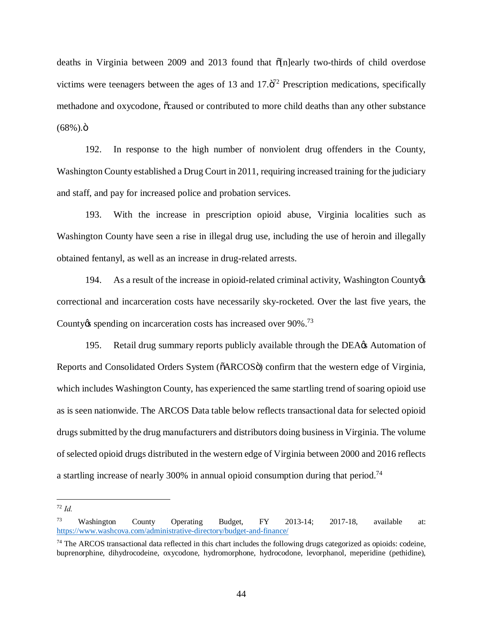deaths in Virginia between 2009 and 2013 found that  $\delta$ [n]early two-thirds of child overdose victims were teenagers between the ages of 13 and  $17.\ddot{\mathrm{o}}^{72}$  Prescription medications, specifically methadone and oxycodone,  $\tilde{o}c$ aused or contributed to more child deaths than any other substance  $(68\%)$ . $\ddot{o}$ 

192. In response to the high number of nonviolent drug offenders in the County, Washington County established a Drug Court in 2011, requiring increased training for the judiciary and staff, and pay for increased police and probation services.

193. With the increase in prescription opioid abuse, Virginia localities such as Washington County have seen a rise in illegal drug use, including the use of heroin and illegally obtained fentanyl, as well as an increase in drug-related arrests.

194. As a result of the increase in opioid-related criminal activity, Washington County  $\&$ correctional and incarceration costs have necessarily sky-rocketed. Over the last five years, the County the spending on incarceration costs has increased over 90%.<sup>73</sup>

195. Retail drug summary reports publicly available through the DEA $\alpha$  Automation of Reports and Consolidated Orders System ( $\delta$ ARCOS $\ddot{o}$ ) confirm that the western edge of Virginia, which includes Washington County, has experienced the same startling trend of soaring opioid use as is seen nationwide. The ARCOS Data table below reflects transactional data for selected opioid drugs submitted by the drug manufacturers and distributors doing business in Virginia. The volume of selected opioid drugs distributed in the western edge of Virginia between 2000 and 2016 reflects a startling increase of nearly 300% in annual opioid consumption during that period.<sup>74</sup>

 <sup>72</sup> *Id.*

 $73$  Washington County Operating Budget, FY 2013-14; 2017-18, available at: https://www.washcova.com/administrative-directory/budget-and-finance/

 $74$  The ARCOS transactional data reflected in this chart includes the following drugs categorized as opioids: codeine, buprenorphine, dihydrocodeine, oxycodone, hydromorphone, hydrocodone, levorphanol, meperidine (pethidine),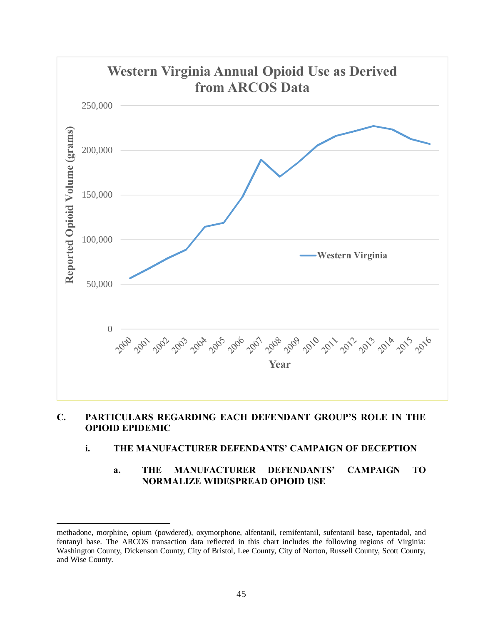

# **C. PARTICULARS REGARDING EACH DEFENDANT GROUP'S ROLE IN THE OPIOID EPIDEMIC**

# **i. THE MANUFACTURER DEFENDANTS' CAMPAIGN OF DECEPTION**

# **a. THE MANUFACTURER DEFENDANTS' CAMPAIGN TO NORMALIZE WIDESPREAD OPIOID USE**

 $\overline{\phantom{a}}$ 

methadone, morphine, opium (powdered), oxymorphone, alfentanil, remifentanil, sufentanil base, tapentadol, and fentanyl base. The ARCOS transaction data reflected in this chart includes the following regions of Virginia: Washington County, Dickenson County, City of Bristol, Lee County, City of Norton, Russell County, Scott County, and Wise County.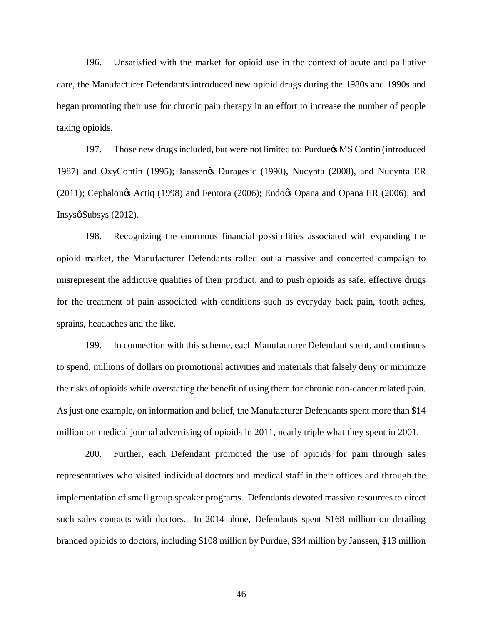196. Unsatisfied with the market for opioid use in the context of acute and palliative care, the Manufacturer Defendants introduced new opioid drugs during the 1980s and 1990s and began promoting their use for chronic pain therapy in an effort to increase the number of people taking opioids.

197. Those new drugs included, but were not limited to: Purdue in MS Contin (introduced 1987) and OxyContin (1995); Janssenøs Duragesic (1990), Nucynta (2008), and Nucynta ER  $(2011)$ ; Cephalongs Actiq (1998) and Fentora (2006); Endogs Opana and Opana ER (2006); and  $Insysø Subsys (2012).$ 

198. Recognizing the enormous financial possibilities associated with expanding the opioid market, the Manufacturer Defendants rolled out a massive and concerted campaign to misrepresent the addictive qualities of their product, and to push opioids as safe, effective drugs for the treatment of pain associated with conditions such as everyday back pain, tooth aches, sprains, headaches and the like.

199. In connection with this scheme, each Manufacturer Defendant spent, and continues to spend, millions of dollars on promotional activities and materials that falsely deny or minimize the risks of opioids while overstating the benefit of using them for chronic non-cancer related pain. As just one example, on information and belief, the Manufacturer Defendants spent more than \$14 million on medical journal advertising of opioids in 2011, nearly triple what they spent in 2001.

200. Further, each Defendant promoted the use of opioids for pain through sales representatives who visited individual doctors and medical staff in their offices and through the implementation ofsmall group speaker programs. Defendants devoted massive resources to direct such sales contacts with doctors. In 2014 alone, Defendants spent \$168 million on detailing branded opioids to doctors, including \$108 million by Purdue, \$34 million by Janssen, \$13 million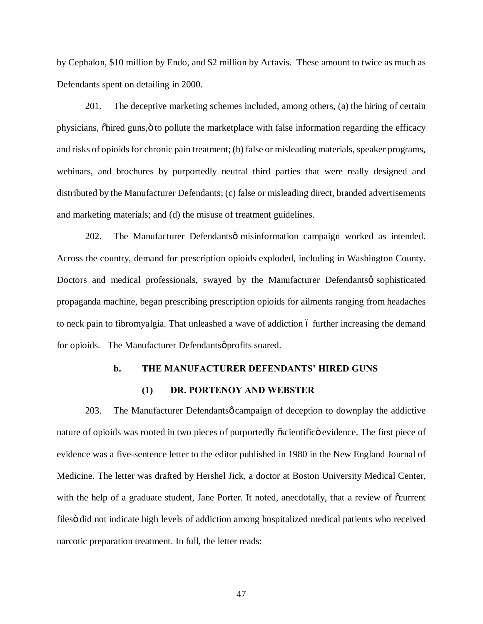by Cephalon, \$10 million by Endo, and \$2 million by Actavis. These amount to twice as much as Defendants spent on detailing in 2000.

201. The deceptive marketing schemes included, among others, (a) the hiring of certain physicians,  $\ddot{\text{ohired}}$  guns, $\ddot{\text{o}}$  to pollute the marketplace with false information regarding the efficacy and risks of opioids for chronic pain treatment; (b) false or misleading materials, speaker programs, webinars, and brochures by purportedly neutral third parties that were really designed and distributed by the Manufacturer Defendants; (c) false or misleading direct, branded advertisements and marketing materials; and (d) the misuse of treatment guidelines.

202. The Manufacturer Defendantsø misinformation campaign worked as intended. Across the country, demand for prescription opioids exploded, including in Washington County. Doctors and medical professionals, swayed by the Manufacturer Defendantsø sophisticated propaganda machine, began prescribing prescription opioids for ailments ranging from headaches to neck pain to fibromyalgia. That unleashed a wave of addiction 6 further increasing the demand for opioids. The Manufacturer Defendantsø profits soared.

# **b. THE MANUFACTURER DEFENDANTS' HIRED GUNS**

## **(1) DR. PORTENOY AND WEBSTER**

203. The Manufacturer Defendantsø campaign of deception to downplay the addictive nature of opioids was rooted in two pieces of purportedly  $\tilde{o}$  scientific is evidence. The first piece of evidence was a five-sentence letter to the editor published in 1980 in the New England Journal of Medicine. The letter was drafted by Hershel Jick, a doctor at Boston University Medical Center, with the help of a graduate student, Jane Porter. It noted, anecdotally, that a review of  $\tilde{\text{o}}$ current files did not indicate high levels of addiction among hospitalized medical patients who received narcotic preparation treatment. In full, the letter reads: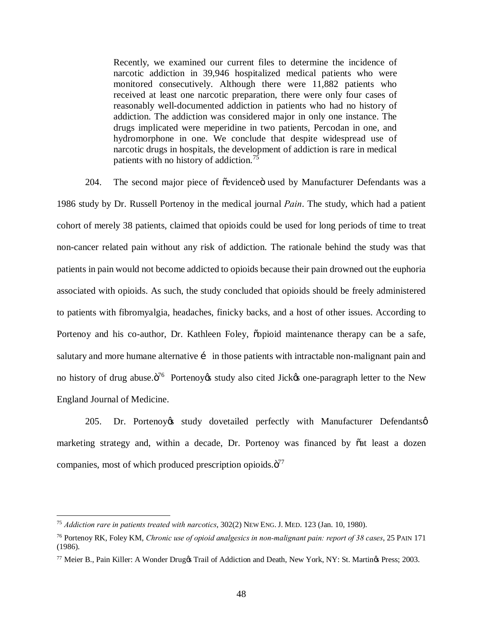Recently, we examined our current files to determine the incidence of narcotic addiction in 39,946 hospitalized medical patients who were monitored consecutively. Although there were 11,882 patients who received at least one narcotic preparation, there were only four cases of reasonably well-documented addiction in patients who had no history of addiction. The addiction was considered major in only one instance. The drugs implicated were meperidine in two patients, Percodan in one, and hydromorphone in one. We conclude that despite widespread use of narcotic drugs in hospitals, the development of addiction is rare in medical patients with no history of addiction.<sup>75</sup>

204. The second major piece of õevidenceö used by Manufacturer Defendants was a 1986 study by Dr. Russell Portenoy in the medical journal *Pain*. The study, which had a patient cohort of merely 38 patients, claimed that opioids could be used for long periods of time to treat non-cancer related pain without any risk of addiction. The rationale behind the study was that patients in pain would not become addicted to opioids because their pain drowned out the euphoria associated with opioids. As such, the study concluded that opioids should be freely administered to patients with fibromyalgia, headaches, finicky backs, and a host of other issues. According to Portenoy and his co-author, Dr. Kathleen Foley, oppioid maintenance therapy can be a safe, salutary and more humane alternative i in those patients with intractable non-malignant pain and no history of drug abuse. $\ddot{\sigma}^{76}$  Portenoy es study also cited Jick to one-paragraph letter to the New England Journal of Medicine.

205. Dr. Portenoy $\alpha$  study dovetailed perfectly with Manufacturer Defendants $\phi$ marketing strategy and, within a decade, Dr. Portenoy was financed by  $\tilde{o}at$  least a dozen companies, most of which produced prescription opioids. $\ddot{\mathrm{o}}^{77}$ 

 <sup>75</sup> *Addiction rare in patients treated with narcotics*, 302(2) NEW ENG. J. MED. 123 (Jan. 10, 1980).

<sup>76</sup> Portenoy RK, Foley KM, *Chronic use of opioid analgesics in non-malignant pain: report of 38 cases*, 25 PAIN 171 (1986).

<sup>&</sup>lt;sup>77</sup> Meier B., Pain Killer: A Wonder Druggs Trail of Addiction and Death, New York, NY: St. Martings Press; 2003.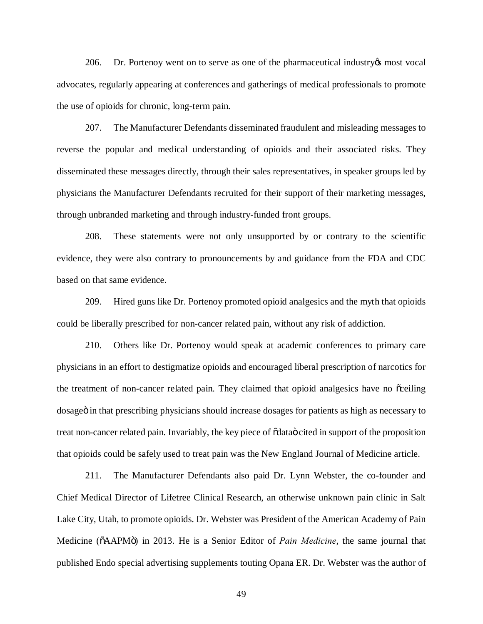206. Dr. Portenoy went on to serve as one of the pharmaceutical industry is most vocal advocates, regularly appearing at conferences and gatherings of medical professionals to promote the use of opioids for chronic, long-term pain.

207. The Manufacturer Defendants disseminated fraudulent and misleading messages to reverse the popular and medical understanding of opioids and their associated risks. They disseminated these messages directly, through their sales representatives, in speaker groups led by physicians the Manufacturer Defendants recruited for their support of their marketing messages, through unbranded marketing and through industry-funded front groups.

208. These statements were not only unsupported by or contrary to the scientific evidence, they were also contrary to pronouncements by and guidance from the FDA and CDC based on that same evidence.

209. Hired guns like Dr. Portenoy promoted opioid analgesics and the myth that opioids could be liberally prescribed for non-cancer related pain, without any risk of addiction.

210. Others like Dr. Portenoy would speak at academic conferences to primary care physicians in an effort to destigmatize opioids and encouraged liberal prescription of narcotics for the treatment of non-cancer related pain. They claimed that opioid analgesics have no  $\tilde{\text{c}}$  ceiling dosage in that prescribing physicians should increase dosages for patients as high as necessary to treat non-cancer related pain. Invariably, the key piece of  $\ddot{\text{o}}$ data $\ddot{\text{o}}$  cited in support of the proposition that opioids could be safely used to treat pain was the New England Journal of Medicine article.

211. The Manufacturer Defendants also paid Dr. Lynn Webster, the co-founder and Chief Medical Director of Lifetree Clinical Research, an otherwise unknown pain clinic in Salt Lake City, Utah, to promote opioids. Dr. Webster was President of the American Academy of Pain Medicine ( $\delta$ AAPM $\ddot{o}$ ) in 2013. He is a Senior Editor of *Pain Medicine*, the same journal that published Endo special advertising supplements touting Opana ER. Dr. Webster was the author of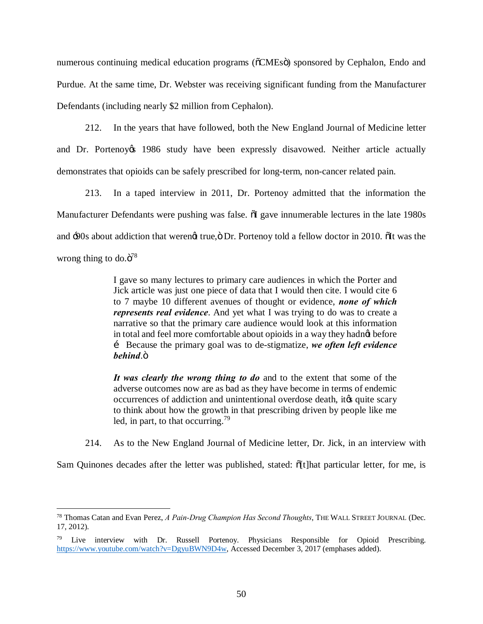numerous continuing medical education programs ( $\delta$ CMEs $\ddot{\text{o}}$ ) sponsored by Cephalon, Endo and Purdue. At the same time, Dr. Webster was receiving significant funding from the Manufacturer Defendants (including nearly \$2 million from Cephalon).

212. In the years that have followed, both the New England Journal of Medicine letter and Dr. Portenoy t 1986 study have been expressly disavowed. Neither article actually demonstrates that opioids can be safely prescribed for long-term, non-cancer related pain.

213. In a taped interview in 2011, Dr. Portenoy admitted that the information the Manufacturer Defendants were pushing was false.  $\tilde{\text{o}}$ I gave innumerable lectures in the late 1980s and :90s about addiction that werengt true,  $\ddot{o}$  Dr. Portenoy told a fellow doctor in 2010.  $\ddot{o}$ It was the wrong thing to do. $\ddot{\mathrm{o}}^{78}$ 

> I gave so many lectures to primary care audiences in which the Porter and Jick article was just one piece of data that I would then cite. I would cite 6 to 7 maybe 10 different avenues of thought or evidence, *none of which represents real evidence*. And yet what I was trying to do was to create a narrative so that the primary care audience would look at this information in total and feel more comfortable about opioids in a way they hadnot before … Because the primary goal was to de-stigmatize, *we often left evidence behind.*"

> *It was clearly the wrong thing to do* and to the extent that some of the adverse outcomes now are as bad as they have become in terms of endemic occurrences of addiction and unintentional overdose death, it is quite scary to think about how the growth in that prescribing driven by people like me led, in part, to that occurring.<sup>79</sup>

214. As to the New England Journal of Medicine letter, Dr. Jick, in an interview with

Sam Quinones decades after the letter was published, stated:  $\delta[t]$ hat particular letter, for me, is

 <sup>78</sup> Thomas Catan and Evan Perez, *A Pain-Drug Champion Has Second Thoughts*, THE WALL STREET JOURNAL (Dec. 17, 2012).

<sup>&</sup>lt;sup>79</sup> Live interview with Dr. Russell Portenoy. Physicians Responsible for Opioid Prescribing. https://www.youtube.com/watch?v=DgyuBWN9D4w, Accessed December 3, 2017 (emphases added).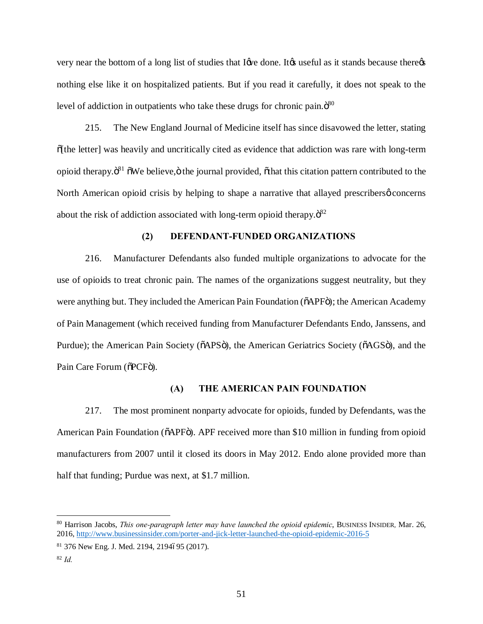very near the bottom of a long list of studies that I go done. It go useful as it stands because there  $\alpha$ nothing else like it on hospitalized patients. But if you read it carefully, it does not speak to the level of addiction in outpatients who take these drugs for chronic pain. $\ddot{\mathrm{o}}^{80}$ 

215. The New England Journal of Medicine itself has since disavowed the letter, stating  $\delta$ [the letter] was heavily and uncritically cited as evidence that addiction was rare with long-term opioid therapy. $\ddot{\mathrm{o}}^{81}$   $\ddot{\mathrm{o}}$ We believe, $\ddot{\mathrm{o}}$  the journal provided,  $\ddot{\mathrm{o}}$  that this citation pattern contributed to the North American opioid crisis by helping to shape a narrative that allayed prescribers  $\phi$  concerns about the risk of addiction associated with long-term opioid therapy. $\ddot{\text{o}}^{82}$ 

## **(2) DEFENDANT-FUNDED ORGANIZATIONS**

216. Manufacturer Defendants also funded multiple organizations to advocate for the use of opioids to treat chronic pain. The names of the organizations suggest neutrality, but they were anything but. They included the American Pain Foundation ( $\delta$ APF $\ddot{o}$ ); the American Academy of Pain Management (which received funding from Manufacturer Defendants Endo, Janssens, and Purdue); the American Pain Society ( $\delta$ APS $\delta$ ), the American Geriatrics Society ( $\delta$ AGS $\delta$ ), and the Pain Care Forum ( $\delta$ PCF $\ddot{\text{o}}$ ).

#### **(A) THE AMERICAN PAIN FOUNDATION**

217. The most prominent nonparty advocate for opioids, funded by Defendants, was the American Pain Foundation ( $\delta$ APF $\delta$ ). APF received more than \$10 million in funding from opioid manufacturers from 2007 until it closed its doors in May 2012. Endo alone provided more than half that funding; Purdue was next, at \$1.7 million.

 <sup>80</sup> Harrison Jacobs, *This one-paragraph letter may have launched the opioid epidemic*, BUSINESS INSIDER*,* Mar. 26, 2016, http://www.businessinsider.com/porter-and-jick-letter-launched-the-opioid-epidemic-2016-5

 $81$  376 New Eng. J. Med. 2194, 2194695 (2017).

<sup>82</sup> *Id.*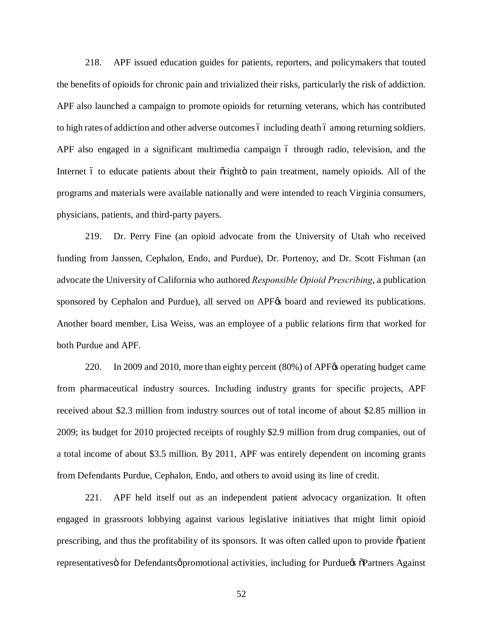218. APF issued education guides for patients, reporters, and policymakers that touted the benefits of opioids for chronic pain and trivialized their risks, particularly the risk of addiction. APF also launched a campaign to promote opioids for returning veterans, which has contributed to high rates of addiction and other adverse outcomes 6 including death 6 among returning soldiers. APF also engaged in a significant multimedia campaign 6 through radio, television, and the Internet 6 to educate patients about their orighto to pain treatment, namely opioids. All of the programs and materials were available nationally and were intended to reach Virginia consumers, physicians, patients, and third-party payers.

219. Dr. Perry Fine (an opioid advocate from the University of Utah who received funding from Janssen, Cephalon, Endo, and Purdue), Dr. Portenoy, and Dr. Scott Fishman (an advocate the University of California who authored *Responsible Opioid Prescribing*, a publication sponsored by Cephalon and Purdue), all served on APF<sub> $\alpha$ </sub> board and reviewed its publications. Another board member, Lisa Weiss, was an employee of a public relations firm that worked for both Purdue and APF.

220. In 2009 and 2010, more than eighty percent (80%) of APF% operating budget came from pharmaceutical industry sources. Including industry grants for specific projects, APF received about \$2.3 million from industry sources out of total income of about \$2.85 million in 2009; its budget for 2010 projected receipts of roughly \$2.9 million from drug companies, out of a total income of about \$3.5 million. By 2011, APF was entirely dependent on incoming grants from Defendants Purdue, Cephalon, Endo, and others to avoid using its line of credit.

221. APF held itself out as an independent patient advocacy organization. It often engaged in grassroots lobbying against various legislative initiatives that might limit opioid prescribing, and thus the profitability of its sponsors. It was often called upon to provide  $\tilde{o}$  patient representatives of for Defendants opromotional activities, including for Purdue of Partners Against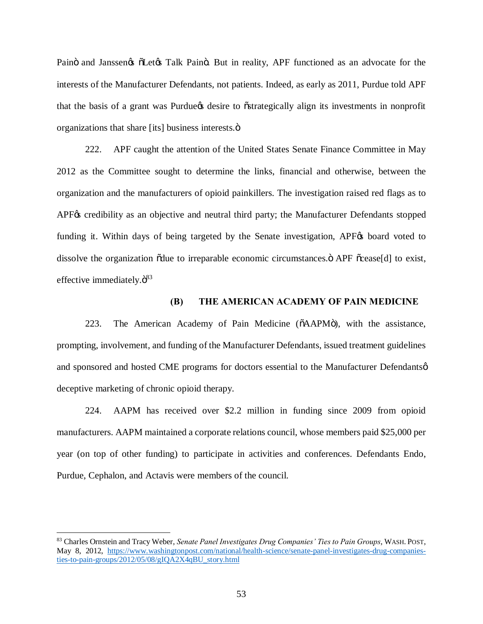Painö and Janssen $\alpha$   $\delta$ Let $\alpha$  Talk Painö. But in reality, APF functioned as an advocate for the interests of the Manufacturer Defendants, not patients. Indeed, as early as 2011, Purdue told APF that the basis of a grant was Purdue to estrategically align its investments in nonprofit organizations that share [its] business interests. $\ddot{o}$ 

222. APF caught the attention of the United States Senate Finance Committee in May 2012 as the Committee sought to determine the links, financial and otherwise, between the organization and the manufacturers of opioid painkillers. The investigation raised red flags as to APF<sub> $\&$ </sub> credibility as an objective and neutral third party; the Manufacturer Defendants stopped funding it. Within days of being targeted by the Senate investigation, APF<sub> $\otimes$ </sub> board voted to dissolve the organization õdue to irreparable economic circumstances. O APF  $\tilde{o}$ cease[d] to exist, effective immediately. $\ddot{\mathrm{o}}^{83}$ 

### **(B) THE AMERICAN ACADEMY OF PAIN MEDICINE**

223. The American Academy of Pain Medicine ( $\delta$ AAPM $\ddot{o}$ ), with the assistance, prompting, involvement, and funding of the Manufacturer Defendants, issued treatment guidelines and sponsored and hosted CME programs for doctors essential to the Manufacturer Defendantsø deceptive marketing of chronic opioid therapy.

224. AAPM has received over \$2.2 million in funding since 2009 from opioid manufacturers. AAPM maintained a corporate relations council, whose members paid \$25,000 per year (on top of other funding) to participate in activities and conferences. Defendants Endo, Purdue, Cephalon, and Actavis were members of the council.

 <sup>83</sup> Charles Ornstein and Tracy Weber, *Senate Panel Investigates Drug Companies' Ties to Pain Groups*, WASH. POST, May 8, 2012, https://www.washingtonpost.com/national/health-science/senate-panel-investigates-drug-companiesties-to-pain-groups/2012/05/08/gIQA2X4qBU\_story.html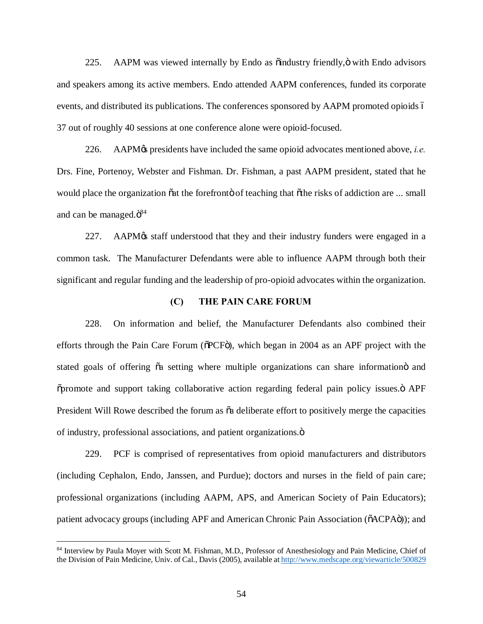225. AAPM was viewed internally by Endo as  $\ddot{\text{o}}$  industry friendly, $\ddot{\text{o}}$  with Endo advisors and speakers among its active members. Endo attended AAPM conferences, funded its corporate events, and distributed its publications. The conferences sponsored by AAPM promoted opioids  $\acute{o}$ 37 out of roughly 40 sessions at one conference alone were opioid-focused.

226. AAPM's presidents have included the same opioid advocates mentioned above, *i.e.* Drs. Fine, Portenoy, Webster and Fishman. Dr. Fishman, a past AAPM president, stated that he would place the organization  $\ddot{\text{o}}$  at the forefront  $\ddot{\text{o}}$  of teaching that  $\ddot{\text{o}}$  the risks of addiction are ... small and can be managed. $\ddot{\mathrm{o}}^{84}$ 

227. AAPM $\alpha$  staff understood that they and their industry funders were engaged in a common task. The Manufacturer Defendants were able to influence AAPM through both their significant and regular funding and the leadership of pro-opioid advocates within the organization.

## **(C) THE PAIN CARE FORUM**

228. On information and belief, the Manufacturer Defendants also combined their efforts through the Pain Care Forum ( $\delta$ PCF $\ddot{\rm o}$ ), which began in 2004 as an APF project with the stated goals of offering  $\ddot{\alpha}$  setting where multiple organizations can share information and  $\tilde{\sigma}$  promote and support taking collaborative action regarding federal pain policy issues. $\ddot{\sigma}$  APF President Will Rowe described the forum as  $\tilde{a}$  deliberate effort to positively merge the capacities of industry, professional associations, and patient organizations."

229. PCF is comprised of representatives from opioid manufacturers and distributors (including Cephalon, Endo, Janssen, and Purdue); doctors and nurses in the field of pain care; professional organizations (including AAPM, APS, and American Society of Pain Educators); patient advocacy groups (including APF and American Chronic Pain Association ( $\tilde{o}$ ACPA $\tilde{o}$ )); and

<sup>84</sup> Interview by Paula Moyer with Scott M. Fishman, M.D., Professor of Anesthesiology and Pain Medicine, Chief of the Division of Pain Medicine, Univ. of Cal., Davis (2005), available at http://www.medscape.org/viewarticle/500829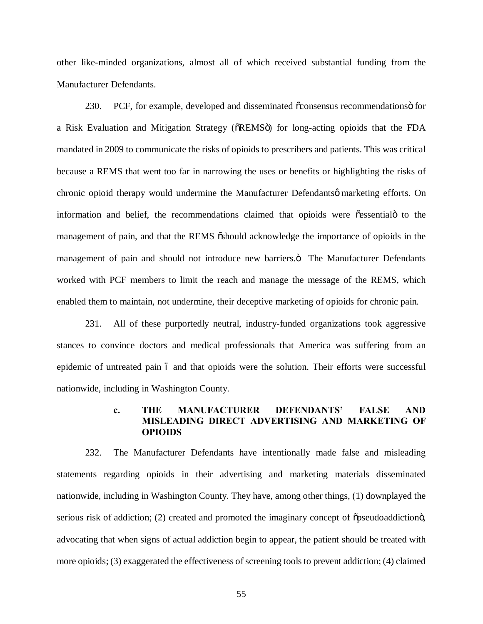other like-minded organizations, almost all of which received substantial funding from the Manufacturer Defendants.

230. PCF, for example, developed and disseminated  $\tilde{\alpha}$  consensus recommendations of or a Risk Evaluation and Mitigation Strategy ( $\delta$ REMS $\ddot{o}$ ) for long-acting opioids that the FDA mandated in 2009 to communicate the risks of opioids to prescribers and patients. This was critical because a REMS that went too far in narrowing the uses or benefits or highlighting the risks of chronic opioid therapy would undermine the Manufacturer Defendants marketing efforts. On information and belief, the recommendations claimed that opioids were  $\tilde{\text{o}}$  essential to the management of pain, and that the REMS  $\ddot{\text{o}}$ should acknowledge the importance of opioids in the management of pain and should not introduce new barriers. The Manufacturer Defendants worked with PCF members to limit the reach and manage the message of the REMS, which enabled them to maintain, not undermine, their deceptive marketing of opioids for chronic pain.

231. All of these purportedly neutral, industry-funded organizations took aggressive stances to convince doctors and medical professionals that America was suffering from an epidemic of untreated pain 6 and that opioids were the solution. Their efforts were successful nationwide, including in Washington County.

# **c. THE MANUFACTURER DEFENDANTS' FALSE AND MISLEADING DIRECT ADVERTISING AND MARKETING OF OPIOIDS**

232. The Manufacturer Defendants have intentionally made false and misleading statements regarding opioids in their advertising and marketing materials disseminated nationwide, including in Washington County. They have, among other things, (1) downplayed the serious risk of addiction; (2) created and promoted the imaginary concept of  $\tilde{\sigma}$  pseudoaddictiong, advocating that when signs of actual addiction begin to appear, the patient should be treated with more opioids; (3) exaggerated the effectiveness of screening tools to prevent addiction; (4) claimed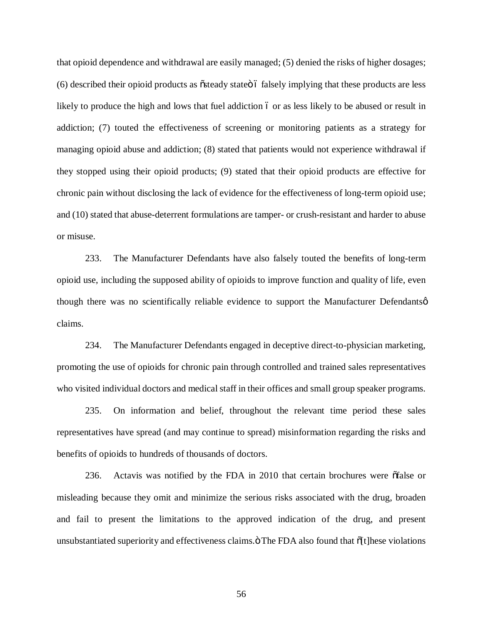that opioid dependence and withdrawal are easily managed; (5) denied the risks of higher dosages; (6) described their opioid products as  $\tilde{\text{o}}$  stategore falsely implying that these products are less likely to produce the high and lows that fuel addiction 6 or as less likely to be abused or result in addiction; (7) touted the effectiveness of screening or monitoring patients as a strategy for managing opioid abuse and addiction; (8) stated that patients would not experience withdrawal if they stopped using their opioid products; (9) stated that their opioid products are effective for chronic pain without disclosing the lack of evidence for the effectiveness of long-term opioid use; and (10) stated that abuse-deterrent formulations are tamper- or crush-resistant and harder to abuse or misuse.

233. The Manufacturer Defendants have also falsely touted the benefits of long-term opioid use, including the supposed ability of opioids to improve function and quality of life, even though there was no scientifically reliable evidence to support the Manufacturer Defendants $\varphi$ claims.

234. The Manufacturer Defendants engaged in deceptive direct-to-physician marketing, promoting the use of opioids for chronic pain through controlled and trained sales representatives who visited individual doctors and medical staff in their offices and small group speaker programs.

235. On information and belief, throughout the relevant time period these sales representatives have spread (and may continue to spread) misinformation regarding the risks and benefits of opioids to hundreds of thousands of doctors.

236. Actavis was notified by the FDA in 2010 that certain brochures were  $\delta$  false or misleading because they omit and minimize the serious risks associated with the drug, broaden and fail to present the limitations to the approved indication of the drug, and present unsubstantiated superiority and effectiveness claims. "The FDA also found that  $\delta[t]$ hese violations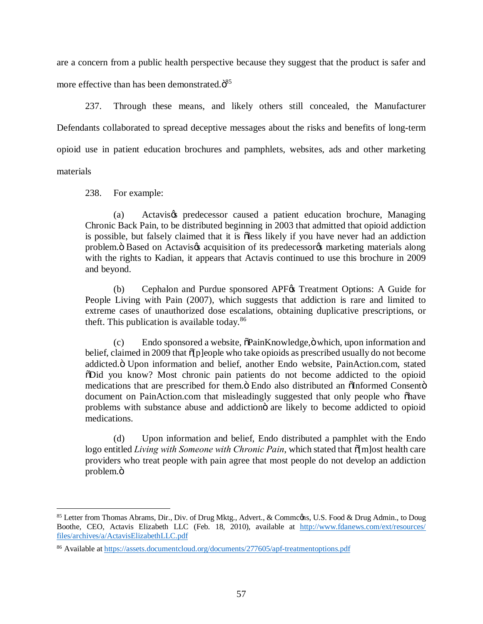are a concern from a public health perspective because they suggest that the product is safer and more effective than has been demonstrated. $\ddot{\mathrm{o}}^{85}$ 

237. Through these means, and likely others still concealed, the Manufacturer Defendants collaborated to spread deceptive messages about the risks and benefits of long-term opioid use in patient education brochures and pamphlets, websites, ads and other marketing materials

238. For example:

(a) Actavis $\alpha$  predecessor caused a patient education brochure, Managing Chronic Back Pain, to be distributed beginning in 2003 that admitted that opioid addiction is possible, but falsely claimed that it is  $\delta$ less likely if you have never had an addiction problem. Based on Actavis $\alpha$  acquisition of its predecessor $\alpha$  marketing materials along with the rights to Kadian, it appears that Actavis continued to use this brochure in 2009 and beyond.

(b) Cephalon and Purdue sponsored APF $\&$  Treatment Options: A Guide for People Living with Pain (2007), which suggests that addiction is rare and limited to extreme cases of unauthorized dose escalations, obtaining duplicative prescriptions, or theft. This publication is available today. $86$ 

 $(c)$  Endo sponsored a website,  $\delta$ PainKnowledge, $\ddot{o}$  which, upon information and belief, claimed in 2009 that  $\delta$ [p]eople who take opioids as prescribed usually do not become addicted. Ö Upon information and belief, another Endo website, PainAction.com, stated "Did you know? Most chronic pain patients do not become addicted to the opioid medications that are prescribed for them.ö Endo also distributed an õInformed Consentö document on PainAction.com that misleadingly suggested that only people who "have problems with substance abuse and addiction iare likely to become addicted to opioid medications.

(d) Upon information and belief, Endo distributed a pamphlet with the Endo logo entitled *Living with Someone with Chronic Pain*, which stated that  $\tilde{o}$ [m]ost health care providers who treat people with pain agree that most people do not develop an addiction problem.ö

<sup>85</sup> Letter from Thomas Abrams, Dir., Div. of Drug Mktg., Advert., & Commcons, U.S. Food & Drug Admin., to Doug Boothe, CEO, Actavis Elizabeth LLC (Feb. 18, 2010), available at http://www.fdanews.com/ext/resources/ files/archives/a/ActavisElizabethLLC.pdf

<sup>86</sup> Available at https://assets.documentcloud.org/documents/277605/apf-treatmentoptions.pdf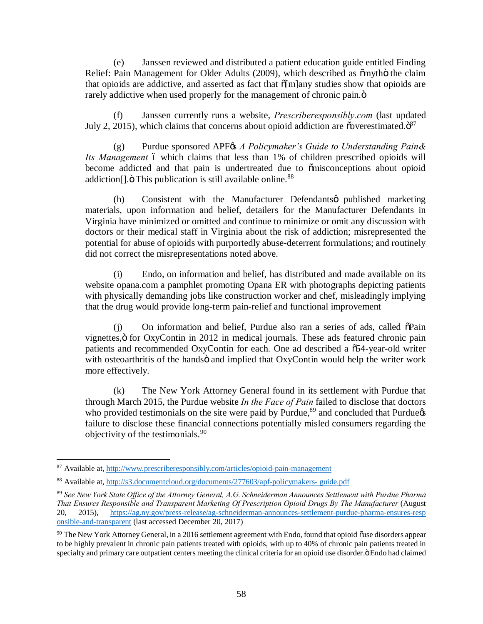(e) Janssen reviewed and distributed a patient education guide entitled Finding Relief: Pain Management for Older Adults (2009), which described as  $\tilde{c}$  myth $\ddot{o}$  the claim that opioids are addictive, and asserted as fact that  $\tilde{\sigma}$ [m]any studies show that opioids are rarely addictive when used properly for the management of chronic pain. $\ddot{o}$ 

(f) Janssen currently runs a website, *Prescriberesponsibly.com* (last updated July 2, 2015), which claims that concerns about opioid addiction are  $\tilde{\text{o}}$  overestimated. $\tilde{\text{o}}^{87}$ 

(g) Purdue sponsored APF& *A Policymaker's Guide to Understanding Pain& Its Management* 6 which claims that less than 1% of children prescribed opioids will become addicted and that pain is undertreated due to  $\tilde{o}$  misconceptions about opioid addiction<sup>[]</sup>.  $\ddot{o}$  This publication is still available online.<sup>88</sup>

(h) Consistent with the Manufacturer Defendants *published* marketing materials, upon information and belief, detailers for the Manufacturer Defendants in Virginia have minimized or omitted and continue to minimize or omit any discussion with doctors or their medical staff in Virginia about the risk of addiction; misrepresented the potential for abuse of opioids with purportedly abuse-deterrent formulations; and routinely did not correct the misrepresentations noted above.

(i) Endo, on information and belief, has distributed and made available on its website opana.com a pamphlet promoting Opana ER with photographs depicting patients with physically demanding jobs like construction worker and chef, misleadingly implying that the drug would provide long-term pain-relief and functional improvement

 $(i)$  On information and belief, Purdue also ran a series of ads, called  $\delta$ Pain vignettes," for OxyContin in 2012 in medical journals. These ads featured chronic pain patients and recommended OxyContin for each. One ad described a  $\tilde{0}54$ -year-old writer with osteoarthritis of the handsö and implied that OxyContin would help the writer work more effectively.

(k) The New York Attorney General found in its settlement with Purdue that through March 2015, the Purdue website *In the Face of Pain* failed to disclose that doctors who provided testimonials on the site were paid by Purdue, $89$  and concluded that Purdue $\alpha$ failure to disclose these financial connections potentially misled consumers regarding the objectivity of the testimonials.<sup>90</sup>

 <sup>87</sup> Available at, http://www.prescriberesponsibly.com/articles/opioid-pain-management

<sup>88</sup> Available at, http://s3.documentcloud.org/documents/277603/apf-policymakers- guide.pdf

<sup>89</sup> *See New York State Office of the Attorney General, A.G. Schneiderman Announces Settlement with Purdue Pharma That Ensures Responsible and Transparent Marketing Of Prescription Opioid Drugs By The Manufacturer* (August 20, 2015), https://ag.ny.gov/press-release/ag-schneiderman-announces-settlement-purdue-pharma-ensures-resp onsible-and-transparent (last accessed December 20, 2017)

 $90$  The New York Attorney General, in a 2016 settlement agreement with Endo, found that opioid õuse disorders appear to be highly prevalent in chronic pain patients treated with opioids, with up to 40% of chronic pain patients treated in specialty and primary care outpatient centers meeting the clinical criteria for an opioid use disorder.  $\ddot{o}$  Endo had claimed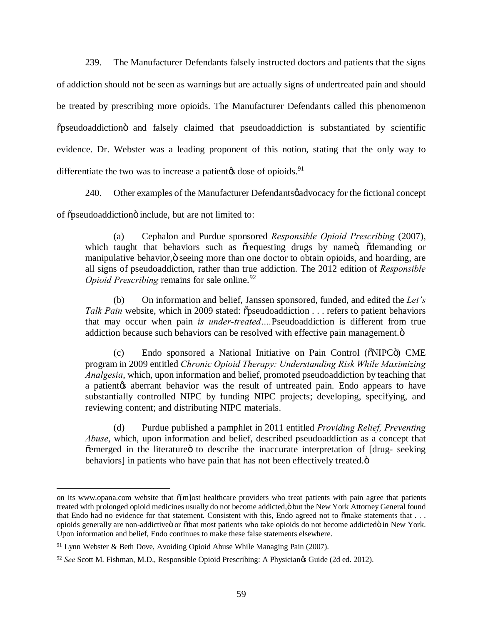239. The Manufacturer Defendants falsely instructed doctors and patients that the signs of addiction should not be seen as warnings but are actually signs of undertreated pain and should be treated by prescribing more opioids. The Manufacturer Defendants called this phenomenon  $\ddot{\text{o}}$  pseudoaddiction and falsely claimed that pseudoaddiction is substantiated by scientific evidence. Dr. Webster was a leading proponent of this notion, stating that the only way to differentiate the two was to increase a patient  $\phi$  dose of opioids.<sup>91</sup>

240. Other examples of the Manufacturer Defendants gadyocacy for the fictional concept of  $\tilde{\text{op}}$  seudoaddiction include, but are not limited to:

(a) Cephalon and Purdue sponsored *Responsible Opioid Prescribing* (2007), which taught that behaviors such as or equesting drugs by name of odemanding or manipulative behavior, ö seeing more than one doctor to obtain opioids, and hoarding, are all signs of pseudoaddiction, rather than true addiction. The 2012 edition of *Responsible Opioid Prescribing remains for sale online.*<sup>92</sup>

(b) On information and belief, Janssen sponsored, funded, and edited the *Let's Talk Pain* website, which in 2009 stated:  $\tilde{o}$  pseudoaddiction . . . refers to patient behaviors that may occur when pain *is under-treated….*Pseudoaddiction is different from true addiction because such behaviors can be resolved with effective pain management. $\ddot{o}$ 

(c) Endo sponsored a National Initiative on Pain Control ( $\delta$ NIPC $\ddot{o}$ ) CME program in 2009 entitled *Chronic Opioid Therapy: Understanding Risk While Maximizing Analgesia*, which, upon information and belief, promoted pseudoaddiction by teaching that a patientos aberrant behavior was the result of untreated pain. Endo appears to have substantially controlled NIPC by funding NIPC projects; developing, specifying, and reviewing content; and distributing NIPC materials.

(d) Purdue published a pamphlet in 2011 entitled *Providing Relief, Preventing Abuse*, which, upon information and belief, described pseudoaddiction as a concept that  $\tilde{c}$  emerged in the literature to describe the inaccurate interpretation of [drug- seeking behaviors] in patients who have pain that has not been effectively treated. $\ddot{o}$ 

 $\overline{a}$ 

on its www.opana.com website that  $\delta$ [m]ost healthcare providers who treat patients with pain agree that patients treated with prolonged opioid medicines usually do not become addicted, ö but the New York Attorney General found that Endo had no evidence for that statement. Consistent with this, Endo agreed not to õmake statements that . . . opioids generally are non-addictive or othat most patients who take opioids do not become addicted in New York. Upon information and belief, Endo continues to make these false statements elsewhere.

<sup>&</sup>lt;sup>91</sup> Lynn Webster & Beth Dove, Avoiding Opioid Abuse While Managing Pain (2007).

<sup>&</sup>lt;sup>92</sup> See Scott M. Fishman, M.D., Responsible Opioid Prescribing: A Physician<sub>g</sub> Guide (2d ed. 2012).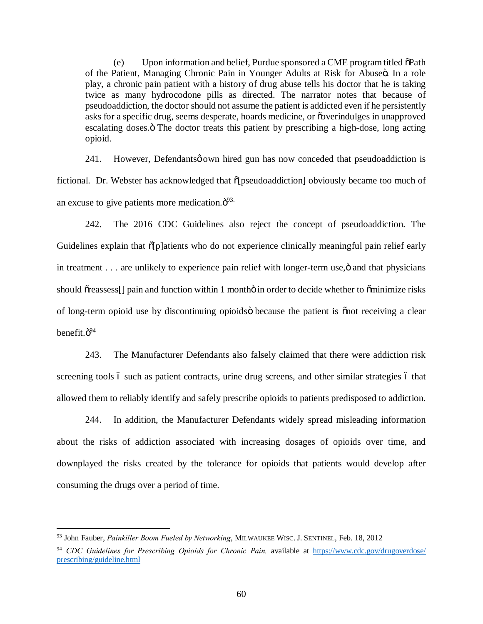(e) Upon information and belief, Purdue sponsored a CME program titled  $\delta$ Path of the Patient, Managing Chronic Pain in Younger Adults at Risk for Abuseö. In a role play, a chronic pain patient with a history of drug abuse tells his doctor that he is taking twice as many hydrocodone pills as directed. The narrator notes that because of pseudoaddiction, the doctor should not assume the patient is addicted even if he persistently asks for a specific drug, seems desperate, hoards medicine, or overindulges in unapproved escalating doses. The doctor treats this patient by prescribing a high-dose, long acting opioid.

241. However, Defendantsø own hired gun has now conceded that pseudoaddiction is fictional. Dr. Webster has acknowledged that  $\delta$  [pseudoaddiction] obviously became too much of an excuse to give patients more medication. $\ddot{\mathrm{o}}^{93}$ .

242. The 2016 CDC Guidelines also reject the concept of pseudoaddiction. The Guidelines explain that  $\tilde{p}$  platients who do not experience clinically meaningful pain relief early in treatment . . . are unlikely to experience pain relief with longer-term use,  $\ddot{o}$  and that physicians should  $\tilde{\sigma}$  reassess. [] pain and function within 1 month in order to decide whether to  $\tilde{\sigma}$  minimize risks of long-term opioid use by discontinuing opioids because the patient is  $\tilde{p}$  onot receiving a clear benefit. $\ddot{0}^{94}$ 

243. The Manufacturer Defendants also falsely claimed that there were addiction risk screening tools 6 such as patient contracts, urine drug screens, and other similar strategies 6 that allowed them to reliably identify and safely prescribe opioids to patients predisposed to addiction.

244. In addition, the Manufacturer Defendants widely spread misleading information about the risks of addiction associated with increasing dosages of opioids over time, and downplayed the risks created by the tolerance for opioids that patients would develop after consuming the drugs over a period of time.

 <sup>93</sup> John Fauber, *Painkiller Boom Fueled by Networking*, MILWAUKEE WISC. J. SENTINEL, Feb. 18, 2012

<sup>&</sup>lt;sup>94</sup> CDC Guidelines for Prescribing Opioids for Chronic Pain, available at https://www.cdc.gov/drugoverdose/ prescribing/guideline.html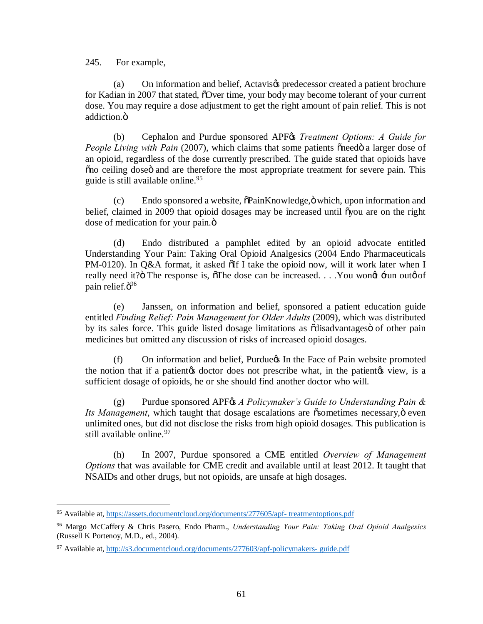245. For example,

(a) On information and belief, Actavis& predecessor created a patient brochure for Kadian in 2007 that stated,  $\delta$ Over time, your body may become tolerant of your current dose. You may require a dose adjustment to get the right amount of pain relief. This is not addiction.<sub> $ö$ </sub>

(b) Cephalon and Purdue sponsored APF<sub>68</sub> *Treatment Options: A Guide for People Living with Pain* (2007), which claims that some patients oneed a larger dose of an opioid, regardless of the dose currently prescribed. The guide stated that opioids have  $\tilde{p}$  on ceiling dose and are therefore the most appropriate treatment for severe pain. This guide is still available online.<sup>95</sup>

 $(c)$  Endo sponsored a website,  $\delta$ PainKnowledge, $\delta$  which, upon information and belief, claimed in 2009 that opioid dosages may be increased until  $\delta$ you are on the right dose of medication for your pain. $\ddot{\text{o}}$ 

(d) Endo distributed a pamphlet edited by an opioid advocate entitled Understanding Your Pain: Taking Oral Opioid Analgesics (2004 Endo Pharmaceuticals PM-0120). In Q&A format, it asked  $\delta$ If I take the opioid now, will it work later when I really need it? $\ddot{o}$  The response is,  $\ddot{o}$ The dose can be increased. . . . You wong  $\ddot{a}$  run outo of pain relief. $\ddot{\mathrm{o}}^{96}$ 

(e) Janssen, on information and belief, sponsored a patient education guide entitled *Finding Relief: Pain Management for Older Adults* (2009), which was distributed by its sales force. This guide listed dosage limitations as  $\tilde{o}$ disadvantages $\tilde{o}$  of other pain medicines but omitted any discussion of risks of increased opioid dosages.

(f) On information and belief, Purdue in the Face of Pain website promoted the notion that if a patientos doctor does not prescribe what, in the patientos view, is a sufficient dosage of opioids, he or she should find another doctor who will.

(g) Purdue sponsored APF<sub>*GS A Policymaker*'s *Guide to Understanding Pain &*</sub> *Its Management*, which taught that dosage escalations are  $\tilde{\text{c}}$  sometimes necessary,  $\ddot{\text{o}}$  even unlimited ones, but did not disclose the risks from high opioid dosages. This publication is still available online. 97

(h) In 2007, Purdue sponsored a CME entitled *Overview of Management Options* that was available for CME credit and available until at least 2012. It taught that NSAIDs and other drugs, but not opioids, are unsafe at high dosages.

 <sup>95</sup> Available at, https://assets.documentcloud.org/documents/277605/apf- treatmentoptions.pdf

<sup>96</sup> Margo McCaffery & Chris Pasero, Endo Pharm., *Understanding Your Pain: Taking Oral Opioid Analgesics* (Russell K Portenoy, M.D., ed., 2004).

<sup>97</sup> Available at, http://s3.documentcloud.org/documents/277603/apf-policymakers- guide.pdf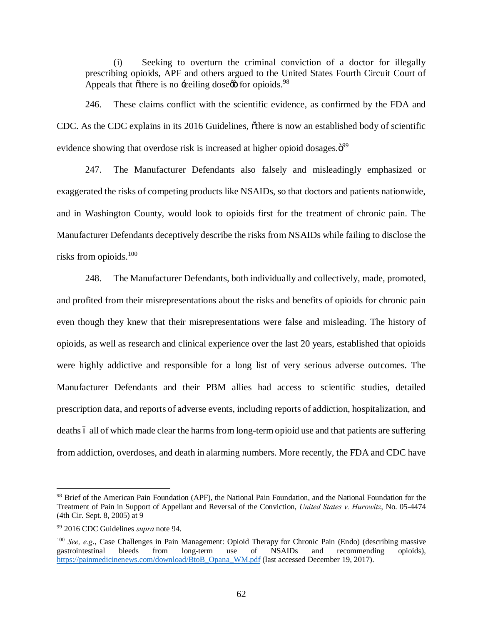(i) Seeking to overturn the criminal conviction of a doctor for illegally prescribing opioids, APF and others argued to the United States Fourth Circuit Court of Appeals that  $\tilde{\text{other}}$  is no  $\div\text{eiling}$  dose $\varnothing$  for opioids.<sup>98</sup>

246. These claims conflict with the scientific evidence, as confirmed by the FDA and CDC. As the CDC explains in its 2016 Guidelines, othere is now an established body of scientific evidence showing that overdose risk is increased at higher opioid dosages. $\ddot{\mathrm{o}}^{99}$ 

247. The Manufacturer Defendants also falsely and misleadingly emphasized or exaggerated the risks of competing products like NSAIDs, so that doctors and patients nationwide, and in Washington County, would look to opioids first for the treatment of chronic pain. The Manufacturer Defendants deceptively describe the risks from NSAIDs while failing to disclose the risks from opioids.<sup>100</sup>

248. The Manufacturer Defendants, both individually and collectively, made, promoted, and profited from their misrepresentations about the risks and benefits of opioids for chronic pain even though they knew that their misrepresentations were false and misleading. The history of opioids, as well as research and clinical experience over the last 20 years, established that opioids were highly addictive and responsible for a long list of very serious adverse outcomes. The Manufacturer Defendants and their PBM allies had access to scientific studies, detailed prescription data, and reports of adverse events, including reports of addiction, hospitalization, and deaths 6 all of which made clear the harms from long-term opioid use and that patients are suffering from addiction, overdoses, and death in alarming numbers. More recently, the FDA and CDC have

<sup>&</sup>lt;sup>98</sup> Brief of the American Pain Foundation (APF), the National Pain Foundation, and the National Foundation for the Treatment of Pain in Support of Appellant and Reversal of the Conviction, *United States v. Hurowitz*, No. 05-4474 (4th Cir. Sept. 8, 2005) at 9

<sup>99</sup> 2016 CDC Guidelines *supra* note 94.

<sup>&</sup>lt;sup>100</sup> *See*, e.g., Case Challenges in Pain Management: Opioid Therapy for Chronic Pain (Endo) (describing massive gastrointestinal bleeds from long-term use of NSAIDs and recommending opioids), gastrointestinal bleeds from long-term use of NSAIDs and recommending opioids), https://painmedicinenews.com/download/BtoB\_Opana\_WM.pdf (last accessed December 19, 2017).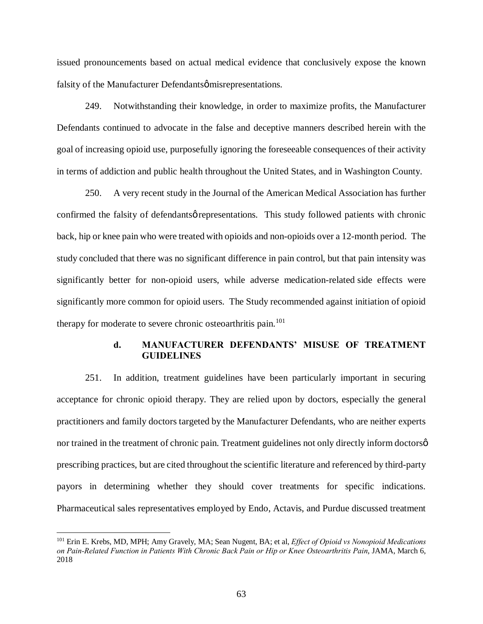issued pronouncements based on actual medical evidence that conclusively expose the known falsity of the Manufacturer Defendantsø misrepresentations.

249. Notwithstanding their knowledge, in order to maximize profits, the Manufacturer Defendants continued to advocate in the false and deceptive manners described herein with the goal of increasing opioid use, purposefully ignoring the foreseeable consequences of their activity in terms of addiction and public health throughout the United States, and in Washington County.

250. A very recent study in the Journal of the American Medical Association has further confirmed the falsity of defendantsø representations. This study followed patients with chronic back, hip or knee pain who were treated with opioids and non-opioids over a 12-month period. The study concluded that there was no significant difference in pain control, but that pain intensity was significantly better for non-opioid users, while adverse medication-related side effects were significantly more common for opioid users. The Study recommended against initiation of opioid therapy for moderate to severe chronic osteoarthritis pain.<sup>101</sup>

## **d. MANUFACTURER DEFENDANTS' MISUSE OF TREATMENT GUIDELINES**

251. In addition, treatment guidelines have been particularly important in securing acceptance for chronic opioid therapy. They are relied upon by doctors, especially the general practitioners and family doctors targeted by the Manufacturer Defendants, who are neither experts nor trained in the treatment of chronic pain. Treatment guidelines not only directly inform doctors  $\varphi$ prescribing practices, but are cited throughout the scientific literature and referenced by third-party payors in determining whether they should cover treatments for specific indications. Pharmaceutical sales representatives employed by Endo, Actavis, and Purdue discussed treatment

 <sup>101</sup> Erin E. Krebs, MD, MPH; Amy Gravely, MA; Sean Nugent, BA; et al, *Effect of Opioid vs Nonopioid Medications on Pain-Related Function in Patients With Chronic Back Pain or Hip or Knee Osteoarthritis Pain*, JAMA, March 6, 2018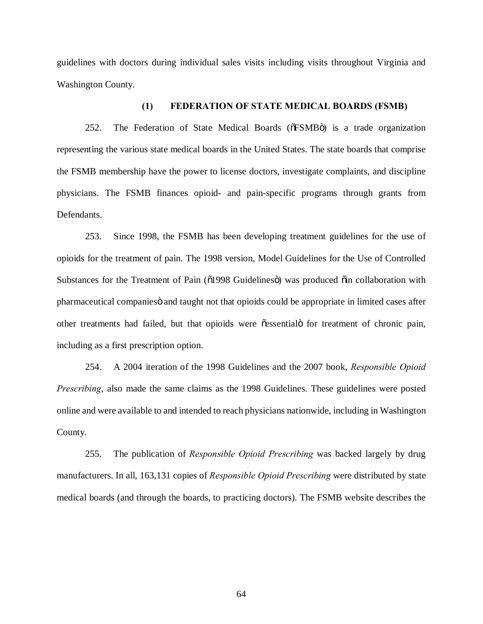guidelines with doctors during individual sales visits including visits throughout Virginia and Washington County.

#### **(1) FEDERATION OF STATE MEDICAL BOARDS (FSMB)**

252. The Federation of State Medical Boards ( $\delta$ FSMB $\ddot{o}$ ) is a trade organization representing the various state medical boards in the United States. The state boards that comprise the FSMB membership have the power to license doctors, investigate complaints, and discipline physicians. The FSMB finances opioid- and pain-specific programs through grants from Defendants.

253. Since 1998, the FSMB has been developing treatment guidelines for the use of opioids for the treatment of pain. The 1998 version, Model Guidelines for the Use of Controlled Substances for the Treatment of Pain ( $\tilde{0}1998$  Guidelines $\ddot{0}$ ) was produced  $\ddot{0}$ in collaboration with pharmaceutical companies and taught not that opioids could be appropriate in limited cases after other treatments had failed, but that opioids were  $\tilde{c}$  essential for treatment of chronic pain, including as a first prescription option.

254. A 2004 iteration of the 1998 Guidelines and the 2007 book, *Responsible Opioid Prescribing*, also made the same claims as the 1998 Guidelines. These guidelines were posted online and were available to and intended to reach physicians nationwide, including in Washington County.

255. The publication of *Responsible Opioid Prescribing* was backed largely by drug manufacturers. In all, 163,131 copies of *Responsible Opioid Prescribing* were distributed by state medical boards (and through the boards, to practicing doctors). The FSMB website describes the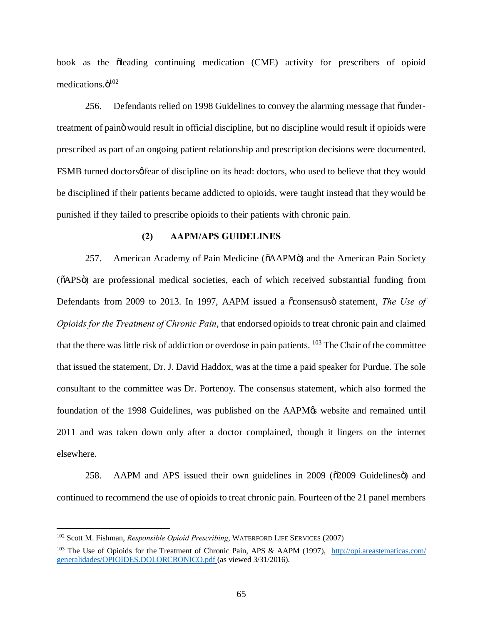book as the olleading continuing medication (CME) activity for prescribers of opioid medications. $\ddot{o}^{102}$ 

256. Defendants relied on 1998 Guidelines to convey the alarming message that  $\ddot{\text{u}}$  bundertreatment of paino would result in official discipline, but no discipline would result if opioids were prescribed as part of an ongoing patient relationship and prescription decisions were documented. FSMB turned doctors of eiscipline on its head: doctors, who used to believe that they would be disciplined if their patients became addicted to opioids, were taught instead that they would be punished if they failed to prescribe opioids to their patients with chronic pain.

## **(2) AAPM/APS GUIDELINES**

257. American Academy of Pain Medicine ( $\delta$ AAPM $\ddot{o}$ ) and the American Pain Society ( $\delta$ APS $\ddot{o}$ ) are professional medical societies, each of which received substantial funding from Defendants from 2009 to 2013. In 1997, AAPM issued a  $\tilde{o}$ consensusö statement, *The Use of Opioids for the Treatment of Chronic Pain*, that endorsed opioids to treat chronic pain and claimed that the there was little risk of addiction or overdose in pain patients. <sup>103</sup> The Chair of the committee that issued the statement, Dr. J. David Haddox, was at the time a paid speaker for Purdue. The sole consultant to the committee was Dr. Portenoy. The consensus statement, which also formed the foundation of the 1998 Guidelines, was published on the AAPM $\alpha$  website and remained until 2011 and was taken down only after a doctor complained, though it lingers on the internet elsewhere.

258. AAPM and APS issued their own guidelines in 2009 ( $\delta$ 2009 Guidelines $\ddot{\text{o}}$ ) and continued to recommend the use of opioids to treat chronic pain. Fourteen of the 21 panel members

 <sup>102</sup> Scott M. Fishman, *Responsible Opioid Prescribing*, WATERFORD LIFE SERVICES (2007)

<sup>&</sup>lt;sup>103</sup> The Use of Opioids for the Treatment of Chronic Pain, APS & AAPM (1997), http://opi.areastematicas.com/ generalidades/OPIOIDES.DOLORCRONICO.pdf (as viewed 3/31/2016).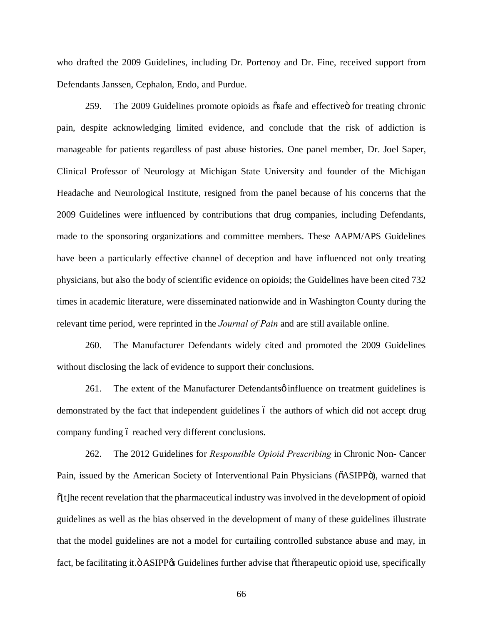who drafted the 2009 Guidelines, including Dr. Portenoy and Dr. Fine, received support from Defendants Janssen, Cephalon, Endo, and Purdue.

259. The 2009 Guidelines promote opioids as  $\tilde{\text{os}}$  and effective for treating chronic pain, despite acknowledging limited evidence, and conclude that the risk of addiction is manageable for patients regardless of past abuse histories. One panel member, Dr. Joel Saper, Clinical Professor of Neurology at Michigan State University and founder of the Michigan Headache and Neurological Institute, resigned from the panel because of his concerns that the 2009 Guidelines were influenced by contributions that drug companies, including Defendants, made to the sponsoring organizations and committee members. These AAPM/APS Guidelines have been a particularly effective channel of deception and have influenced not only treating physicians, but also the body of scientific evidence on opioids; the Guidelines have been cited 732 times in academic literature, were disseminated nationwide and in Washington County during the relevant time period, were reprinted in the *Journal of Pain* and are still available online.

260. The Manufacturer Defendants widely cited and promoted the 2009 Guidelines without disclosing the lack of evidence to support their conclusions.

261. The extent of the Manufacturer Defendants  $\phi$  influence on treatment guidelines is demonstrated by the fact that independent guidelines 6 the authors of which did not accept drug company funding 6 reached very different conclusions.

262. The 2012 Guidelines for *Responsible Opioid Prescribing* in Chronic Non- Cancer Pain, issued by the American Society of Interventional Pain Physicians ( $\delta$ ASIPP $\delta$ ), warned that  $\delta[t]$ he recent revelation that the pharmaceutical industry was involved in the development of opioid guidelines as well as the bias observed in the development of many of these guidelines illustrate that the model guidelines are not a model for curtailing controlled substance abuse and may, in fact, be facilitating it." ASIPP<sub><sup>68</sub></sup> Guidelines further advise that "otherapeutic opioid use, specifically"</sub>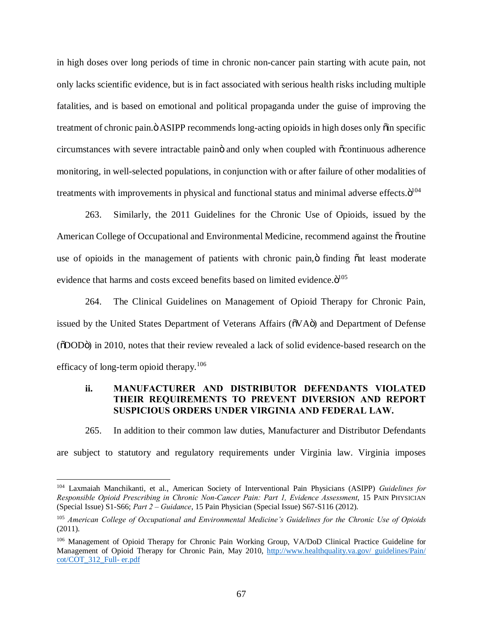in high doses over long periods of time in chronic non-cancer pain starting with acute pain, not only lacks scientific evidence, but is in fact associated with serious health risks including multiple fatalities, and is based on emotional and political propaganda under the guise of improving the treatment of chronic pain. $\ddot{o}$  ASIPP recommends long-acting opioids in high doses only  $\ddot{o}$  in specific circumstances with severe intractable paino and only when coupled with  $\tilde{\text{o}}$  continuous adherence monitoring, in well-selected populations, in conjunction with or after failure of other modalities of treatments with improvements in physical and functional status and minimal adverse effects. $\ddot{\mathrm{o}}^{104}$ 

263. Similarly, the 2011 Guidelines for the Chronic Use of Opioids, issued by the American College of Occupational and Environmental Medicine, recommend against the oroutine use of opioids in the management of patients with chronic pain, ö finding  $\tilde{a}$  at least moderate evidence that harms and costs exceed benefits based on limited evidence. $\ddot{o}^{105}$ 

264. The Clinical Guidelines on Management of Opioid Therapy for Chronic Pain, issued by the United States Department of Veterans Affairs ( $\tilde{\text{o}}V\text{A}\tilde{\text{o}}$ ) and Department of Defense ( $\delta$ DOD $\ddot{o}$ ) in 2010, notes that their review revealed a lack of solid evidence-based research on the efficacy of long-term opioid therapy. $106$ 

# **ii. MANUFACTURER AND DISTRIBUTOR DEFENDANTS VIOLATED THEIR REQUIREMENTS TO PREVENT DIVERSION AND REPORT SUSPICIOUS ORDERS UNDER VIRGINIA AND FEDERAL LAW.**

265. In addition to their common law duties, Manufacturer and Distributor Defendants are subject to statutory and regulatory requirements under Virginia law. Virginia imposes

 <sup>104</sup> Laxmaiah Manchikanti, et al., American Society of Interventional Pain Physicians (ASIPP) *Guidelines for Responsible Opioid Prescribing in Chronic Non-Cancer Pain: Part 1, Evidence Assessment*, 15 PAIN PHYSICIAN (Special Issue) S1-S66; *Part 2 – Guidance*, 15 Pain Physician (Special Issue) S67-S116 (2012).

<sup>105</sup> *American College of Occupational and Environmental Medicine's Guidelines for the Chronic Use of Opioids*  (2011).

<sup>106</sup> Management of Opioid Therapy for Chronic Pain Working Group, VA/DoD Clinical Practice Guideline for Management of Opioid Therapy for Chronic Pain, May 2010, http://www.healthquality.va.gov/ guidelines/Pain/ cot/COT\_312\_Full- er.pdf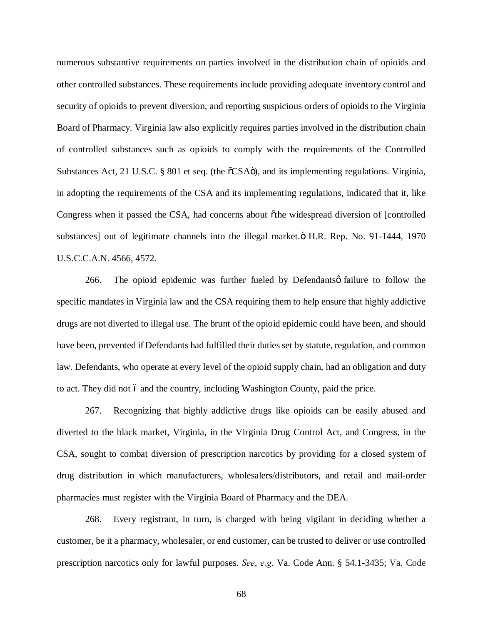numerous substantive requirements on parties involved in the distribution chain of opioids and other controlled substances. These requirements include providing adequate inventory control and security of opioids to prevent diversion, and reporting suspicious orders of opioids to the Virginia Board of Pharmacy. Virginia law also explicitly requires parties involved in the distribution chain of controlled substances such as opioids to comply with the requirements of the Controlled Substances Act, 21 U.S.C. § 801 et seq. (the  $\tilde{C}$ SA $\ddot{o}$ ), and its implementing regulations. Virginia, in adopting the requirements of the CSA and its implementing regulations, indicated that it, like Congress when it passed the CSA, had concerns about othe widespread diversion of [controlled] substances] out of legitimate channels into the illegal market. $\ddot{o}$  H.R. Rep. No. 91-1444, 1970 U.S.C.C.A.N. 4566, 4572.

266. The opioid epidemic was further fueled by Defendants of failure to follow the specific mandates in Virginia law and the CSA requiring them to help ensure that highly addictive drugs are not diverted to illegal use. The brunt of the opioid epidemic could have been, and should have been, prevented if Defendants had fulfilled their duties set by statute, regulation, and common law. Defendants, who operate at every level of the opioid supply chain, had an obligation and duty to act. They did not 6 and the country, including Washington County, paid the price.

267. Recognizing that highly addictive drugs like opioids can be easily abused and diverted to the black market, Virginia, in the Virginia Drug Control Act, and Congress, in the CSA, sought to combat diversion of prescription narcotics by providing for a closed system of drug distribution in which manufacturers, wholesalers/distributors, and retail and mail-order pharmacies must register with the Virginia Board of Pharmacy and the DEA.

268. Every registrant, in turn, is charged with being vigilant in deciding whether a customer, be it a pharmacy, wholesaler, or end customer, can be trusted to deliver or use controlled prescription narcotics only for lawful purposes. *See*, *e.g.* Va. Code Ann. § 54.1-3435; Va. Code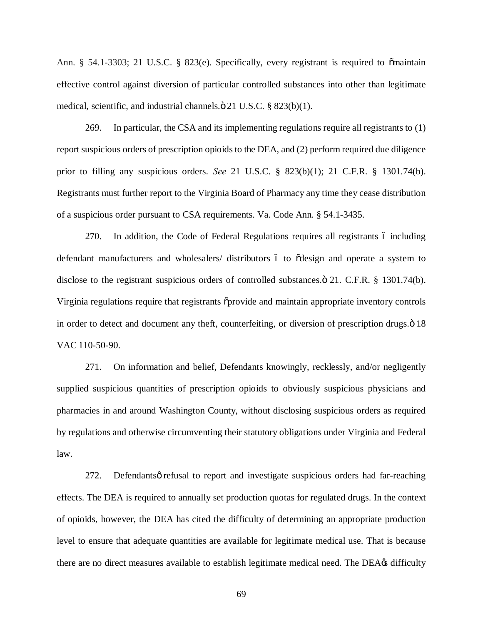Ann. § 54.1-3303; 21 U.S.C. § 823(e). Specifically, every registrant is required to  $\tilde{\text{o}}$ maintain effective control against diversion of particular controlled substances into other than legitimate medical, scientific, and industrial channels. $\ddot{\text{o}}$  21 U.S.C. § 823(b)(1).

269. In particular, the CSA and its implementing regulations require all registrants to (1) report suspicious orders of prescription opioids to the DEA, and (2) perform required due diligence prior to filling any suspicious orders. *See* 21 U.S.C. § 823(b)(1); 21 C.F.R. § 1301.74(b). Registrants must further report to the Virginia Board of Pharmacy any time they cease distribution of a suspicious order pursuant to CSA requirements. Va. Code Ann. § 54.1-3435.

270. In addition, the Code of Federal Regulations requires all registrants 6 including defendant manufacturers and wholesalers/ distributors 6 to  $\tilde{\text{odesign}}$  and operate a system to disclose to the registrant suspicious orders of controlled substances. $\ddot{o}$  21. C.F.R. § 1301.74(b). Virginia regulations require that registrants  $\delta$  provide and maintain appropriate inventory controls in order to detect and document any theft, counterfeiting, or diversion of prescription drugs. $\ddot{o}$  18 VAC 110-50-90.

271. On information and belief, Defendants knowingly, recklessly, and/or negligently supplied suspicious quantities of prescription opioids to obviously suspicious physicians and pharmacies in and around Washington County, without disclosing suspicious orders as required by regulations and otherwise circumventing their statutory obligations under Virginia and Federal law.

272. Defendantsø refusal to report and investigate suspicious orders had far-reaching effects. The DEA is required to annually set production quotas for regulated drugs. In the context of opioids, however, the DEA has cited the difficulty of determining an appropriate production level to ensure that adequate quantities are available for legitimate medical use. That is because there are no direct measures available to establish legitimate medical need. The DEA $\alpha$  difficulty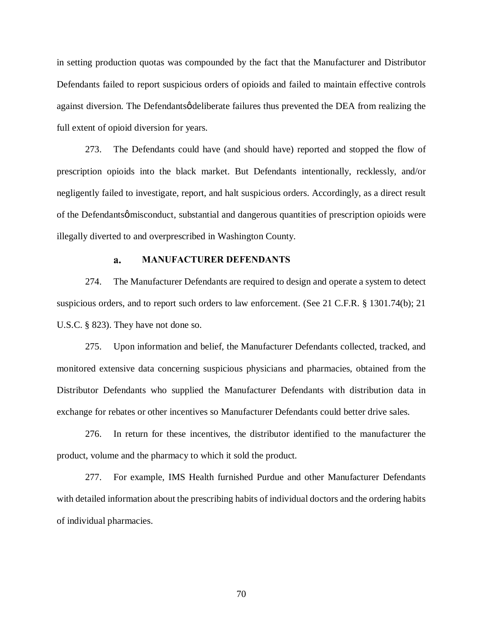in setting production quotas was compounded by the fact that the Manufacturer and Distributor Defendants failed to report suspicious orders of opioids and failed to maintain effective controls against diversion. The Defendants *o*deliberate failures thus prevented the DEA from realizing the full extent of opioid diversion for years.

273. The Defendants could have (and should have) reported and stopped the flow of prescription opioids into the black market. But Defendants intentionally, recklessly, and/or negligently failed to investigate, report, and halt suspicious orders. Accordingly, as a direct result of the Defendantsø misconduct, substantial and dangerous quantities of prescription opioids were illegally diverted to and overprescribed in Washington County.

#### **MANUFACTURER DEFENDANTS** a.

274. The Manufacturer Defendants are required to design and operate a system to detect suspicious orders, and to report such orders to law enforcement. (See 21 C.F.R. § 1301.74(b); 21 U.S.C. § 823). They have not done so.

275. Upon information and belief, the Manufacturer Defendants collected, tracked, and monitored extensive data concerning suspicious physicians and pharmacies, obtained from the Distributor Defendants who supplied the Manufacturer Defendants with distribution data in exchange for rebates or other incentives so Manufacturer Defendants could better drive sales.

276. In return for these incentives, the distributor identified to the manufacturer the product, volume and the pharmacy to which it sold the product.

277. For example, IMS Health furnished Purdue and other Manufacturer Defendants with detailed information about the prescribing habits of individual doctors and the ordering habits of individual pharmacies.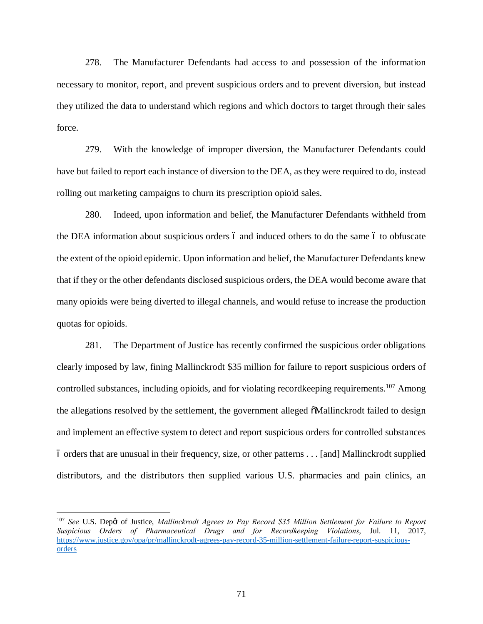278. The Manufacturer Defendants had access to and possession of the information necessary to monitor, report, and prevent suspicious orders and to prevent diversion, but instead they utilized the data to understand which regions and which doctors to target through their sales force.

279. With the knowledge of improper diversion, the Manufacturer Defendants could have but failed to report each instance of diversion to the DEA, as they were required to do, instead rolling out marketing campaigns to churn its prescription opioid sales.

280. Indeed, upon information and belief, the Manufacturer Defendants withheld from the DEA information about suspicious orders 6 and induced others to do the same 6 to obfuscate the extent of the opioid epidemic. Upon information and belief, the Manufacturer Defendants knew that if they or the other defendants disclosed suspicious orders, the DEA would become aware that many opioids were being diverted to illegal channels, and would refuse to increase the production quotas for opioids.

281. The Department of Justice has recently confirmed the suspicious order obligations clearly imposed by law, fining Mallinckrodt \$35 million for failure to report suspicious orders of controlled substances, including opioids, and for violating recordkeeping requirements.<sup>107</sup> Among the allegations resolved by the settlement, the government alleged  $\tilde{\text{o}}$ Mallinckrodt failed to design and implement an effective system to detect and report suspicious orders for controlled substances – orders that are unusual in their frequency, size, or other patterns . . . [and] Mallinckrodt supplied distributors, and the distributors then supplied various U.S. pharmacies and pain clinics, an

<sup>&</sup>lt;sup>107</sup> See U.S. Depot of Justice, *Mallinckrodt Agrees to Pay Record \$35 Million Settlement for Failure to Report Suspicious Orders of Pharmaceutical Drugs and for Recordkeeping Violations*, Jul. 11, 2017, https://www.justice.gov/opa/pr/mallinckrodt-agrees-pay-record-35-million-settlement-failure-report-suspiciousorders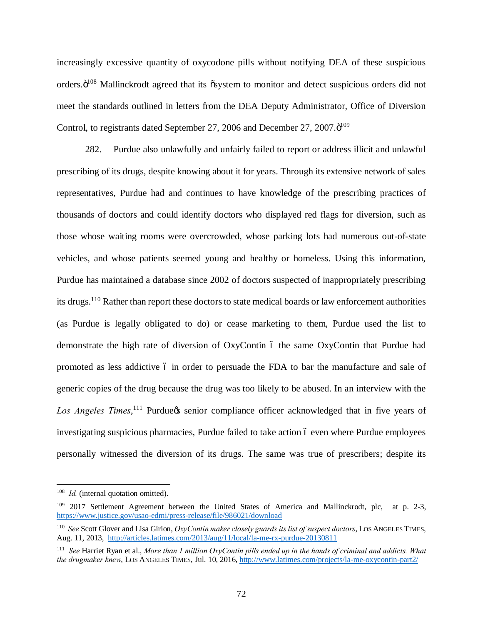increasingly excessive quantity of oxycodone pills without notifying DEA of these suspicious orders. $\ddot{o}^{108}$  Mallinckrodt agreed that its  $\ddot{o}$ system to monitor and detect suspicious orders did not meet the standards outlined in letters from the DEA Deputy Administrator, Office of Diversion Control, to registrants dated September 27, 2006 and December 27, 2007. $\ddot{o}^{109}$ 

282. Purdue also unlawfully and unfairly failed to report or address illicit and unlawful prescribing of its drugs, despite knowing about it for years. Through its extensive network of sales representatives, Purdue had and continues to have knowledge of the prescribing practices of thousands of doctors and could identify doctors who displayed red flags for diversion, such as those whose waiting rooms were overcrowded, whose parking lots had numerous out-of-state vehicles, and whose patients seemed young and healthy or homeless. Using this information, Purdue has maintained a database since 2002 of doctors suspected of inappropriately prescribing its drugs.<sup>110</sup> Rather than report these doctors to state medical boards or law enforcement authorities (as Purdue is legally obligated to do) or cease marketing to them, Purdue used the list to demonstrate the high rate of diversion of OxyContin 6 the same OxyContin that Purdue had promoted as less addictive 6 in order to persuade the FDA to bar the manufacture and sale of generic copies of the drug because the drug was too likely to be abused. In an interview with the Los Angeles Times,<sup>111</sup> Purdue<sub>n</sub> senior compliance officer acknowledged that in five years of investigating suspicious pharmacies, Purdue failed to take action 6 even where Purdue employees personally witnessed the diversion of its drugs. The same was true of prescribers; despite its

<sup>&</sup>lt;sup>108</sup> *Id.* (internal quotation omitted).

<sup>&</sup>lt;sup>109</sup> 2017 Settlement Agreement between the United States of America and Mallinckrodt, plc, at p. 2-3, https://www.justice.gov/usao-edmi/press-release/file/986021/download

<sup>110</sup> *See* Scott Glover and Lisa Girion, *OxyContin maker closely guards its list of suspect doctors*, LOS ANGELES TIMES, Aug. 11, 2013, http://articles.latimes.com/2013/aug/11/local/la-me-rx-purdue-20130811

<sup>111</sup> *See* Harriet Ryan et al., *More than 1 million OxyContin pills ended up in the hands of criminal and addicts. What the drugmaker knew*, LOS ANGELES TIMES, Jul. 10, 2016, http://www.latimes.com/projects/la-me-oxycontin-part2/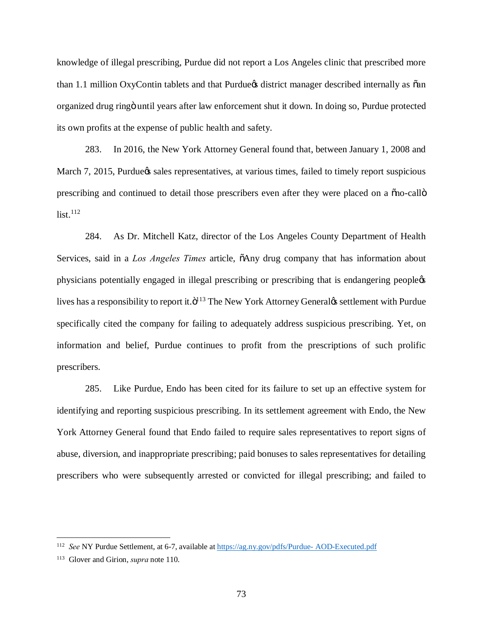knowledge of illegal prescribing, Purdue did not report a Los Angeles clinic that prescribed more than 1.1 million OxyContin tablets and that Purdue is district manager described internally as  $\tilde{a}$ an organized drug ring" until years after law enforcement shut it down. In doing so, Purdue protected its own profits at the expense of public health and safety.

283. In 2016, the New York Attorney General found that, between January 1, 2008 and March 7, 2015, Purdue & sales representatives, at various times, failed to timely report suspicious prescribing and continued to detail those prescribers even after they were placed on a  $\delta$  no-call  $\delta$  $list.<sup>112</sup>$ 

284. As Dr. Mitchell Katz, director of the Los Angeles County Department of Health Services, said in a *Los Angeles Times* article,  $\delta$ Any drug company that has information about physicians potentially engaged in illegal prescribing or prescribing that is endangering people's lives has a responsibility to report it. $\ddot{\mathrm{o}}^{113}$  The New York Attorney Generalgs settlement with Purdue specifically cited the company for failing to adequately address suspicious prescribing. Yet, on information and belief, Purdue continues to profit from the prescriptions of such prolific prescribers.

285. Like Purdue, Endo has been cited for its failure to set up an effective system for identifying and reporting suspicious prescribing. In its settlement agreement with Endo, the New York Attorney General found that Endo failed to require sales representatives to report signs of abuse, diversion, and inappropriate prescribing; paid bonuses to sales representatives for detailing prescribers who were subsequently arrested or convicted for illegal prescribing; and failed to

 <sup>112</sup> *See* NY Purdue Settlement, at 6-7, available at https://ag.ny.gov/pdfs/Purdue- AOD-Executed.pdf

<sup>113</sup> Glover and Girion, *supra* note 110.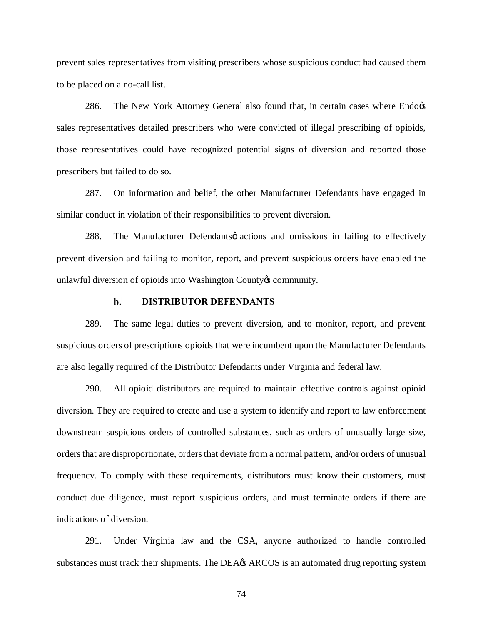prevent sales representatives from visiting prescribers whose suspicious conduct had caused them to be placed on a no-call list.

286. The New York Attorney General also found that, in certain cases where Endo $\alpha$ sales representatives detailed prescribers who were convicted of illegal prescribing of opioids, those representatives could have recognized potential signs of diversion and reported those prescribers but failed to do so.

287. On information and belief, the other Manufacturer Defendants have engaged in similar conduct in violation of their responsibilities to prevent diversion.

288. The Manufacturer Defendants pactions and omissions in failing to effectively prevent diversion and failing to monitor, report, and prevent suspicious orders have enabled the unlawful diversion of opioids into Washington County & community.

#### $\mathbf{b}$ . **DISTRIBUTOR DEFENDANTS**

289. The same legal duties to prevent diversion, and to monitor, report, and prevent suspicious orders of prescriptions opioids that were incumbent upon the Manufacturer Defendants are also legally required of the Distributor Defendants under Virginia and federal law.

290. All opioid distributors are required to maintain effective controls against opioid diversion. They are required to create and use a system to identify and report to law enforcement downstream suspicious orders of controlled substances, such as orders of unusually large size, orders that are disproportionate, orders that deviate from a normal pattern, and/or orders of unusual frequency. To comply with these requirements, distributors must know their customers, must conduct due diligence, must report suspicious orders, and must terminate orders if there are indications of diversion.

291. Under Virginia law and the CSA, anyone authorized to handle controlled substances must track their shipments. The DEA $\alpha$  ARCOS is an automated drug reporting system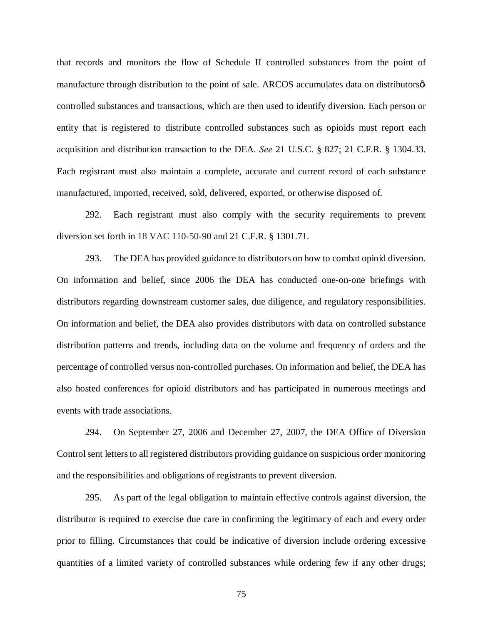that records and monitors the flow of Schedule II controlled substances from the point of manufacture through distribution to the point of sale. ARCOS accumulates data on distributors  $\phi$ controlled substances and transactions, which are then used to identify diversion. Each person or entity that is registered to distribute controlled substances such as opioids must report each acquisition and distribution transaction to the DEA. *See* 21 U.S.C. § 827; 21 C.F.R. § 1304.33. Each registrant must also maintain a complete, accurate and current record of each substance manufactured, imported, received, sold, delivered, exported, or otherwise disposed of.

292. Each registrant must also comply with the security requirements to prevent diversion set forth in 18 VAC 110-50-90 and 21 C.F.R. § 1301.71.

293. The DEA has provided guidance to distributors on how to combat opioid diversion. On information and belief, since 2006 the DEA has conducted one-on-one briefings with distributors regarding downstream customer sales, due diligence, and regulatory responsibilities. On information and belief, the DEA also provides distributors with data on controlled substance distribution patterns and trends, including data on the volume and frequency of orders and the percentage of controlled versus non-controlled purchases. On information and belief, the DEA has also hosted conferences for opioid distributors and has participated in numerous meetings and events with trade associations.

294. On September 27, 2006 and December 27, 2007, the DEA Office of Diversion Control sent letters to all registered distributors providing guidance on suspicious order monitoring and the responsibilities and obligations of registrants to prevent diversion.

295. As part of the legal obligation to maintain effective controls against diversion, the distributor is required to exercise due care in confirming the legitimacy of each and every order prior to filling. Circumstances that could be indicative of diversion include ordering excessive quantities of a limited variety of controlled substances while ordering few if any other drugs;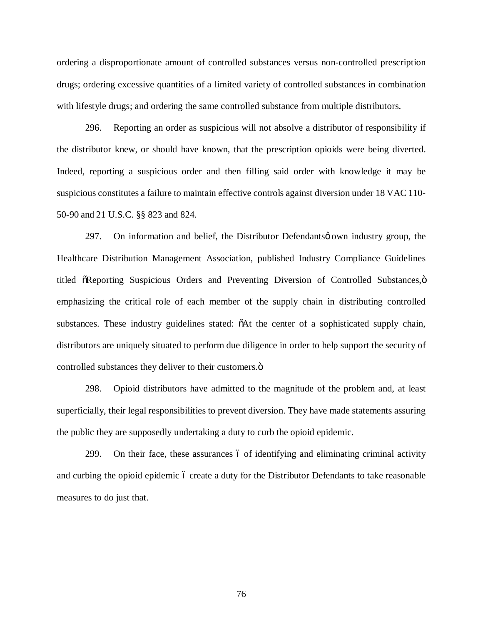ordering a disproportionate amount of controlled substances versus non-controlled prescription drugs; ordering excessive quantities of a limited variety of controlled substances in combination with lifestyle drugs; and ordering the same controlled substance from multiple distributors.

296. Reporting an order as suspicious will not absolve a distributor of responsibility if the distributor knew, or should have known, that the prescription opioids were being diverted. Indeed, reporting a suspicious order and then filling said order with knowledge it may be suspicious constitutes a failure to maintain effective controls against diversion under 18 VAC 110- 50-90 and 21 U.S.C. §§ 823 and 824.

297. On information and belief, the Distributor Defendants own industry group, the Healthcare Distribution Management Association, published Industry Compliance Guidelines titled  $\tilde{o}$ Reporting Suspicious Orders and Preventing Diversion of Controlled Substances, $\ddot{o}$ emphasizing the critical role of each member of the supply chain in distributing controlled substances. These industry guidelines stated:  $\delta$ At the center of a sophisticated supply chain, distributors are uniquely situated to perform due diligence in order to help support the security of controlled substances they deliver to their customers. $\ddot{o}$ 

298. Opioid distributors have admitted to the magnitude of the problem and, at least superficially, their legal responsibilities to prevent diversion. They have made statements assuring the public they are supposedly undertaking a duty to curb the opioid epidemic.

299. On their face, these assurances 6 of identifying and eliminating criminal activity and curbing the opioid epidemic 6 create a duty for the Distributor Defendants to take reasonable measures to do just that.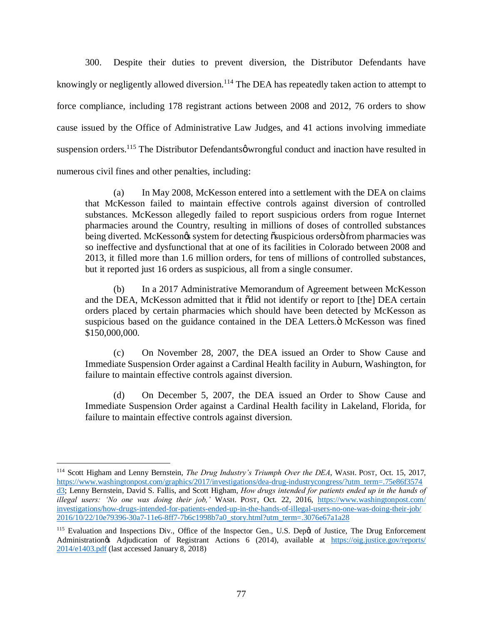300. Despite their duties to prevent diversion, the Distributor Defendants have knowingly or negligently allowed diversion.<sup>114</sup> The DEA has repeatedly taken action to attempt to force compliance, including 178 registrant actions between 2008 and 2012, 76 orders to show cause issued by the Office of Administrative Law Judges, and 41 actions involving immediate suspension orders.<sup>115</sup> The Distributor Defendants wrong ful conduct and inaction have resulted in numerous civil fines and other penalties, including:

(a) In May 2008, McKesson entered into a settlement with the DEA on claims that McKesson failed to maintain effective controls against diversion of controlled substances. McKesson allegedly failed to report suspicious orders from rogue Internet pharmacies around the Country, resulting in millions of doses of controlled substances being diverted. McKesson $\alpha$  system for detecting  $\tilde{\alpha}$ suspicious orders $\ddot{\alpha}$  from pharmacies was so ineffective and dysfunctional that at one of its facilities in Colorado between 2008 and 2013, it filled more than 1.6 million orders, for tens of millions of controlled substances, but it reported just 16 orders as suspicious, all from a single consumer.

(b) In a 2017 Administrative Memorandum of Agreement between McKesson and the DEA, McKesson admitted that it  $\ddot{\text{o}}$  did not identify or report to [the] DEA certain orders placed by certain pharmacies which should have been detected by McKesson as suspicious based on the guidance contained in the DEA Letters. $\ddot{o}$  McKesson was fined \$150,000,000.

(c) On November 28, 2007, the DEA issued an Order to Show Cause and Immediate Suspension Order against a Cardinal Health facility in Auburn, Washington, for failure to maintain effective controls against diversion.

(d) On December 5, 2007, the DEA issued an Order to Show Cause and Immediate Suspension Order against a Cardinal Health facility in Lakeland, Florida, for failure to maintain effective controls against diversion.

 <sup>114</sup> Scott Higham and Lenny Bernstein, *The Drug Industry's Triumph Over the DEA*, WASH. POST, Oct. 15, 2017, https://www.washingtonpost.com/graphics/2017/investigations/dea-drug-industrycongress/?utm\_term=.75e86f3574 d3; Lenny Bernstein, David S. Fallis, and Scott Higham, *How drugs intended for patients ended up in the hands of illegal users: 'No one was doing their job,'* WASH. POST, Oct. 22, 2016, https://www.washingtonpost.com/ investigations/how-drugs-intended-for-patients-ended-up-in-the-hands-of-illegal-users-no-one-was-doing-their-job/ 2016/10/22/10e79396-30a7-11e6-8ff7-7b6c1998b7a0\_story.html?utm\_term=.3076e67a1a28

<sup>&</sup>lt;sup>115</sup> Evaluation and Inspections Div., Office of the Inspector Gen., U.S. Dep¢t of Justice, The Drug Enforcement Administration's Adjudication of Registrant Actions 6 (2014), available at https://oig.justice.gov/reports/ 2014/e1403.pdf (last accessed January 8, 2018)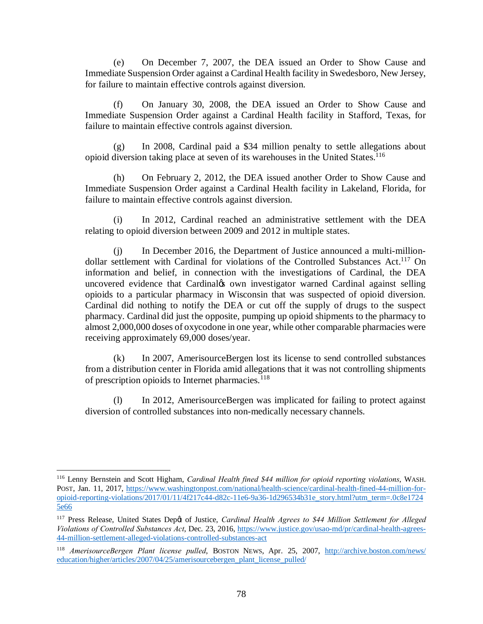(e) On December 7, 2007, the DEA issued an Order to Show Cause and Immediate Suspension Order against a Cardinal Health facility in Swedesboro, New Jersey, for failure to maintain effective controls against diversion.

(f) On January 30, 2008, the DEA issued an Order to Show Cause and Immediate Suspension Order against a Cardinal Health facility in Stafford, Texas, for failure to maintain effective controls against diversion.

(g) In 2008, Cardinal paid a \$34 million penalty to settle allegations about opioid diversion taking place at seven of its warehouses in the United States.116

(h) On February 2, 2012, the DEA issued another Order to Show Cause and Immediate Suspension Order against a Cardinal Health facility in Lakeland, Florida, for failure to maintain effective controls against diversion.

(i) In 2012, Cardinal reached an administrative settlement with the DEA relating to opioid diversion between 2009 and 2012 in multiple states.

(j) In December 2016, the Department of Justice announced a multi-milliondollar settlement with Cardinal for violations of the Controlled Substances Act.<sup>117</sup> On information and belief, in connection with the investigations of Cardinal, the DEA uncovered evidence that Cardinal<sub>*C*</sub>s own investigator warned Cardinal against selling opioids to a particular pharmacy in Wisconsin that was suspected of opioid diversion. Cardinal did nothing to notify the DEA or cut off the supply of drugs to the suspect pharmacy. Cardinal did just the opposite, pumping up opioid shipments to the pharmacy to almost 2,000,000 doses of oxycodone in one year, while other comparable pharmacies were receiving approximately 69,000 doses/year.

(k) In 2007, AmerisourceBergen lost its license to send controlled substances from a distribution center in Florida amid allegations that it was not controlling shipments of prescription opioids to Internet pharmacies.<sup>118</sup>

(l) In 2012, AmerisourceBergen was implicated for failing to protect against diversion of controlled substances into non-medically necessary channels.

 <sup>116</sup> Lenny Bernstein and Scott Higham, *Cardinal Health fined \$44 million for opioid reporting violations*, WASH. POST, Jan. 11, 2017, https://www.washingtonpost.com/national/health-science/cardinal-health-fined-44-million-foropioid-reporting-violations/2017/01/11/4f217c44-d82c-11e6-9a36-1d296534b31e\_story.html?utm\_term=.0c8e1724 5e66

<sup>&</sup>lt;sup>117</sup> Press Release, United States Depot of Justice, *Cardinal Health Agrees to \$44 Million Settlement for Alleged Violations of Controlled Substances Act*, Dec. 23, 2016, https://www.justice.gov/usao-md/pr/cardinal-health-agrees-44-million-settlement-alleged-violations-controlled-substances-act

<sup>118</sup> *AmerisourceBergen Plant license pulled*, BOSTON NEWS, Apr. 25, 2007, http://archive.boston.com/news/ education/higher/articles/2007/04/25/amerisourcebergen\_plant\_license\_pulled/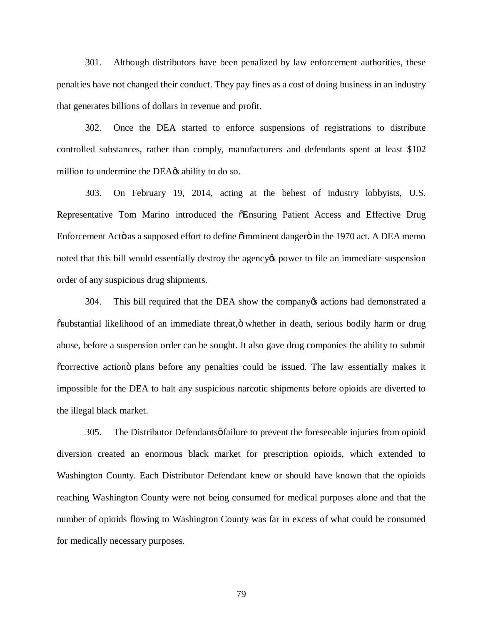301. Although distributors have been penalized by law enforcement authorities, these penalties have not changed their conduct. They pay fines as a cost of doing business in an industry that generates billions of dollars in revenue and profit.

302. Once the DEA started to enforce suspensions of registrations to distribute controlled substances, rather than comply, manufacturers and defendants spent at least \$102 million to undermine the DEA $\alpha$  ability to do so.

303. On February 19, 2014, acting at the behest of industry lobbyists, U.S. Representative Tom Marino introduced the  $\tilde{o}$ Ensuring Patient Access and Effective Drug Enforcement Actö as a supposed effort to define  $\ddot{\text{o}}$  imminent danger  $\ddot{\text{o}}$  in the 1970 act. A DEA memo noted that this bill would essentially destroy the agency to power to file an immediate suspension order of any suspicious drug shipments.

304. This bill required that the DEA show the company tactions had demonstrated a  $\ddot{\text{o}}$ substantial likelihood of an immediate threat, $\ddot{\text{o}}$  whether in death, serious bodily harm or drug abuse, before a suspension order can be sought. It also gave drug companies the ability to submit  $\alpha$  corrective action plans before any penalties could be issued. The law essentially makes it impossible for the DEA to halt any suspicious narcotic shipments before opioids are diverted to the illegal black market.

305. The Distributor Defendants *o* failure to prevent the foreseeable injuries from opioid diversion created an enormous black market for prescription opioids, which extended to Washington County. Each Distributor Defendant knew or should have known that the opioids reaching Washington County were not being consumed for medical purposes alone and that the number of opioids flowing to Washington County was far in excess of what could be consumed for medically necessary purposes.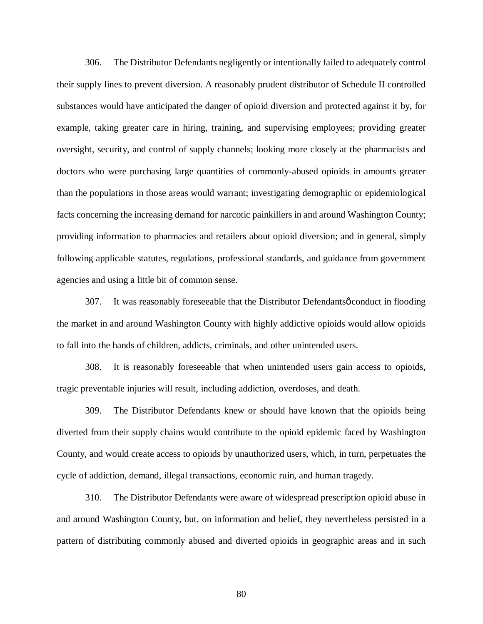306. The Distributor Defendants negligently or intentionally failed to adequately control their supply lines to prevent diversion. A reasonably prudent distributor of Schedule II controlled substances would have anticipated the danger of opioid diversion and protected against it by, for example, taking greater care in hiring, training, and supervising employees; providing greater oversight, security, and control of supply channels; looking more closely at the pharmacists and doctors who were purchasing large quantities of commonly-abused opioids in amounts greater than the populations in those areas would warrant; investigating demographic or epidemiological facts concerning the increasing demand for narcotic painkillers in and around Washington County; providing information to pharmacies and retailers about opioid diversion; and in general, simply following applicable statutes, regulations, professional standards, and guidance from government agencies and using a little bit of common sense.

307. It was reasonably foreseeable that the Distributor Defendants  $\phi$  conduct in flooding the market in and around Washington County with highly addictive opioids would allow opioids to fall into the hands of children, addicts, criminals, and other unintended users.

308. It is reasonably foreseeable that when unintended users gain access to opioids, tragic preventable injuries will result, including addiction, overdoses, and death.

309. The Distributor Defendants knew or should have known that the opioids being diverted from their supply chains would contribute to the opioid epidemic faced by Washington County, and would create access to opioids by unauthorized users, which, in turn, perpetuates the cycle of addiction, demand, illegal transactions, economic ruin, and human tragedy.

310. The Distributor Defendants were aware of widespread prescription opioid abuse in and around Washington County, but, on information and belief, they nevertheless persisted in a pattern of distributing commonly abused and diverted opioids in geographic areas and in such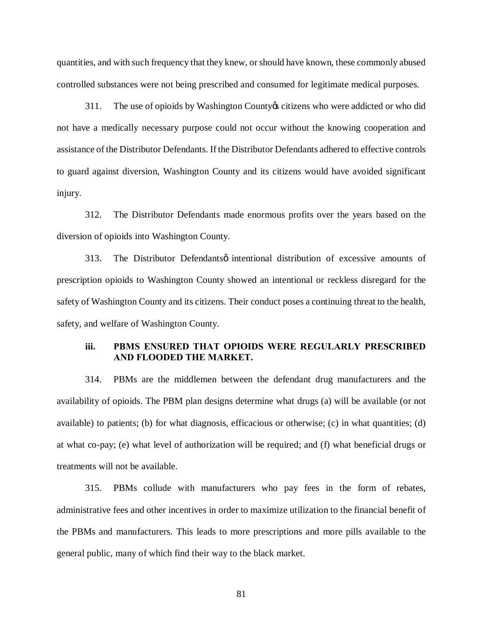quantities, and with such frequency that they knew, or should have known, these commonly abused controlled substances were not being prescribed and consumed for legitimate medical purposes.

311. The use of opioids by Washington County's citizens who were addicted or who did not have a medically necessary purpose could not occur without the knowing cooperation and assistance of the Distributor Defendants. If the Distributor Defendants adhered to effective controls to guard against diversion, Washington County and its citizens would have avoided significant injury.

312. The Distributor Defendants made enormous profits over the years based on the diversion of opioids into Washington County.

313. The Distributor Defendants intentional distribution of excessive amounts of prescription opioids to Washington County showed an intentional or reckless disregard for the safety of Washington County and its citizens. Their conduct poses a continuing threat to the health, safety, and welfare of Washington County.

# **iii. PBMS ENSURED THAT OPIOIDS WERE REGULARLY PRESCRIBED AND FLOODED THE MARKET.**

314. PBMs are the middlemen between the defendant drug manufacturers and the availability of opioids. The PBM plan designs determine what drugs (a) will be available (or not available) to patients; (b) for what diagnosis, efficacious or otherwise; (c) in what quantities; (d) at what co-pay; (e) what level of authorization will be required; and (f) what beneficial drugs or treatments will not be available.

315. PBMs collude with manufacturers who pay fees in the form of rebates, administrative fees and other incentives in order to maximize utilization to the financial benefit of the PBMs and manufacturers. This leads to more prescriptions and more pills available to the general public, many of which find their way to the black market.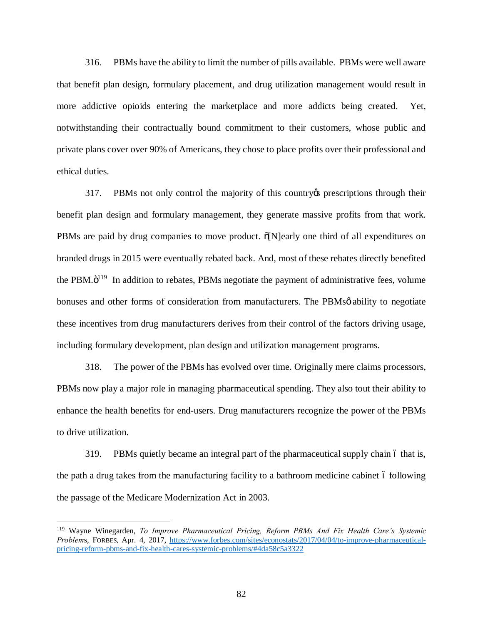316. PBMs have the ability to limit the number of pills available. PBMs were well aware that benefit plan design, formulary placement, and drug utilization management would result in more addictive opioids entering the marketplace and more addicts being created. Yet, notwithstanding their contractually bound commitment to their customers, whose public and private plans cover over 90% of Americans, they chose to place profits over their professional and ethical duties.

317. PBMs not only control the majority of this country's prescriptions through their benefit plan design and formulary management, they generate massive profits from that work. PBMs are paid by drug companies to move product.  $\delta[N]$ early one third of all expenditures on branded drugs in 2015 were eventually rebated back. And, most of these rebates directly benefited the PBM. $\ddot{o}^{119}$  In addition to rebates, PBMs negotiate the payment of administrative fees, volume bonuses and other forms of consideration from manufacturers. The PBMs o ability to negotiate these incentives from drug manufacturers derives from their control of the factors driving usage, including formulary development, plan design and utilization management programs.

318. The power of the PBMs has evolved over time. Originally mere claims processors, PBMs now play a major role in managing pharmaceutical spending. They also tout their ability to enhance the health benefits for end-users. Drug manufacturers recognize the power of the PBMs to drive utilization.

319. PBMs quietly became an integral part of the pharmaceutical supply chain 6 that is, the path a drug takes from the manufacturing facility to a bathroom medicine cabinet 6 following the passage of the Medicare Modernization Act in 2003.

 <sup>119</sup> Wayne Winegarden, *To Improve Pharmaceutical Pricing, Reform PBMs And Fix Health Care's Systemic Problem*s, FORBES*,* Apr. 4, 2017, https://www.forbes.com/sites/econostats/2017/04/04/to-improve-pharmaceuticalpricing-reform-pbms-and-fix-health-cares-systemic-problems/#4da58c5a3322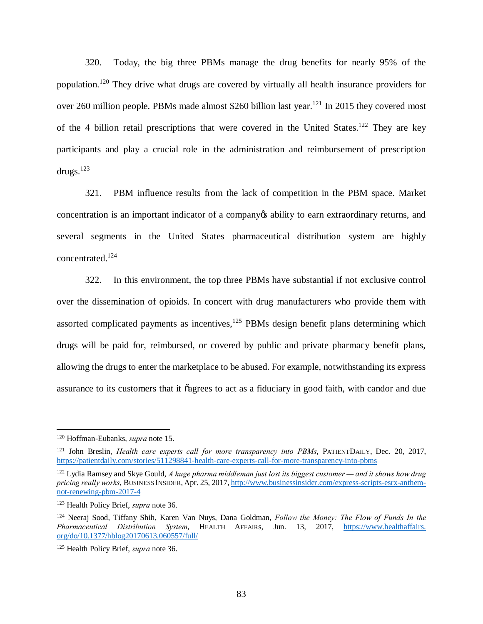320. Today, the big three PBMs manage the drug benefits for nearly 95% of the population.<sup>120</sup> They drive what drugs are covered by virtually all health insurance providers for over 260 million people. PBMs made almost \$260 billion last year.<sup>121</sup> In 2015 they covered most of the 4 billion retail prescriptions that were covered in the United States.<sup>122</sup> They are key participants and play a crucial role in the administration and reimbursement of prescription drugs. $123$ 

321. PBM influence results from the lack of competition in the PBM space. Market concentration is an important indicator of a company os ability to earn extraordinary returns, and several segments in the United States pharmaceutical distribution system are highly concentrated.124

322. In this environment, the top three PBMs have substantial if not exclusive control over the dissemination of opioids. In concert with drug manufacturers who provide them with assorted complicated payments as incentives, $125$  PBMs design benefit plans determining which drugs will be paid for, reimbursed, or covered by public and private pharmacy benefit plans, allowing the drugs to enter the marketplace to be abused. For example, notwithstanding its express assurance to its customers that it  $\tilde{o}$  agrees to act as a fiduciary in good faith, with candor and due

 <sup>120</sup> Hoffman-Eubanks, *supra* note 15.

<sup>121</sup> John Breslin, *Health care experts call for more transparency into PBMs*, PATIENTDAILY, Dec. 20, 2017, https://patientdaily.com/stories/511298841-health-care-experts-call-for-more-transparency-into-pbms

<sup>&</sup>lt;sup>122</sup> Lydia Ramsey and Skye Gould, *A huge pharma middleman just lost its biggest customer — and it shows how drug pricing really works*, BUSINESS INSIDER, Apr. 25, 2017, http://www.businessinsider.com/express-scripts-esrx-anthemnot-renewing-pbm-2017-4

<sup>123</sup> Health Policy Brief, *supra* note 36.

<sup>124</sup> Neeraj Sood, Tiffany Shih, Karen Van Nuys, Dana Goldman, *Follow the Money: The Flow of Funds In the Pharmaceutical Distribution System*, HEALTH AFFAIRs, Jun. 13, 2017, https://www.healthaffairs. org/do/10.1377/hblog20170613.060557/full/

<sup>125</sup> Health Policy Brief, *supra* note 36.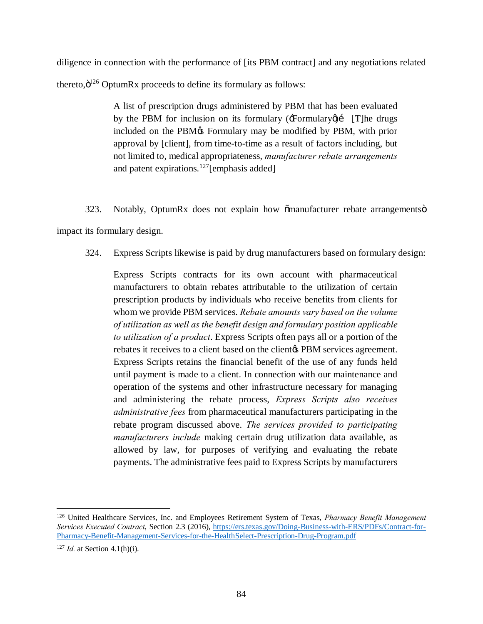diligence in connection with the performance of [its PBM contract] and any negotiations related thereto, $\ddot{o}^{126}$  OptumRx proceeds to define its formulary as follows:

> A list of prescription drugs administered by PBM that has been evaluated by the PBM for inclusion on its formulary  $(Formulary)$  [T]he drugs included on the PBM $\alpha$  Formulary may be modified by PBM, with prior approval by [client], from time-to-time as a result of factors including, but not limited to, medical appropriateness, *manufacturer rebate arrangements* and patent expirations.<sup>127</sup>[emphasis added]

323. Notably, OptumRx does not explain how  $\delta$ manufacturer rebate arrangements o impact its formulary design.

324. Express Scripts likewise is paid by drug manufacturers based on formulary design:

Express Scripts contracts for its own account with pharmaceutical manufacturers to obtain rebates attributable to the utilization of certain prescription products by individuals who receive benefits from clients for whom we provide PBM services. *Rebate amounts vary based on the volume of utilization as well as the benefit design and formulary position applicable to utilization of a product*. Express Scripts often pays all or a portion of the rebates it receives to a client based on the client **PBM** services agreement. Express Scripts retains the financial benefit of the use of any funds held until payment is made to a client. In connection with our maintenance and operation of the systems and other infrastructure necessary for managing and administering the rebate process, *Express Scripts also receives administrative fees* from pharmaceutical manufacturers participating in the rebate program discussed above. *The services provided to participating manufacturers include* making certain drug utilization data available, as allowed by law, for purposes of verifying and evaluating the rebate payments. The administrative fees paid to Express Scripts by manufacturers

 <sup>126</sup> United Healthcare Services, Inc. and Employees Retirement System of Texas, *Pharmacy Benefit Management Services Executed Contract*, Section 2.3 (2016), https://ers.texas.gov/Doing-Business-with-ERS/PDFs/Contract-for-Pharmacy-Benefit-Management-Services-for-the-HealthSelect-Prescription-Drug-Program.pdf

<sup>127</sup> *Id.* at Section 4.1(h)(i).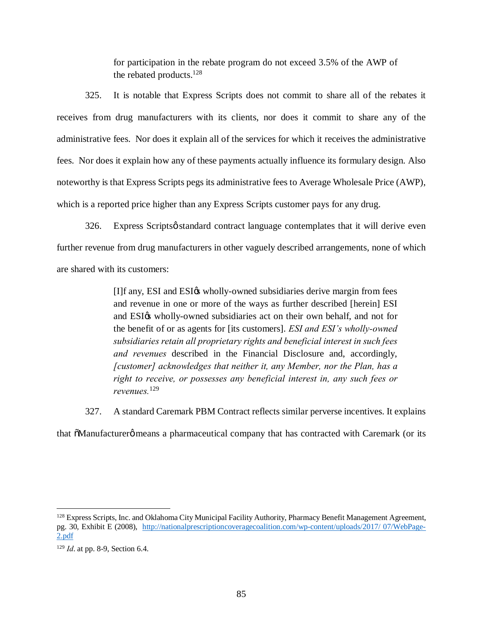for participation in the rebate program do not exceed 3.5% of the AWP of the rebated products.128

325. It is notable that Express Scripts does not commit to share all of the rebates it receives from drug manufacturers with its clients, nor does it commit to share any of the administrative fees. Nor does it explain all of the services for which it receives the administrative fees. Nor does it explain how any of these payments actually influence its formulary design. Also noteworthy is that Express Scripts pegs its administrative fees to Average Wholesale Price (AWP), which is a reported price higher than any Express Scripts customer pays for any drug.

326. Express Scripts ostandard contract language contemplates that it will derive even further revenue from drug manufacturers in other vaguely described arrangements, none of which are shared with its customers:

> [I]f any, ESI and ESI $\alpha$  wholly-owned subsidiaries derive margin from fees and revenue in one or more of the ways as further described [herein] ESI and ESI $\alpha$  wholly-owned subsidiaries act on their own behalf, and not for the benefit of or as agents for [its customers]. *ESI and ESI's wholly-owned subsidiaries retain all proprietary rights and beneficial interest in such fees and revenues* described in the Financial Disclosure and, accordingly, *[customer] acknowledges that neither it, any Member, nor the Plan, has a right to receive, or possesses any beneficial interest in, any such fees or revenues.*<sup>129</sup>

327. A standard Caremark PBM Contract reflects similar perverse incentives. It explains

that  $\delta$ Manufacturer $\varphi$  means a pharmaceutical company that has contracted with Caremark (or its

<sup>&</sup>lt;sup>128</sup> Express Scripts, Inc. and Oklahoma City Municipal Facility Authority, Pharmacy Benefit Management Agreement, pg. 30, Exhibit E (2008), http://nationalprescriptioncoveragecoalition.com/wp-content/uploads/2017/ 07/WebPage-2.pdf

<sup>129</sup> *Id*. at pp. 8-9, Section 6.4.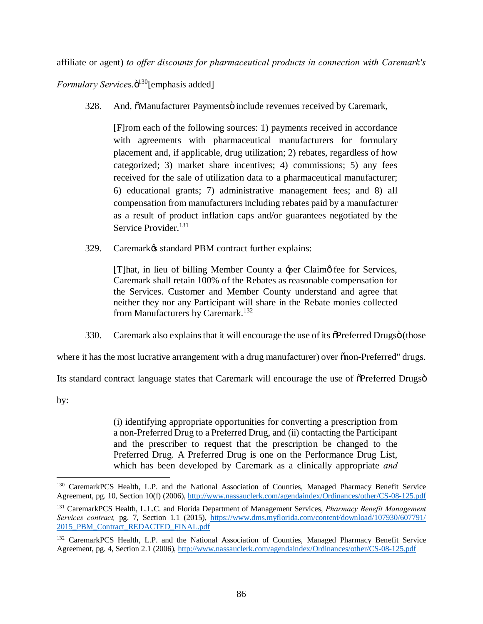affiliate or agent) *to offer discounts for pharmaceutical products in connection with Caremark's* 

*Formulary Services.* $\ddot{o}^{130}$ [emphasis added]

328. And,  $\delta$ Manufacturer Paymentsö include revenues received by Caremark,

[F]rom each of the following sources: 1) payments received in accordance with agreements with pharmaceutical manufacturers for formulary placement and, if applicable, drug utilization; 2) rebates, regardless of how categorized; 3) market share incentives; 4) commissions; 5) any fees received for the sale of utilization data to a pharmaceutical manufacturer; 6) educational grants; 7) administrative management fees; and 8) all compensation from manufacturers including rebates paid by a manufacturer as a result of product inflation caps and/or guarantees negotiated by the Service Provider.<sup>131</sup>

329. Caremark $\circ$ s standard PBM contract further explains:

[T]hat, in lieu of billing Member County a -per Claim of fee for Services, Caremark shall retain 100% of the Rebates as reasonable compensation for the Services. Customer and Member County understand and agree that neither they nor any Participant will share in the Rebate monies collected from Manufacturers by Caremark.<sup>132</sup>

330. Caremark also explains that it will encourage the use of its  $\delta$ Preferred Drugsö (those

where it has the most lucrative arrangement with a drug manufacturer) over  $\tilde{\text{on}}$  -Preferred" drugs.

Its standard contract language states that Caremark will encourage the use of  $\delta$ Preferred Drugs $\ddot{\sigma}$ 

by:

(i) identifying appropriate opportunities for converting a prescription from a non-Preferred Drug to a Preferred Drug, and (ii) contacting the Participant and the prescriber to request that the prescription be changed to the Preferred Drug. A Preferred Drug is one on the Performance Drug List, which has been developed by Caremark as a clinically appropriate *and*

 <sup>130</sup> CaremarkPCS Health, L.P. and the National Association of Counties, Managed Pharmacy Benefit Service Agreement, pg. 10, Section 10(f) (2006), http://www.nassauclerk.com/agendaindex/Ordinances/other/CS-08-125.pdf

<sup>131</sup> CaremarkPCS Health, L.L.C. and Florida Department of Management Services, *Pharmacy Benefit Management Services contract,* pg. 7, Section 1.1 (2015), https://www.dms.myflorida.com/content/download/107930/607791/ 2015\_PBM\_Contract\_REDACTED\_FINAL.pdf

<sup>&</sup>lt;sup>132</sup> CaremarkPCS Health, L.P. and the National Association of Counties, Managed Pharmacy Benefit Service Agreement, pg. 4, Section 2.1 (2006), http://www.nassauclerk.com/agendaindex/Ordinances/other/CS-08-125.pdf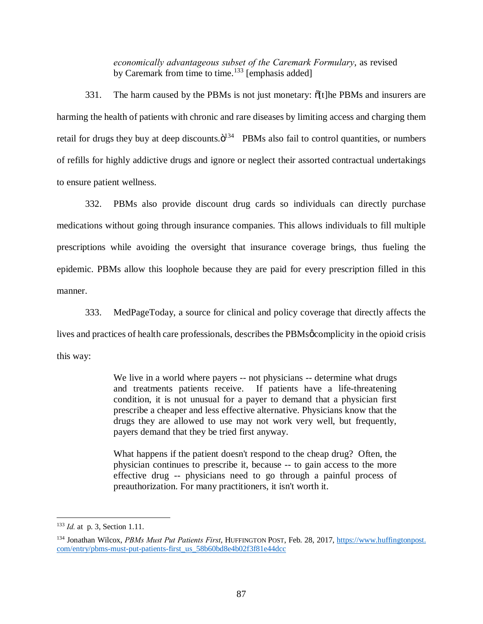*economically advantageous subset of the Caremark Formulary*, as revised by Caremark from time to time.<sup>133</sup> [emphasis added]

331. The harm caused by the PBMs is not just monetary:  $\delta[t]$ he PBMs and insurers are harming the health of patients with chronic and rare diseases by limiting access and charging them retail for drugs they buy at deep discounts. $\ddot{\mathrm{o}}^{134}$  PBMs also fail to control quantities, or numbers of refills for highly addictive drugs and ignore or neglect their assorted contractual undertakings to ensure patient wellness.

332. PBMs also provide discount drug cards so individuals can directly purchase medications without going through insurance companies. This allows individuals to fill multiple prescriptions while avoiding the oversight that insurance coverage brings, thus fueling the epidemic. PBMs allow this loophole because they are paid for every prescription filled in this manner.

333. MedPageToday, a source for clinical and policy coverage that directly affects the lives and practices of health care professionals, describes the PBMs gcomplicity in the opioid crisis this way:

> We live in a world where payers -- not physicians -- determine what drugs and treatments patients receive. If patients have a life-threatening condition, it is not unusual for a payer to demand that a physician first prescribe a cheaper and less effective alternative. Physicians know that the drugs they are allowed to use may not work very well, but frequently, payers demand that they be tried first anyway.

> What happens if the patient doesn't respond to the cheap drug? Often, the physician continues to prescribe it, because -- to gain access to the more effective drug -- physicians need to go through a painful process of preauthorization. For many practitioners, it isn't worth it.

 <sup>133</sup> *Id.* at p. 3, Section 1.11.

<sup>134</sup> Jonathan Wilcox, *PBMs Must Put Patients First*, HUFFINGTON POST, Feb. 28, 2017, https://www.huffingtonpost. com/entry/pbms-must-put-patients-first\_us\_58b60bd8e4b02f3f81e44dcc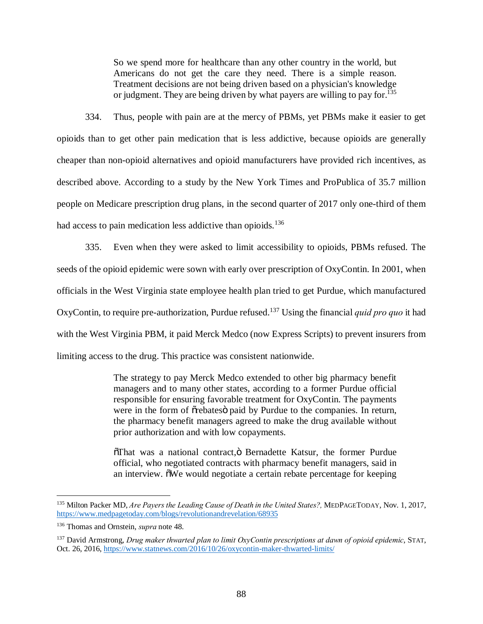So we spend more for healthcare than any other country in the world, but Americans do not get the care they need. There is a simple reason. Treatment decisions are not being driven based on a physician's knowledge or judgment. They are being driven by what payers are willing to pay for.<sup>135</sup>

334. Thus, people with pain are at the mercy of PBMs, yet PBMs make it easier to get opioids than to get other pain medication that is less addictive, because opioids are generally cheaper than non-opioid alternatives and opioid manufacturers have provided rich incentives, as described above. According to a study by the New York Times and ProPublica of 35.7 million people on Medicare prescription drug plans, in the second quarter of 2017 only one-third of them had access to pain medication less addictive than opioids.<sup>136</sup>

335. Even when they were asked to limit accessibility to opioids, PBMs refused. The seeds of the opioid epidemic were sown with early over prescription of OxyContin. In 2001, when officials in the West Virginia state employee health plan tried to get Purdue, which manufactured OxyContin, to require pre-authorization, Purdue refused.<sup>137</sup> Using the financial *quid pro quo* it had with the West Virginia PBM, it paid Merck Medco (now Express Scripts) to prevent insurers from limiting access to the drug. This practice was consistent nationwide.

> The strategy to pay Merck Medco extended to other big pharmacy benefit managers and to many other states, according to a former Purdue official responsible for ensuring favorable treatment for OxyContin. The payments were in the form of  $\tilde{\sigma}$  rebates paid by Purdue to the companies. In return, the pharmacy benefit managers agreed to make the drug available without prior authorization and with low copayments.

> $\tilde{\sigma}$ That was a national contract, $\tilde{\sigma}$  Bernadette Katsur, the former Purdue official, who negotiated contracts with pharmacy benefit managers, said in an interview.  $\delta$ We would negotiate a certain rebate percentage for keeping

 <sup>135</sup> Milton Packer MD, *Are Payers the Leading Cause of Death in the United States?,* MEDPAGETODAY, Nov. 1, 2017, https://www.medpagetoday.com/blogs/revolutionandrevelation/68935

<sup>136</sup> Thomas and Ornstein, *supra* note 48.

<sup>137</sup> David Armstrong, *Drug maker thwarted plan to limit OxyContin prescriptions at dawn of opioid epidemic*, STAT, Oct. 26, 2016, https://www.statnews.com/2016/10/26/oxycontin-maker-thwarted-limits/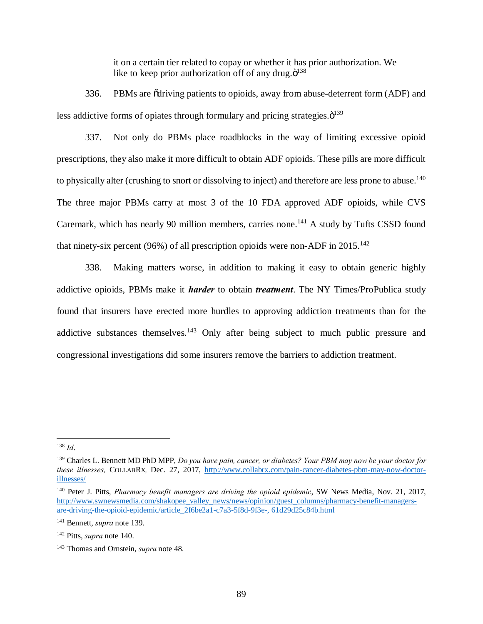it on a certain tier related to copay or whether it has prior authorization. We like to keep prior authorization off of any drug. $\ddot{\mathrm{o}}^{138}$ 

336. PBMs are "driving patients to opioids, away from abuse-deterrent form (ADF) and less addictive forms of opiates through formulary and pricing strategies. $\ddot{o}^{139}$ 

337. Not only do PBMs place roadblocks in the way of limiting excessive opioid prescriptions, they also make it more difficult to obtain ADF opioids. These pills are more difficult to physically alter (crushing to snort or dissolving to inject) and therefore are less prone to abuse.<sup>140</sup> The three major PBMs carry at most 3 of the 10 FDA approved ADF opioids, while CVS Caremark, which has nearly 90 million members, carries none.<sup>141</sup> A study by Tufts CSSD found that ninety-six percent (96%) of all prescription opioids were non-ADF in  $2015$ .<sup>142</sup>

338. Making matters worse, in addition to making it easy to obtain generic highly addictive opioids, PBMs make it *harder* to obtain *treatment*. The NY Times/ProPublica study found that insurers have erected more hurdles to approving addiction treatments than for the addictive substances themselves.<sup>143</sup> Only after being subject to much public pressure and congressional investigations did some insurers remove the barriers to addiction treatment.

 <sup>138</sup> *Id*.

<sup>139</sup> Charles L. Bennett MD PhD MPP, *Do you have pain, cancer, or diabetes? Your PBM may now be your doctor for these illnesses,* COLLABRX*,* Dec. 27, 2017, http://www.collabrx.com/pain-cancer-diabetes-pbm-may-now-doctorillnesses/

<sup>140</sup> Peter J. Pitts, *Pharmacy benefit managers are driving the opioid epidemic*, SW News Media, Nov. 21, 2017, http://www.swnewsmedia.com/shakopee\_valley\_news/news/opinion/guest\_columns/pharmacy-benefit-managersare-driving-the-opioid-epidemic/article\_2f6be2a1-c7a3-5f8d-9f3e-, 61d29d25c84b.html

<sup>141</sup> Bennett, *supra* note 139.

<sup>142</sup> Pitts, *supra* note 140.

<sup>143</sup> Thomas and Ornstein, *supra* note 48.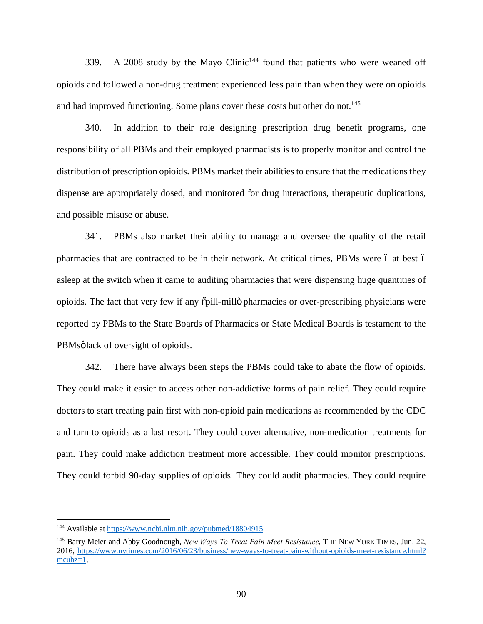339. A 2008 study by the Mayo Clinic<sup>144</sup> found that patients who were weaned off opioids and followed a non-drug treatment experienced less pain than when they were on opioids and had improved functioning. Some plans cover these costs but other do not.<sup>145</sup>

340. In addition to their role designing prescription drug benefit programs, one responsibility of all PBMs and their employed pharmacists is to properly monitor and control the distribution of prescription opioids. PBMs market their abilities to ensure that the medications they dispense are appropriately dosed, and monitored for drug interactions, therapeutic duplications, and possible misuse or abuse.

341. PBMs also market their ability to manage and oversee the quality of the retail pharmacies that are contracted to be in their network. At critical times, PBMs were 6 at best 6 asleep at the switch when it came to auditing pharmacies that were dispensing huge quantities of opioids. The fact that very few if any "pill-mill" pharmacies or over-prescribing physicians were reported by PBMs to the State Boards of Pharmacies or State Medical Boards is testament to the PBMsølack of oversight of opioids.

342. There have always been steps the PBMs could take to abate the flow of opioids. They could make it easier to access other non-addictive forms of pain relief. They could require doctors to start treating pain first with non-opioid pain medications as recommended by the CDC and turn to opioids as a last resort. They could cover alternative, non-medication treatments for pain. They could make addiction treatment more accessible. They could monitor prescriptions. They could forbid 90-day supplies of opioids. They could audit pharmacies. They could require

 <sup>144</sup> Available at https://www.ncbi.nlm.nih.gov/pubmed/18804915

<sup>145</sup> Barry Meier and Abby Goodnough, *New Ways To Treat Pain Meet Resistance*, THE NEW YORK TIMES, Jun. 22, 2016, https://www.nytimes.com/2016/06/23/business/new-ways-to-treat-pain-without-opioids-meet-resistance.html? mcubz=1,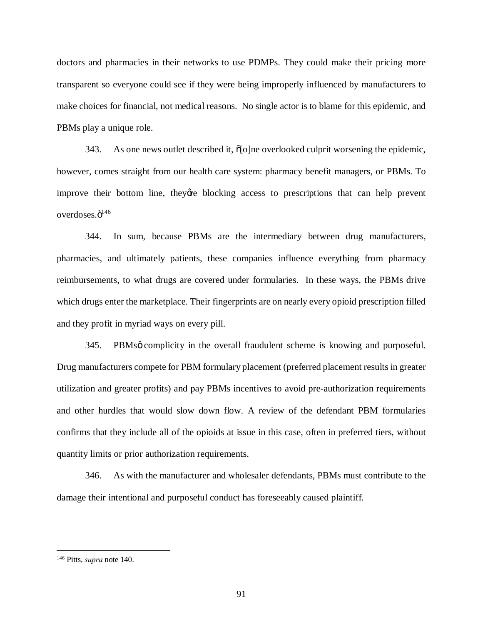doctors and pharmacies in their networks to use PDMPs. They could make their pricing more transparent so everyone could see if they were being improperly influenced by manufacturers to make choices for financial, not medical reasons. No single actor is to blame for this epidemic, and PBMs play a unique role.

343. As one news outlet described it,  $\delta$ [o]ne overlooked culprit worsening the epidemic, however, comes straight from our health care system: pharmacy benefit managers, or PBMs. To improve their bottom line, they are blocking access to prescriptions that can help prevent overdoses. $\ddot{o}^{146}$ 

344. In sum, because PBMs are the intermediary between drug manufacturers, pharmacies, and ultimately patients, these companies influence everything from pharmacy reimbursements, to what drugs are covered under formularies. In these ways, the PBMs drive which drugs enter the marketplace. Their fingerprints are on nearly every opioid prescription filled and they profit in myriad ways on every pill.

345. PBMsg complicity in the overall fraudulent scheme is knowing and purposeful. Drug manufacturers compete for PBM formulary placement (preferred placement results in greater utilization and greater profits) and pay PBMs incentives to avoid pre-authorization requirements and other hurdles that would slow down flow. A review of the defendant PBM formularies confirms that they include all of the opioids at issue in this case, often in preferred tiers, without quantity limits or prior authorization requirements.

346. As with the manufacturer and wholesaler defendants, PBMs must contribute to the damage their intentional and purposeful conduct has foreseeably caused plaintiff.

 <sup>146</sup> Pitts, *supra* note 140.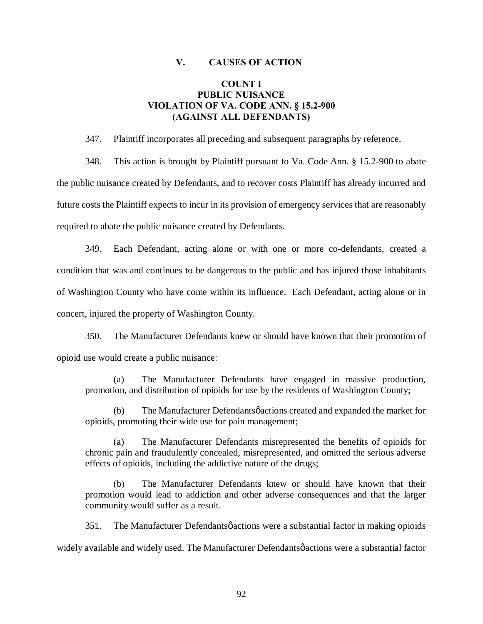#### **V. CAUSES OF ACTION**

# **COUNT I PUBLIC NUISANCE VIOLATION OF VA. CODE ANN. § 15.2-900 (AGAINST ALL DEFENDANTS)**

347. Plaintiff incorporates all preceding and subsequent paragraphs by reference.

348. This action is brought by Plaintiff pursuant to Va. Code Ann. § 15.2-900 to abate the public nuisance created by Defendants, and to recover costs Plaintiff has already incurred and future costs the Plaintiff expects to incur in its provision of emergency services that are reasonably required to abate the public nuisance created by Defendants.

349. Each Defendant, acting alone or with one or more co-defendants, created a condition that was and continues to be dangerous to the public and has injured those inhabitants of Washington County who have come within its influence. Each Defendant, acting alone or in concert, injured the property of Washington County.

350. The Manufacturer Defendants knew or should have known that their promotion of opioid use would create a public nuisance:

(a) The Manufacturer Defendants have engaged in massive production, promotion, and distribution of opioids for use by the residents of Washington County;

(b) The Manufacturer Defendants pactions created and expanded the market for opioids, promoting their wide use for pain management;

(a) The Manufacturer Defendants misrepresented the benefits of opioids for chronic pain and fraudulently concealed, misrepresented, and omitted the serious adverse effects of opioids, including the addictive nature of the drugs;

(b) The Manufacturer Defendants knew or should have known that their promotion would lead to addiction and other adverse consequences and that the larger community would suffer as a result.

351. The Manufacturer Defendants o actions were a substantial factor in making opioids widely available and widely used. The Manufacturer Defendants pactions were a substantial factor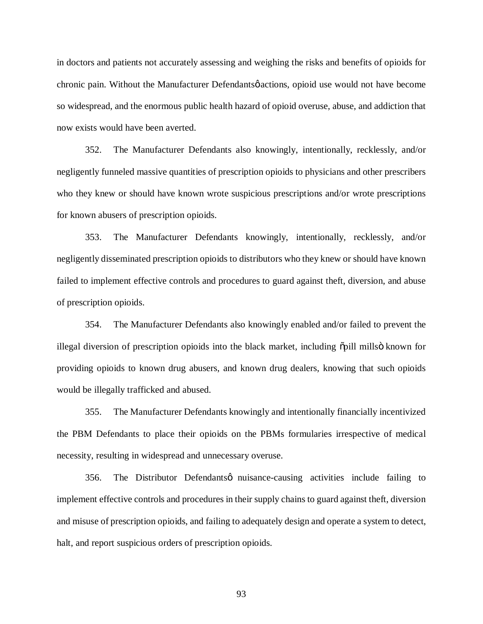in doctors and patients not accurately assessing and weighing the risks and benefits of opioids for chronic pain. Without the Manufacturer Defendants operations, opioid use would not have become so widespread, and the enormous public health hazard of opioid overuse, abuse, and addiction that now exists would have been averted.

352. The Manufacturer Defendants also knowingly, intentionally, recklessly, and/or negligently funneled massive quantities of prescription opioids to physicians and other prescribers who they knew or should have known wrote suspicious prescriptions and/or wrote prescriptions for known abusers of prescription opioids.

353. The Manufacturer Defendants knowingly, intentionally, recklessly, and/or negligently disseminated prescription opioids to distributors who they knew or should have known failed to implement effective controls and procedures to guard against theft, diversion, and abuse of prescription opioids.

354. The Manufacturer Defendants also knowingly enabled and/or failed to prevent the illegal diversion of prescription opioids into the black market, including opill millsö known for providing opioids to known drug abusers, and known drug dealers, knowing that such opioids would be illegally trafficked and abused.

355. The Manufacturer Defendants knowingly and intentionally financially incentivized the PBM Defendants to place their opioids on the PBMs formularies irrespective of medical necessity, resulting in widespread and unnecessary overuse.

356. The Distributor Defendants nuisance-causing activities include failing to implement effective controls and procedures in their supply chains to guard against theft, diversion and misuse of prescription opioids, and failing to adequately design and operate a system to detect, halt, and report suspicious orders of prescription opioids.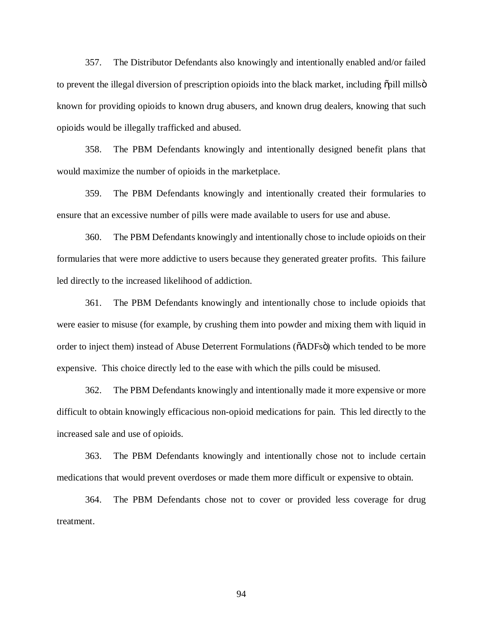357. The Distributor Defendants also knowingly and intentionally enabled and/or failed to prevent the illegal diversion of prescription opioids into the black market, including  $\delta$  pill mills  $\delta$ known for providing opioids to known drug abusers, and known drug dealers, knowing that such opioids would be illegally trafficked and abused.

358. The PBM Defendants knowingly and intentionally designed benefit plans that would maximize the number of opioids in the marketplace.

359. The PBM Defendants knowingly and intentionally created their formularies to ensure that an excessive number of pills were made available to users for use and abuse.

360. The PBM Defendants knowingly and intentionally chose to include opioids on their formularies that were more addictive to users because they generated greater profits. This failure led directly to the increased likelihood of addiction.

361. The PBM Defendants knowingly and intentionally chose to include opioids that were easier to misuse (for example, by crushing them into powder and mixing them with liquid in order to inject them) instead of Abuse Deterrent Formulations ( $\tilde{o}$ ADFs $\tilde{o}$ ) which tended to be more expensive. This choice directly led to the ease with which the pills could be misused.

362. The PBM Defendants knowingly and intentionally made it more expensive or more difficult to obtain knowingly efficacious non-opioid medications for pain. This led directly to the increased sale and use of opioids.

363. The PBM Defendants knowingly and intentionally chose not to include certain medications that would prevent overdoses or made them more difficult or expensive to obtain.

364. The PBM Defendants chose not to cover or provided less coverage for drug treatment.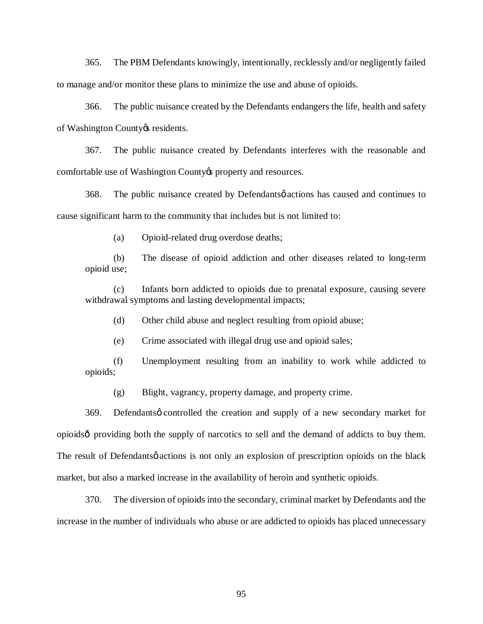365. The PBM Defendants knowingly, intentionally, recklessly and/or negligently failed to manage and/or monitor these plans to minimize the use and abuse of opioids.

366. The public nuisance created by the Defendants endangers the life, health and safety of Washington County & residents.

367. The public nuisance created by Defendants interferes with the reasonable and comfortable use of Washington County to property and resources.

368. The public nuisance created by Defendants  $\phi$  actions has caused and continues to cause significant harm to the community that includes but is not limited to:

(a) Opioid-related drug overdose deaths;

(b) The disease of opioid addiction and other diseases related to long-term opioid use;

(c) Infants born addicted to opioids due to prenatal exposure, causing severe withdrawal symptoms and lasting developmental impacts;

(d) Other child abuse and neglect resulting from opioid abuse;

(e) Crime associated with illegal drug use and opioid sales;

(f) Unemployment resulting from an inability to work while addicted to opioids;

(g) Blight, vagrancy, property damage, and property crime.

369. Defendants o controlled the creation and supply of a new secondary market for opioids—providing both the supply of narcotics to sell and the demand of addicts to buy them. The result of Defendantsø actions is not only an explosion of prescription opioids on the black market, but also a marked increase in the availability of heroin and synthetic opioids.

370. The diversion of opioids into the secondary, criminal market by Defendants and the increase in the number of individuals who abuse or are addicted to opioids has placed unnecessary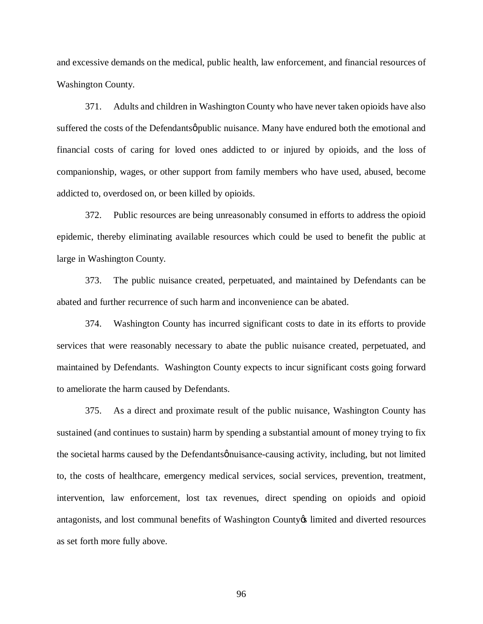and excessive demands on the medical, public health, law enforcement, and financial resources of Washington County.

371. Adults and children in Washington County who have never taken opioids have also suffered the costs of the Defendantsø public nuisance. Many have endured both the emotional and financial costs of caring for loved ones addicted to or injured by opioids, and the loss of companionship, wages, or other support from family members who have used, abused, become addicted to, overdosed on, or been killed by opioids.

372. Public resources are being unreasonably consumed in efforts to address the opioid epidemic, thereby eliminating available resources which could be used to benefit the public at large in Washington County.

373. The public nuisance created, perpetuated, and maintained by Defendants can be abated and further recurrence of such harm and inconvenience can be abated.

374. Washington County has incurred significant costs to date in its efforts to provide services that were reasonably necessary to abate the public nuisance created, perpetuated, and maintained by Defendants. Washington County expects to incur significant costs going forward to ameliorate the harm caused by Defendants.

375. As a direct and proximate result of the public nuisance, Washington County has sustained (and continues to sustain) harm by spending a substantial amount of money trying to fix the societal harms caused by the Defendantsønuisance-causing activity, including, but not limited to, the costs of healthcare, emergency medical services, social services, prevention, treatment, intervention, law enforcement, lost tax revenues, direct spending on opioids and opioid antagonists, and lost communal benefits of Washington County & limited and diverted resources as set forth more fully above.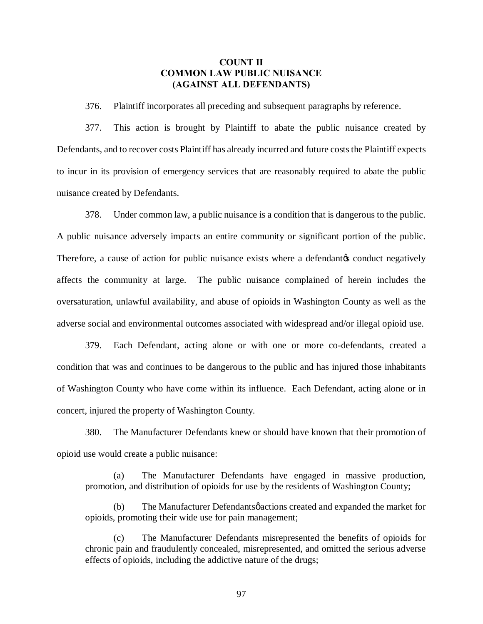### **COUNT II COMMON LAW PUBLIC NUISANCE (AGAINST ALL DEFENDANTS)**

376. Plaintiff incorporates all preceding and subsequent paragraphs by reference.

377. This action is brought by Plaintiff to abate the public nuisance created by Defendants, and to recover costs Plaintiff has already incurred and future costs the Plaintiff expects to incur in its provision of emergency services that are reasonably required to abate the public nuisance created by Defendants.

378. Under common law, a public nuisance is a condition that is dangerous to the public. A public nuisance adversely impacts an entire community or significant portion of the public. Therefore, a cause of action for public nuisance exists where a defendant  $\alpha$  conduct negatively affects the community at large. The public nuisance complained of herein includes the oversaturation, unlawful availability, and abuse of opioids in Washington County as well as the adverse social and environmental outcomes associated with widespread and/or illegal opioid use.

379. Each Defendant, acting alone or with one or more co-defendants, created a condition that was and continues to be dangerous to the public and has injured those inhabitants of Washington County who have come within its influence. Each Defendant, acting alone or in concert, injured the property of Washington County.

380. The Manufacturer Defendants knew or should have known that their promotion of opioid use would create a public nuisance:

(a) The Manufacturer Defendants have engaged in massive production, promotion, and distribution of opioids for use by the residents of Washington County;

(b) The Manufacturer Defendantsø actions created and expanded the market for opioids, promoting their wide use for pain management;

(c) The Manufacturer Defendants misrepresented the benefits of opioids for chronic pain and fraudulently concealed, misrepresented, and omitted the serious adverse effects of opioids, including the addictive nature of the drugs;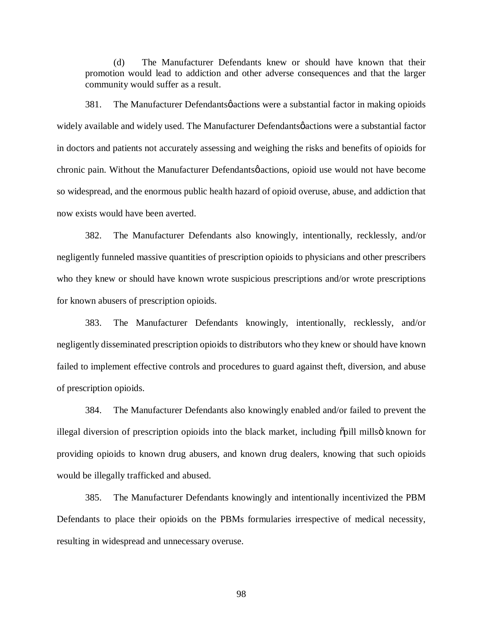(d) The Manufacturer Defendants knew or should have known that their promotion would lead to addiction and other adverse consequences and that the larger community would suffer as a result.

381. The Manufacturer Defendants o actions were a substantial factor in making opioids widely available and widely used. The Manufacturer Defendants  $\phi$  actions were a substantial factor in doctors and patients not accurately assessing and weighing the risks and benefits of opioids for chronic pain. Without the Manufacturer Defendants  $\phi$  actions, opioid use would not have become so widespread, and the enormous public health hazard of opioid overuse, abuse, and addiction that now exists would have been averted.

382. The Manufacturer Defendants also knowingly, intentionally, recklessly, and/or negligently funneled massive quantities of prescription opioids to physicians and other prescribers who they knew or should have known wrote suspicious prescriptions and/or wrote prescriptions for known abusers of prescription opioids.

383. The Manufacturer Defendants knowingly, intentionally, recklessly, and/or negligently disseminated prescription opioids to distributors who they knew or should have known failed to implement effective controls and procedures to guard against theft, diversion, and abuse of prescription opioids.

384. The Manufacturer Defendants also knowingly enabled and/or failed to prevent the illegal diversion of prescription opioids into the black market, including  $\delta$ pill mills $\ddot{o}$  known for providing opioids to known drug abusers, and known drug dealers, knowing that such opioids would be illegally trafficked and abused.

385. The Manufacturer Defendants knowingly and intentionally incentivized the PBM Defendants to place their opioids on the PBMs formularies irrespective of medical necessity, resulting in widespread and unnecessary overuse.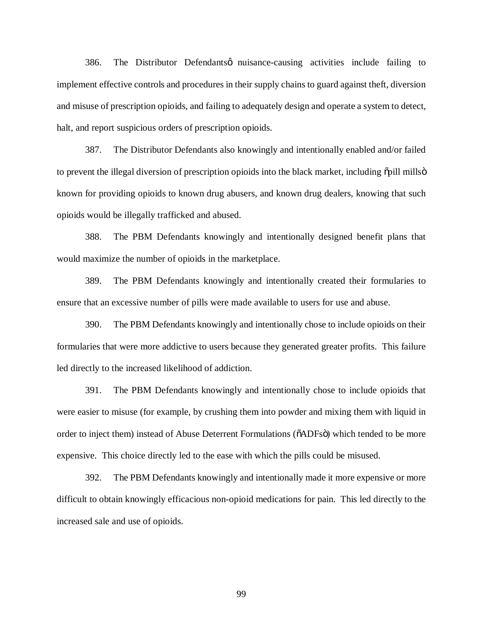386. The Distributor Defendantsø nuisance-causing activities include failing to implement effective controls and procedures in their supply chains to guard against theft, diversion and misuse of prescription opioids, and failing to adequately design and operate a system to detect, halt, and report suspicious orders of prescription opioids.

387. The Distributor Defendants also knowingly and intentionally enabled and/or failed to prevent the illegal diversion of prescription opioids into the black market, including  $\delta$  pill mills  $\delta$ known for providing opioids to known drug abusers, and known drug dealers, knowing that such opioids would be illegally trafficked and abused.

388. The PBM Defendants knowingly and intentionally designed benefit plans that would maximize the number of opioids in the marketplace.

389. The PBM Defendants knowingly and intentionally created their formularies to ensure that an excessive number of pills were made available to users for use and abuse.

390. The PBM Defendants knowingly and intentionally chose to include opioids on their formularies that were more addictive to users because they generated greater profits. This failure led directly to the increased likelihood of addiction.

391. The PBM Defendants knowingly and intentionally chose to include opioids that were easier to misuse (for example, by crushing them into powder and mixing them with liquid in order to inject them) instead of Abuse Deterrent Formulations ( $\delta$ ADFs $\ddot{o}$ ) which tended to be more expensive. This choice directly led to the ease with which the pills could be misused.

392. The PBM Defendants knowingly and intentionally made it more expensive or more difficult to obtain knowingly efficacious non-opioid medications for pain. This led directly to the increased sale and use of opioids.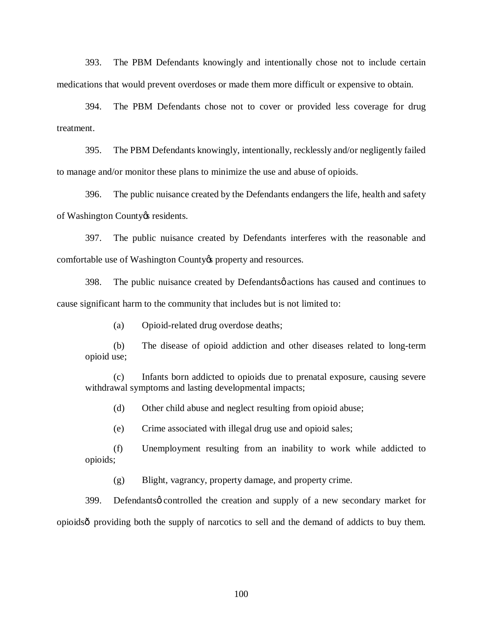393. The PBM Defendants knowingly and intentionally chose not to include certain medications that would prevent overdoses or made them more difficult or expensive to obtain.

394. The PBM Defendants chose not to cover or provided less coverage for drug treatment.

395. The PBM Defendants knowingly, intentionally, recklessly and/or negligently failed to manage and/or monitor these plans to minimize the use and abuse of opioids.

396. The public nuisance created by the Defendants endangers the life, health and safety of Washington County & residents.

397. The public nuisance created by Defendants interferes with the reasonable and comfortable use of Washington County oproperty and resources.

398. The public nuisance created by Defendants  $\phi$  actions has caused and continues to cause significant harm to the community that includes but is not limited to:

(a) Opioid-related drug overdose deaths;

(b) The disease of opioid addiction and other diseases related to long-term opioid use;

(c) Infants born addicted to opioids due to prenatal exposure, causing severe withdrawal symptoms and lasting developmental impacts;

(d) Other child abuse and neglect resulting from opioid abuse;

(e) Crime associated with illegal drug use and opioid sales;

(f) Unemployment resulting from an inability to work while addicted to opioids;

(g) Blight, vagrancy, property damage, and property crime.

399. Defendantsø controlled the creation and supply of a new secondary market for opioids—providing both the supply of narcotics to sell and the demand of addicts to buy them.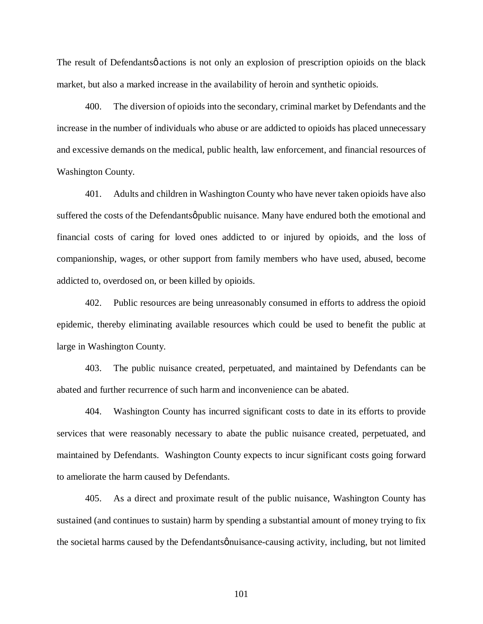The result of Defendants *q* actions is not only an explosion of prescription opioids on the black market, but also a marked increase in the availability of heroin and synthetic opioids.

400. The diversion of opioids into the secondary, criminal market by Defendants and the increase in the number of individuals who abuse or are addicted to opioids has placed unnecessary and excessive demands on the medical, public health, law enforcement, and financial resources of Washington County.

401. Adults and children in Washington County who have never taken opioids have also suffered the costs of the Defendantsø public nuisance. Many have endured both the emotional and financial costs of caring for loved ones addicted to or injured by opioids, and the loss of companionship, wages, or other support from family members who have used, abused, become addicted to, overdosed on, or been killed by opioids.

402. Public resources are being unreasonably consumed in efforts to address the opioid epidemic, thereby eliminating available resources which could be used to benefit the public at large in Washington County.

403. The public nuisance created, perpetuated, and maintained by Defendants can be abated and further recurrence of such harm and inconvenience can be abated.

404. Washington County has incurred significant costs to date in its efforts to provide services that were reasonably necessary to abate the public nuisance created, perpetuated, and maintained by Defendants. Washington County expects to incur significant costs going forward to ameliorate the harm caused by Defendants.

405. As a direct and proximate result of the public nuisance, Washington County has sustained (and continues to sustain) harm by spending a substantial amount of money trying to fix the societal harms caused by the Defendants *p* nuisance-causing activity, including, but not limited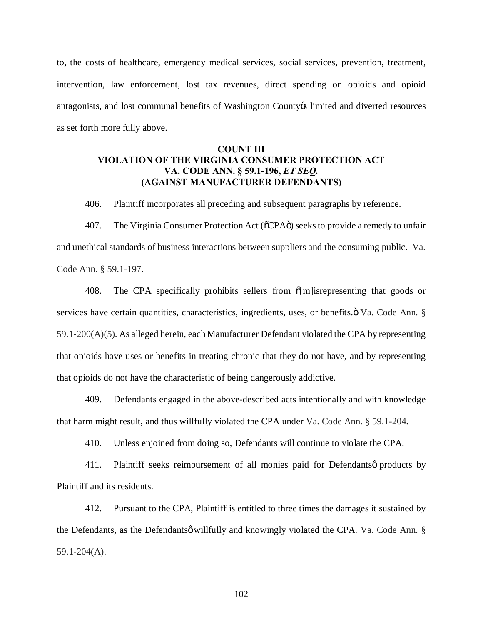to, the costs of healthcare, emergency medical services, social services, prevention, treatment, intervention, law enforcement, lost tax revenues, direct spending on opioids and opioid antagonists, and lost communal benefits of Washington County is limited and diverted resources as set forth more fully above.

# **COUNT III VIOLATION OF THE VIRGINIA CONSUMER PROTECTION ACT VA. CODE ANN. § 59.1-196,** *ET SEQ.* **(AGAINST MANUFACTURER DEFENDANTS)**

406. Plaintiff incorporates all preceding and subsequent paragraphs by reference.

407. The Virginia Consumer Protection Act ( $\delta$ CPA $\ddot{\text{o}}$ ) seeks to provide a remedy to unfair and unethical standards of business interactions between suppliers and the consuming public. Va. Code Ann. § 59.1-197.

408. The CPA specifically prohibits sellers from  $\delta$ [m] isrepresenting that goods or services have certain quantities, characteristics, ingredients, uses, or benefits. $\ddot{\text{o}}$  Va. Code Ann. § 59.1-200(A)(5). As alleged herein, each Manufacturer Defendant violated the CPA by representing that opioids have uses or benefits in treating chronic that they do not have, and by representing that opioids do not have the characteristic of being dangerously addictive.

409. Defendants engaged in the above-described acts intentionally and with knowledge that harm might result, and thus willfully violated the CPA under Va. Code Ann. § 59.1-204.

410. Unless enjoined from doing so, Defendants will continue to violate the CPA.

411. Plaintiff seeks reimbursement of all monies paid for Defendants oproducts by Plaintiff and its residents.

412. Pursuant to the CPA, Plaintiff is entitled to three times the damages it sustained by the Defendants, as the Defendants o willfully and knowingly violated the CPA. Va. Code Ann. § 59.1-204(A).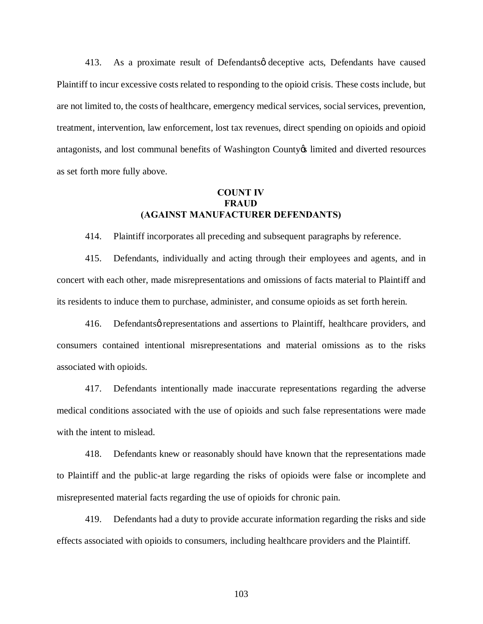413. As a proximate result of Defendants of deceptive acts, Defendants have caused Plaintiff to incur excessive costs related to responding to the opioid crisis. These costs include, but are not limited to, the costs of healthcare, emergency medical services, social services, prevention, treatment, intervention, law enforcement, lost tax revenues, direct spending on opioids and opioid antagonists, and lost communal benefits of Washington County is limited and diverted resources as set forth more fully above.

#### **COUNT IV FRAUD (AGAINST MANUFACTURER DEFENDANTS)**

414. Plaintiff incorporates all preceding and subsequent paragraphs by reference.

415. Defendants, individually and acting through their employees and agents, and in concert with each other, made misrepresentations and omissions of facts material to Plaintiff and its residents to induce them to purchase, administer, and consume opioids as set forth herein.

416. Defendants *p* representations and assertions to Plaintiff, healthcare providers, and consumers contained intentional misrepresentations and material omissions as to the risks associated with opioids.

417. Defendants intentionally made inaccurate representations regarding the adverse medical conditions associated with the use of opioids and such false representations were made with the intent to mislead.

418. Defendants knew or reasonably should have known that the representations made to Plaintiff and the public-at large regarding the risks of opioids were false or incomplete and misrepresented material facts regarding the use of opioids for chronic pain.

419. Defendants had a duty to provide accurate information regarding the risks and side effects associated with opioids to consumers, including healthcare providers and the Plaintiff.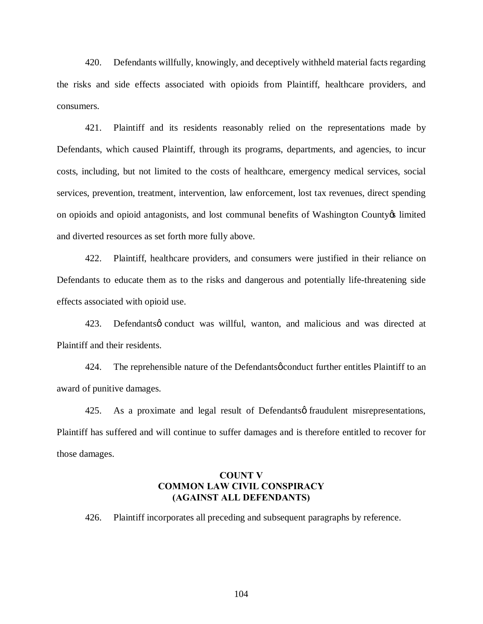420. Defendants willfully, knowingly, and deceptively withheld material facts regarding the risks and side effects associated with opioids from Plaintiff, healthcare providers, and consumers.

421. Plaintiff and its residents reasonably relied on the representations made by Defendants, which caused Plaintiff, through its programs, departments, and agencies, to incur costs, including, but not limited to the costs of healthcare, emergency medical services, social services, prevention, treatment, intervention, law enforcement, lost tax revenues, direct spending on opioids and opioid antagonists, and lost communal benefits of Washington County os limited and diverted resources as set forth more fully above.

422. Plaintiff, healthcare providers, and consumers were justified in their reliance on Defendants to educate them as to the risks and dangerous and potentially life-threatening side effects associated with opioid use.

423. Defendants o conduct was willful, wanton, and malicious and was directed at Plaintiff and their residents.

424. The reprehensible nature of the Defendants of conduct further entitles Plaintiff to an award of punitive damages.

425. As a proximate and legal result of Defendants of fraudulent misrepresentations, Plaintiff has suffered and will continue to suffer damages and is therefore entitled to recover for those damages.

#### **COUNT V COMMON LAW CIVIL CONSPIRACY (AGAINST ALL DEFENDANTS)**

426. Plaintiff incorporates all preceding and subsequent paragraphs by reference.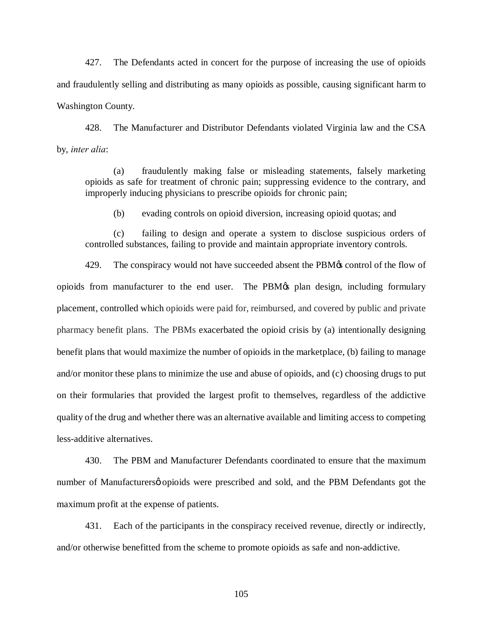427. The Defendants acted in concert for the purpose of increasing the use of opioids and fraudulently selling and distributing as many opioids as possible, causing significant harm to Washington County.

428. The Manufacturer and Distributor Defendants violated Virginia law and the CSA by, *inter alia*:

(a) fraudulently making false or misleading statements, falsely marketing opioids as safe for treatment of chronic pain; suppressing evidence to the contrary, and improperly inducing physicians to prescribe opioids for chronic pain;

(b) evading controls on opioid diversion, increasing opioid quotas; and

(c) failing to design and operate a system to disclose suspicious orders of controlled substances, failing to provide and maintain appropriate inventory controls.

429. The conspiracy would not have succeeded absent the PBM $\alpha$  control of the flow of opioids from manufacturer to the end user. The PBM $\alpha$  plan design, including formulary placement, controlled which opioids were paid for, reimbursed, and covered by public and private pharmacy benefit plans. The PBMs exacerbated the opioid crisis by (a) intentionally designing benefit plans that would maximize the number of opioids in the marketplace, (b) failing to manage and/or monitor these plans to minimize the use and abuse of opioids, and (c) choosing drugs to put on their formularies that provided the largest profit to themselves, regardless of the addictive quality of the drug and whether there was an alternative available and limiting access to competing less-additive alternatives.

430. The PBM and Manufacturer Defendants coordinated to ensure that the maximum number of Manufacturersø opioids were prescribed and sold, and the PBM Defendants got the maximum profit at the expense of patients.

431. Each of the participants in the conspiracy received revenue, directly or indirectly, and/or otherwise benefitted from the scheme to promote opioids as safe and non-addictive.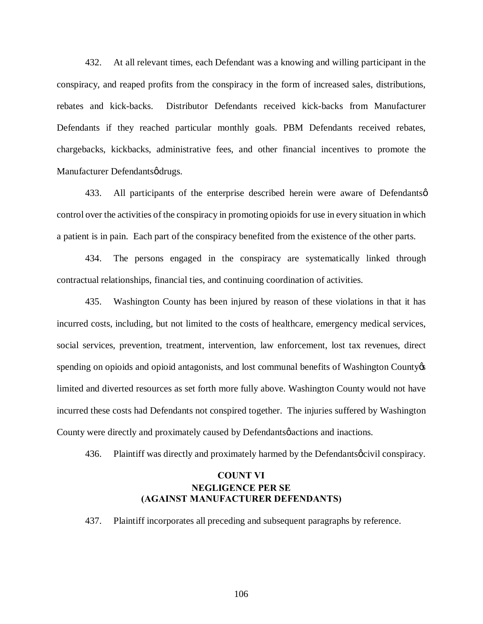432. At all relevant times, each Defendant was a knowing and willing participant in the conspiracy, and reaped profits from the conspiracy in the form of increased sales, distributions, rebates and kick-backs. Distributor Defendants received kick-backs from Manufacturer Defendants if they reached particular monthly goals. PBM Defendants received rebates, chargebacks, kickbacks, administrative fees, and other financial incentives to promote the Manufacturer Defendantsødrugs.

433. All participants of the enterprise described herein were aware of Defendants  $\emptyset$ control over the activities of the conspiracy in promoting opioids for use in every situation in which a patient is in pain. Each part of the conspiracy benefited from the existence of the other parts.

434. The persons engaged in the conspiracy are systematically linked through contractual relationships, financial ties, and continuing coordination of activities.

435. Washington County has been injured by reason of these violations in that it has incurred costs, including, but not limited to the costs of healthcare, emergency medical services, social services, prevention, treatment, intervention, law enforcement, lost tax revenues, direct spending on opioids and opioid antagonists, and lost communal benefits of Washington County  $\&$ limited and diverted resources as set forth more fully above. Washington County would not have incurred these costs had Defendants not conspired together. The injuries suffered by Washington County were directly and proximately caused by Defendants  $\phi$  actions and inactions.

436. Plaint if was directly and proximately harmed by the Defendants  $\phi$  civil conspiracy.

# **COUNT VI NEGLIGENCE PER SE (AGAINST MANUFACTURER DEFENDANTS)**

437. Plaintiff incorporates all preceding and subsequent paragraphs by reference.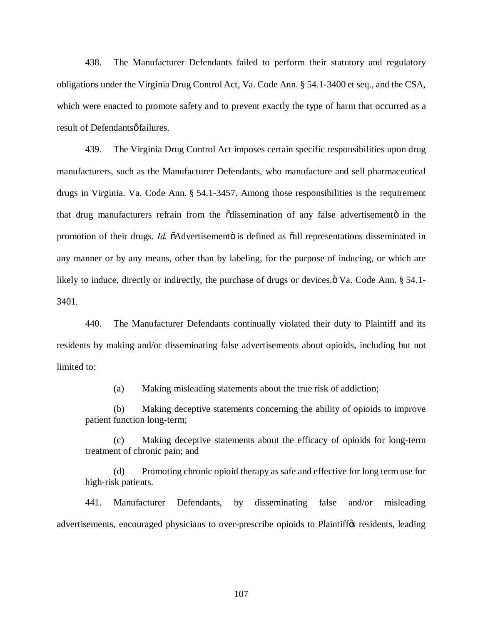438. The Manufacturer Defendants failed to perform their statutory and regulatory obligations under the Virginia Drug Control Act, Va. Code Ann. § 54.1-3400 et seq., and the CSA, which were enacted to promote safety and to prevent exactly the type of harm that occurred as a result of Defendants of failures.

439. The Virginia Drug Control Act imposes certain specific responsibilities upon drug manufacturers, such as the Manufacturer Defendants, who manufacture and sell pharmaceutical drugs in Virginia. Va. Code Ann. § 54.1-3457. Among those responsibilities is the requirement that drug manufacturers refrain from the odissemination of any false advertisemento in the promotion of their drugs. *Id.*  $\delta$ Advertisemento is defined as  $\delta$ all representations disseminated in any manner or by any means, other than by labeling, for the purpose of inducing, or which are likely to induce, directly or indirectly, the purchase of drugs or devices. $\ddot{\text{o}}$  Va. Code Ann. § 54.1-3401.

440. The Manufacturer Defendants continually violated their duty to Plaintiff and its residents by making and/or disseminating false advertisements about opioids, including but not limited to:

(a) Making misleading statements about the true risk of addiction;

(b) Making deceptive statements concerning the ability of opioids to improve patient function long-term;

(c) Making deceptive statements about the efficacy of opioids for long-term treatment of chronic pain; and

(d) Promoting chronic opioid therapy as safe and effective for long term use for high-risk patients.

441. Manufacturer Defendants, by disseminating false and/or misleading advertisements, encouraged physicians to over-prescribe opioids to Plaintiffos residents, leading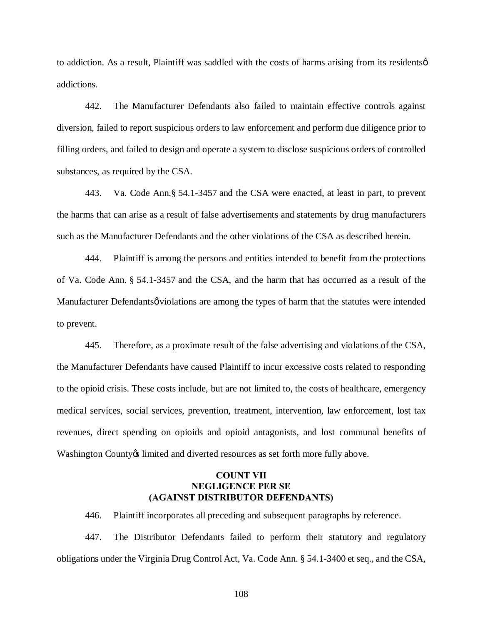to addiction. As a result, Plaintiff was saddled with the costs of harms arising from its residents  $\varphi$ addictions.

442. The Manufacturer Defendants also failed to maintain effective controls against diversion, failed to report suspicious orders to law enforcement and perform due diligence prior to filling orders, and failed to design and operate a system to disclose suspicious orders of controlled substances, as required by the CSA.

443. Va. Code Ann.§ 54.1-3457 and the CSA were enacted, at least in part, to prevent the harms that can arise as a result of false advertisements and statements by drug manufacturers such as the Manufacturer Defendants and the other violations of the CSA as described herein.

444. Plaintiff is among the persons and entities intended to benefit from the protections of Va. Code Ann. § 54.1-3457 and the CSA, and the harm that has occurred as a result of the Manufacturer Defendantsø violations are among the types of harm that the statutes were intended to prevent.

445. Therefore, as a proximate result of the false advertising and violations of the CSA, the Manufacturer Defendants have caused Plaintiff to incur excessive costs related to responding to the opioid crisis. These costs include, but are not limited to, the costs of healthcare, emergency medical services, social services, prevention, treatment, intervention, law enforcement, lost tax revenues, direct spending on opioids and opioid antagonists, and lost communal benefits of Washington County is limited and diverted resources as set forth more fully above.

#### **COUNT VII NEGLIGENCE PER SE (AGAINST DISTRIBUTOR DEFENDANTS)**

446. Plaintiff incorporates all preceding and subsequent paragraphs by reference.

447. The Distributor Defendants failed to perform their statutory and regulatory obligations under the Virginia Drug Control Act, Va. Code Ann. § 54.1-3400 et seq., and the CSA,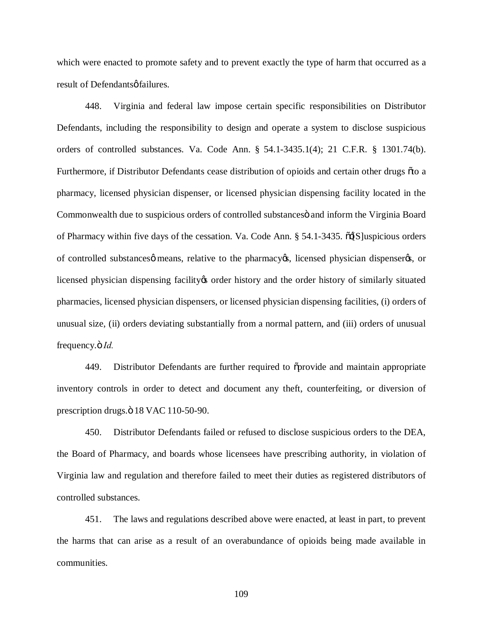which were enacted to promote safety and to prevent exactly the type of harm that occurred as a result of Defendants of failures.

448. Virginia and federal law impose certain specific responsibilities on Distributor Defendants, including the responsibility to design and operate a system to disclose suspicious orders of controlled substances. Va. Code Ann. § 54.1-3435.1(4); 21 C.F.R. § 1301.74(b). Furthermore, if Distributor Defendants cease distribution of opioids and certain other drugs õto a pharmacy, licensed physician dispenser, or licensed physician dispensing facility located in the Commonwealth due to suspicious orders of controlled substances and inform the Virginia Board of Pharmacy within five days of the cessation. Va. Code Ann.  $\S$  54.1-3435.  $\tilde{o}$  S luspicious orders of controlled substances means, relative to the pharmacy  $\alpha$ , licensed physician dispenser  $\alpha$ , or licensed physician dispensing facility to order history and the order history of similarly situated pharmacies, licensed physician dispensers, or licensed physician dispensing facilities, (i) orders of unusual size, (ii) orders deviating substantially from a normal pattern, and (iii) orders of unusual frequency. $\ddot{\sigma}$  *Id.* 

449. Distributor Defendants are further required to  $\tilde{\sigma}$  provide and maintain appropriate inventory controls in order to detect and document any theft, counterfeiting, or diversion of prescription drugs. $\ddot{\text{o}}$  18 VAC 110-50-90.

450. Distributor Defendants failed or refused to disclose suspicious orders to the DEA, the Board of Pharmacy, and boards whose licensees have prescribing authority, in violation of Virginia law and regulation and therefore failed to meet their duties as registered distributors of controlled substances.

451. The laws and regulations described above were enacted, at least in part, to prevent the harms that can arise as a result of an overabundance of opioids being made available in communities.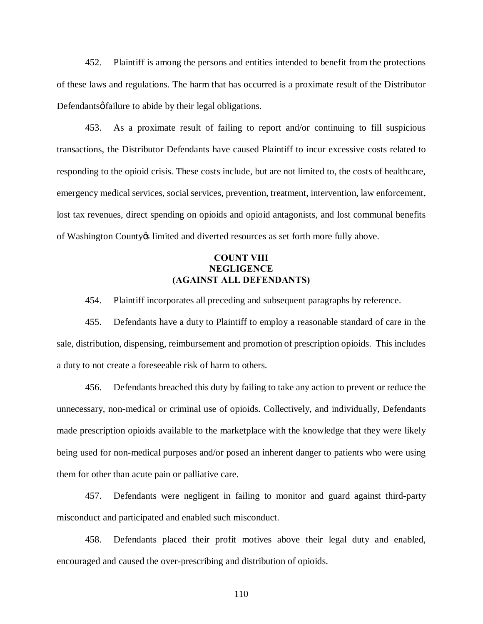452. Plaintiff is among the persons and entities intended to benefit from the protections of these laws and regulations. The harm that has occurred is a proximate result of the Distributor Defendants *o* failure to abide by their legal obligations.

453. As a proximate result of failing to report and/or continuing to fill suspicious transactions, the Distributor Defendants have caused Plaintiff to incur excessive costs related to responding to the opioid crisis. These costs include, but are not limited to, the costs of healthcare, emergency medical services, social services, prevention, treatment, intervention, law enforcement, lost tax revenues, direct spending on opioids and opioid antagonists, and lost communal benefits of Washington County ts limited and diverted resources as set forth more fully above.

# **COUNT VIII NEGLIGENCE (AGAINST ALL DEFENDANTS)**

454. Plaintiff incorporates all preceding and subsequent paragraphs by reference.

455. Defendants have a duty to Plaintiff to employ a reasonable standard of care in the sale, distribution, dispensing, reimbursement and promotion of prescription opioids. This includes a duty to not create a foreseeable risk of harm to others.

456. Defendants breached this duty by failing to take any action to prevent or reduce the unnecessary, non-medical or criminal use of opioids. Collectively, and individually, Defendants made prescription opioids available to the marketplace with the knowledge that they were likely being used for non-medical purposes and/or posed an inherent danger to patients who were using them for other than acute pain or palliative care.

457. Defendants were negligent in failing to monitor and guard against third-party misconduct and participated and enabled such misconduct.

458. Defendants placed their profit motives above their legal duty and enabled, encouraged and caused the over-prescribing and distribution of opioids.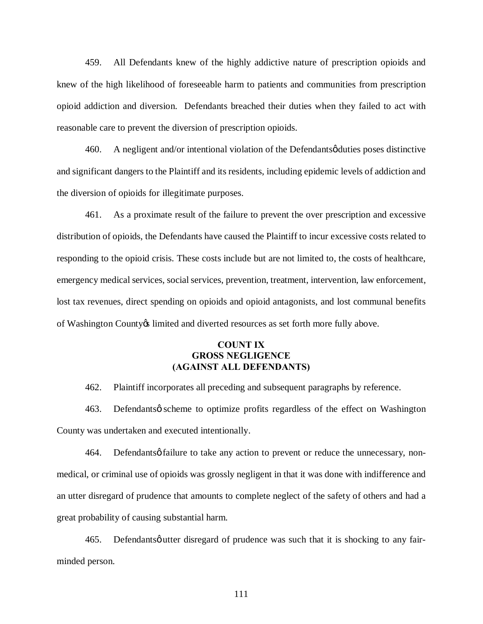459. All Defendants knew of the highly addictive nature of prescription opioids and knew of the high likelihood of foreseeable harm to patients and communities from prescription opioid addiction and diversion. Defendants breached their duties when they failed to act with reasonable care to prevent the diversion of prescription opioids.

460. A negligent and/or intentional violation of the Defendants *o*duties poses distinctive and significant dangers to the Plaintiff and its residents, including epidemic levels of addiction and the diversion of opioids for illegitimate purposes.

461. As a proximate result of the failure to prevent the over prescription and excessive distribution of opioids, the Defendants have caused the Plaintiff to incur excessive costs related to responding to the opioid crisis. These costs include but are not limited to, the costs of healthcare, emergency medical services, social services, prevention, treatment, intervention, law enforcement, lost tax revenues, direct spending on opioids and opioid antagonists, and lost communal benefits of Washington County ts limited and diverted resources as set forth more fully above.

### **COUNT IX GROSS NEGLIGENCE (AGAINST ALL DEFENDANTS)**

462. Plaintiff incorporates all preceding and subsequent paragraphs by reference.

463. Defendantsø scheme to optimize profits regardless of the effect on Washington County was undertaken and executed intentionally.

464. Defendantsø failure to take any action to prevent or reduce the unnecessary, nonmedical, or criminal use of opioids was grossly negligent in that it was done with indifference and an utter disregard of prudence that amounts to complete neglect of the safety of others and had a great probability of causing substantial harm.

465. Defendantsø utter disregard of prudence was such that it is shocking to any fairminded person.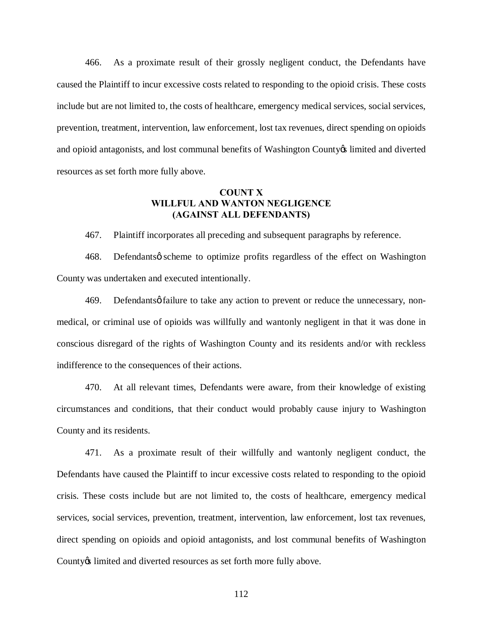466. As a proximate result of their grossly negligent conduct, the Defendants have caused the Plaintiff to incur excessive costs related to responding to the opioid crisis. These costs include but are not limited to, the costs of healthcare, emergency medical services, social services, prevention, treatment, intervention, law enforcement, lost tax revenues, direct spending on opioids and opioid antagonists, and lost communal benefits of Washington County os limited and diverted resources as set forth more fully above.

### **COUNT X WILLFUL AND WANTON NEGLIGENCE (AGAINST ALL DEFENDANTS)**

467. Plaintiff incorporates all preceding and subsequent paragraphs by reference.

468. Defendants os cheme to optimize profits regardless of the effect on Washington County was undertaken and executed intentionally.

469. Defendantsø failure to take any action to prevent or reduce the unnecessary, nonmedical, or criminal use of opioids was willfully and wantonly negligent in that it was done in conscious disregard of the rights of Washington County and its residents and/or with reckless indifference to the consequences of their actions.

470. At all relevant times, Defendants were aware, from their knowledge of existing circumstances and conditions, that their conduct would probably cause injury to Washington County and its residents.

471. As a proximate result of their willfully and wantonly negligent conduct, the Defendants have caused the Plaintiff to incur excessive costs related to responding to the opioid crisis. These costs include but are not limited to, the costs of healthcare, emergency medical services, social services, prevention, treatment, intervention, law enforcement, lost tax revenues, direct spending on opioids and opioid antagonists, and lost communal benefits of Washington County & limited and diverted resources as set forth more fully above.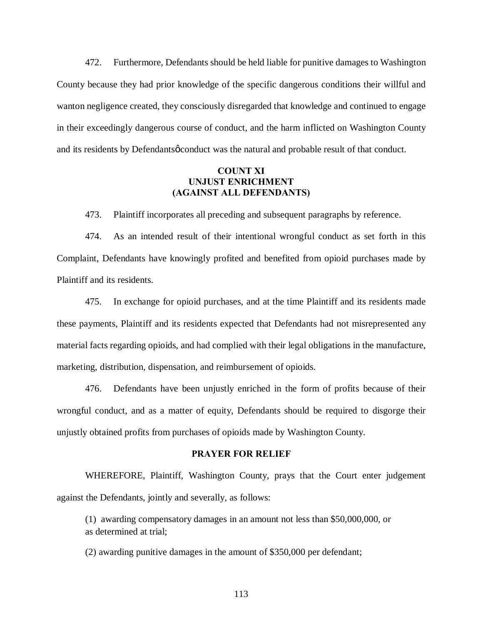472. Furthermore, Defendants should be held liable for punitive damages to Washington County because they had prior knowledge of the specific dangerous conditions their willful and wanton negligence created, they consciously disregarded that knowledge and continued to engage in their exceedingly dangerous course of conduct, and the harm inflicted on Washington County and its residents by Defendants of conduct was the natural and probable result of that conduct.

# **COUNT XI UNJUST ENRICHMENT (AGAINST ALL DEFENDANTS)**

473. Plaintiff incorporates all preceding and subsequent paragraphs by reference.

474. As an intended result of their intentional wrongful conduct as set forth in this Complaint, Defendants have knowingly profited and benefited from opioid purchases made by Plaintiff and its residents.

475. In exchange for opioid purchases, and at the time Plaintiff and its residents made these payments, Plaintiff and its residents expected that Defendants had not misrepresented any material facts regarding opioids, and had complied with their legal obligations in the manufacture, marketing, distribution, dispensation, and reimbursement of opioids.

476. Defendants have been unjustly enriched in the form of profits because of their wrongful conduct, and as a matter of equity, Defendants should be required to disgorge their unjustly obtained profits from purchases of opioids made by Washington County.

#### **PRAYER FOR RELIEF**

WHEREFORE, Plaintiff, Washington County, prays that the Court enter judgement against the Defendants, jointly and severally, as follows:

(1) awarding compensatory damages in an amount not less than \$50,000,000, or as determined at trial;

(2) awarding punitive damages in the amount of \$350,000 per defendant;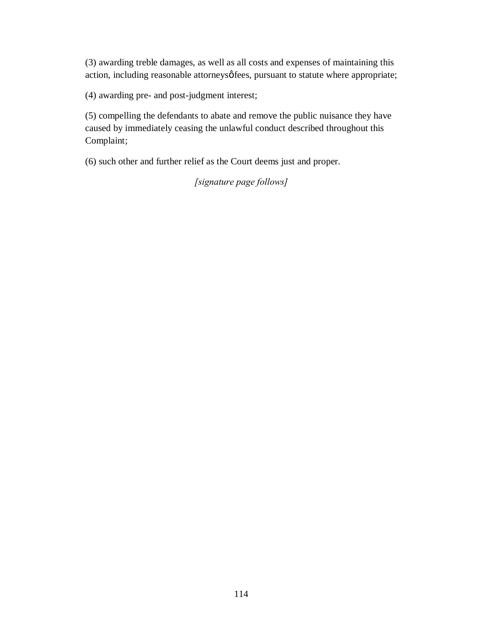(3) awarding treble damages, as well as all costs and expenses of maintaining this action, including reasonable attorneysø fees, pursuant to statute where appropriate;

(4) awarding pre- and post-judgment interest;

(5) compelling the defendants to abate and remove the public nuisance they have caused by immediately ceasing the unlawful conduct described throughout this Complaint;

(6) such other and further relief as the Court deems just and proper.

*[signature page follows]*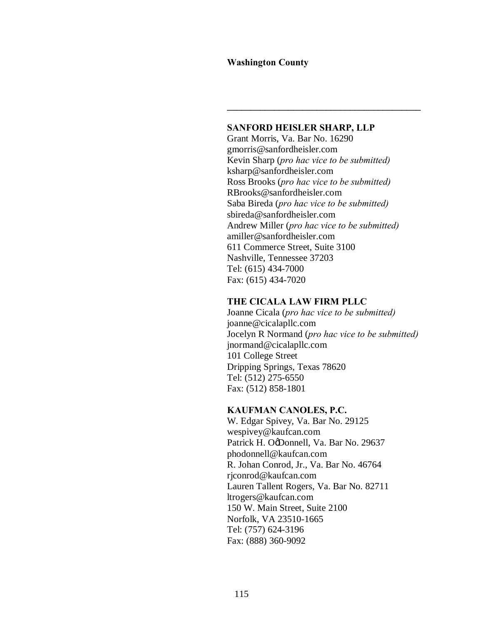#### **Washington County**

#### **SANFORD HEISLER SHARP, LLP**

 $\mathcal{L} = \{ \mathcal{L} \}$ 

Grant Morris, Va. Bar No. 16290 gmorris@sanfordheisler.com Kevin Sharp (*pro hac vice to be submitted)* ksharp@sanfordheisler.com Ross Brooks (*pro hac vice to be submitted)* RBrooks@sanfordheisler.com Saba Bireda (*pro hac vice to be submitted)* sbireda@sanfordheisler.com Andrew Miller (*pro hac vice to be submitted)* amiller@sanfordheisler.com 611 Commerce Street, Suite 3100 Nashville, Tennessee 37203 Tel: (615) 434-7000 Fax: (615) 434-7020

#### **THE CICALA LAW FIRM PLLC**

Joanne Cicala (*pro hac vice to be submitted)* joanne@cicalapllc.com Jocelyn R Normand (*pro hac vice to be submitted)* jnormand@cicalapllc.com 101 College Street Dripping Springs, Texas 78620 Tel: (512) 275-6550 Fax: (512) 858-1801

#### **KAUFMAN CANOLES, P.C.**

W. Edgar Spivey, Va. Bar No. 29125 wespivey@kaufcan.com Patrick H. OgDonnell, Va. Bar No. 29637 phodonnell@kaufcan.com R. Johan Conrod, Jr., Va. Bar No. 46764 rjconrod@kaufcan.com Lauren Tallent Rogers, Va. Bar No. 82711 ltrogers@kaufcan.com 150 W. Main Street, Suite 2100 Norfolk, VA 23510-1665 Tel: (757) 624-3196 Fax: (888) 360-9092